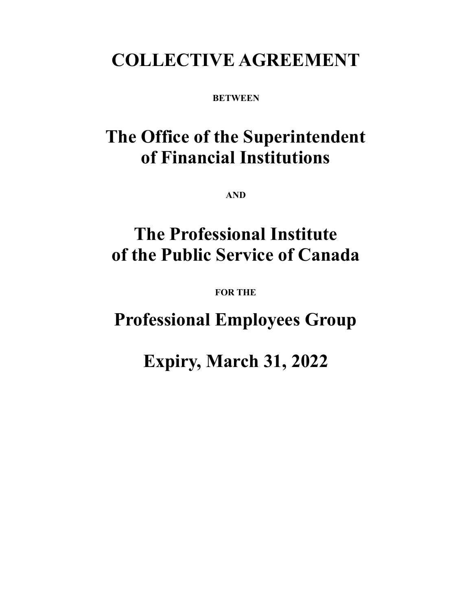# **COLLECTIVE AGREEMENT**

**BETWEEN** 

# **The Office of the Superintendent of Financial Institutions**

**AND** 

# **The Professional Institute of the Public Service of Canada**

**FOR THE** 

**Professional Employees Group** 

**Expiry, March 31, 2022**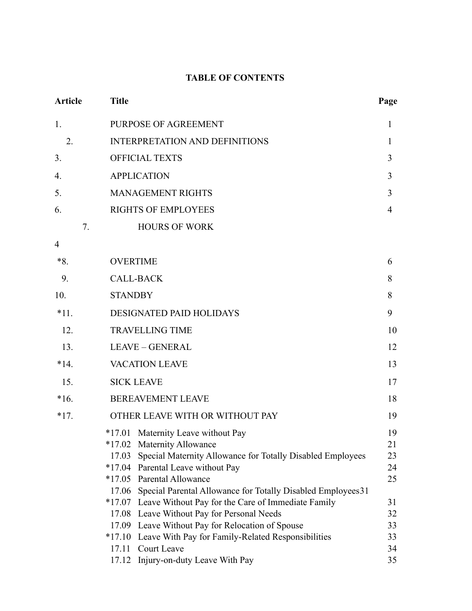# **TABLE OF CONTENTS**

| <b>Article</b> | <b>Title</b>                                                                                                                                                                                                                                                                                                 | Page                             |  |  |  |
|----------------|--------------------------------------------------------------------------------------------------------------------------------------------------------------------------------------------------------------------------------------------------------------------------------------------------------------|----------------------------------|--|--|--|
| 1.             | PURPOSE OF AGREEMENT                                                                                                                                                                                                                                                                                         |                                  |  |  |  |
| 2.             | <b>INTERPRETATION AND DEFINITIONS</b>                                                                                                                                                                                                                                                                        |                                  |  |  |  |
| 3.             | <b>OFFICIAL TEXTS</b>                                                                                                                                                                                                                                                                                        |                                  |  |  |  |
| 4.             | <b>APPLICATION</b>                                                                                                                                                                                                                                                                                           |                                  |  |  |  |
| 5.             | <b>MANAGEMENT RIGHTS</b>                                                                                                                                                                                                                                                                                     |                                  |  |  |  |
| 6.             | <b>RIGHTS OF EMPLOYEES</b>                                                                                                                                                                                                                                                                                   |                                  |  |  |  |
| 7.             | <b>HOURS OF WORK</b>                                                                                                                                                                                                                                                                                         |                                  |  |  |  |
| $\overline{4}$ |                                                                                                                                                                                                                                                                                                              |                                  |  |  |  |
| $*8.$          | <b>OVERTIME</b>                                                                                                                                                                                                                                                                                              | 6                                |  |  |  |
| 9.             | <b>CALL-BACK</b>                                                                                                                                                                                                                                                                                             |                                  |  |  |  |
| 10.            | <b>STANDBY</b>                                                                                                                                                                                                                                                                                               |                                  |  |  |  |
| $*11.$         | DESIGNATED PAID HOLIDAYS                                                                                                                                                                                                                                                                                     |                                  |  |  |  |
| 12.            | <b>TRAVELLING TIME</b>                                                                                                                                                                                                                                                                                       |                                  |  |  |  |
| 13.            | <b>LEAVE - GENERAL</b>                                                                                                                                                                                                                                                                                       |                                  |  |  |  |
| $*14.$         | <b>VACATION LEAVE</b>                                                                                                                                                                                                                                                                                        |                                  |  |  |  |
| 15.            | <b>SICK LEAVE</b>                                                                                                                                                                                                                                                                                            |                                  |  |  |  |
| $*16.$         | <b>BEREAVEMENT LEAVE</b>                                                                                                                                                                                                                                                                                     |                                  |  |  |  |
| $*17.$         | OTHER LEAVE WITH OR WITHOUT PAY                                                                                                                                                                                                                                                                              | 19                               |  |  |  |
|                | *17.01 Maternity Leave without Pay<br><b>Maternity Allowance</b><br>$*17.02$<br>Special Maternity Allowance for Totally Disabled Employees<br>17.03<br>$*17.04$<br>Parental Leave without Pay<br><b>Parental Allowance</b><br>$*17.05$<br>17.06 Special Parental Allowance for Totally Disabled Employees 31 | 19<br>21<br>23<br>24<br>25       |  |  |  |
|                | *17.07 Leave Without Pay for the Care of Immediate Family<br>17.08 Leave Without Pay for Personal Needs<br>Leave Without Pay for Relocation of Spouse<br>17.09<br>Leave With Pay for Family-Related Responsibilities<br>$*17.10$<br>Court Leave<br>17.11<br>Injury-on-duty Leave With Pay<br>17.12           | 31<br>32<br>33<br>33<br>34<br>35 |  |  |  |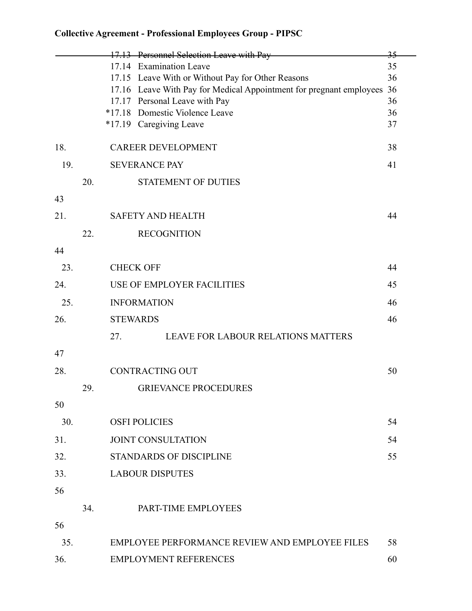|     |     |                                  | 17.13 Personnel Selection Leave with Pay                            | 35       |  |
|-----|-----|----------------------------------|---------------------------------------------------------------------|----------|--|
|     |     |                                  | 17.14 Examination Leave                                             | 35       |  |
|     |     |                                  | 17.15 Leave With or Without Pay for Other Reasons                   | 36       |  |
|     |     |                                  | 17.16 Leave With Pay for Medical Appointment for pregnant employees | 36       |  |
|     |     |                                  | 17.17 Personal Leave with Pay<br>*17.18 Domestic Violence Leave     | 36<br>36 |  |
|     |     |                                  | *17.19 Caregiving Leave                                             | 37       |  |
|     |     |                                  |                                                                     |          |  |
| 18. |     |                                  | <b>CAREER DEVELOPMENT</b>                                           | 38       |  |
| 19. |     |                                  | <b>SEVERANCE PAY</b>                                                | 41       |  |
|     | 20. |                                  | <b>STATEMENT OF DUTIES</b>                                          |          |  |
| 43  |     |                                  |                                                                     |          |  |
| 21. |     |                                  | <b>SAFETY AND HEALTH</b>                                            | 44       |  |
|     | 22. |                                  | <b>RECOGNITION</b>                                                  |          |  |
| 44  |     |                                  |                                                                     |          |  |
| 23. |     |                                  | <b>CHECK OFF</b>                                                    | 44       |  |
| 24. |     | USE OF EMPLOYER FACILITIES<br>45 |                                                                     |          |  |
| 25. |     |                                  | <b>INFORMATION</b>                                                  | 46       |  |
| 26. |     | <b>STEWARDS</b>                  |                                                                     | 46       |  |
|     |     | 27.                              | LEAVE FOR LABOUR RELATIONS MATTERS                                  |          |  |
| 47  |     |                                  |                                                                     |          |  |
| 28. |     |                                  | <b>CONTRACTING OUT</b>                                              | 50       |  |
|     | 29. |                                  | <b>GRIEVANCE PROCEDURES</b>                                         |          |  |
| 50  |     |                                  |                                                                     |          |  |
| 30. |     |                                  | <b>OSFI POLICIES</b>                                                | 54       |  |
| 31. |     |                                  | <b>JOINT CONSULTATION</b>                                           | 54       |  |
| 32. |     |                                  | <b>STANDARDS OF DISCIPLINE</b>                                      | 55       |  |
| 33. |     |                                  | <b>LABOUR DISPUTES</b>                                              |          |  |
| 56  |     |                                  |                                                                     |          |  |
|     | 34. |                                  | PART-TIME EMPLOYEES                                                 |          |  |
| 56  |     |                                  |                                                                     |          |  |
| 35. |     |                                  | EMPLOYEE PERFORMANCE REVIEW AND EMPLOYEE FILES                      | 58       |  |
| 36. |     |                                  | <b>EMPLOYMENT REFERENCES</b>                                        | 60       |  |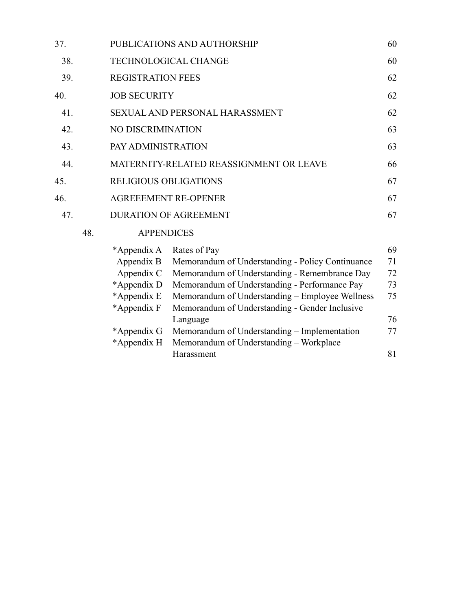| 37. |     | PUBLICATIONS AND AUTHORSHIP        |                                                  |    |  |  |  |
|-----|-----|------------------------------------|--------------------------------------------------|----|--|--|--|
| 38. |     | <b>TECHNOLOGICAL CHANGE</b>        |                                                  |    |  |  |  |
| 39. |     | <b>REGISTRATION FEES</b>           |                                                  |    |  |  |  |
| 40. |     | <b>JOB SECURITY</b>                |                                                  |    |  |  |  |
| 41. |     |                                    | SEXUAL AND PERSONAL HARASSMENT                   |    |  |  |  |
| 42. |     | NO DISCRIMINATION<br>63            |                                                  |    |  |  |  |
| 43. |     | PAY ADMINISTRATION<br>63           |                                                  |    |  |  |  |
| 44. |     |                                    | MATERNITY-RELATED REASSIGNMENT OR LEAVE<br>66    |    |  |  |  |
| 45. |     | <b>RELIGIOUS OBLIGATIONS</b><br>67 |                                                  |    |  |  |  |
| 46. |     | <b>AGREEEMENT RE-OPENER</b>        |                                                  |    |  |  |  |
| 47. |     |                                    | <b>DURATION OF AGREEMENT</b>                     | 67 |  |  |  |
|     | 48. | <b>APPENDICES</b>                  |                                                  |    |  |  |  |
|     |     | *Appendix A                        | Rates of Pay                                     | 69 |  |  |  |
|     |     | Appendix B                         | Memorandum of Understanding - Policy Continuance | 71 |  |  |  |
|     |     | Appendix C                         | Memorandum of Understanding - Remembrance Day    | 72 |  |  |  |
|     |     | *Appendix D                        | Memorandum of Understanding - Performance Pay    | 73 |  |  |  |
|     |     | *Appendix E                        | Memorandum of Understanding – Employee Wellness  | 75 |  |  |  |
|     |     | *Appendix F                        | Memorandum of Understanding - Gender Inclusive   |    |  |  |  |
|     |     |                                    | Language                                         | 76 |  |  |  |
|     |     | *Appendix G                        | Memorandum of Understanding - Implementation     | 77 |  |  |  |
|     |     | *Appendix H                        | Memorandum of Understanding - Workplace          |    |  |  |  |

Harassment 81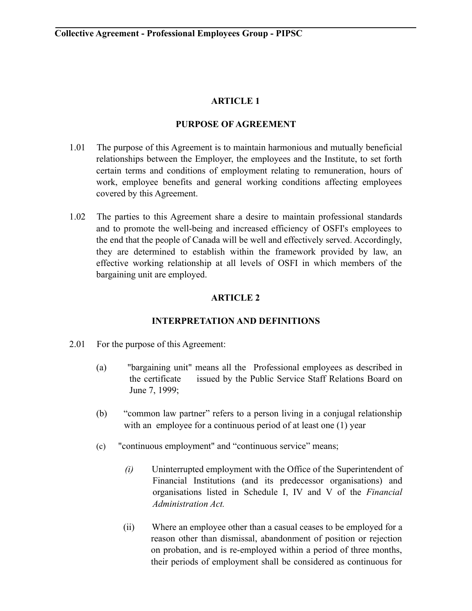# **ARTICLE 1**

## **PURPOSE OF AGREEMENT**

- 1.01 The purpose of this Agreement is to maintain harmonious and mutually beneficial relationships between the Employer, the employees and the Institute, to set forth certain terms and conditions of employment relating to remuneration, hours of work, employee benefits and general working conditions affecting employees covered by this Agreement.
- 1.02 The parties to this Agreement share a desire to maintain professional standards and to promote the well-being and increased efficiency of OSFI's employees to the end that the people of Canada will be well and effectively served. Accordingly, they are determined to establish within the framework provided by law, an effective working relationship at all levels of OSFI in which members of the bargaining unit are employed.

# **ARTICLE 2**

# **INTERPRETATION AND DEFINITIONS**

- 2.01 For the purpose of this Agreement:
	- (a) "bargaining unit" means all theProfessional employees as described in the certificate issued by the Public Service Staff Relations Board on June 7, 1999;
	- (b) "common law partner" refers to a person living in a conjugal relationship with an employee for a continuous period of at least one (1) year
	- (c) "continuous employment" and "continuous service" means;
		- *(i)* Uninterrupted employment with the Office of the Superintendent of Financial Institutions (and its predecessor organisations) and organisations listed in Schedule I, IV and V of the *Financial Administration Act.*
		- (ii) Where an employee other than a casual ceases to be employed for a reason other than dismissal, abandonment of position or rejection on probation, and is re-employed within a period of three months, their periods of employment shall be considered as continuous for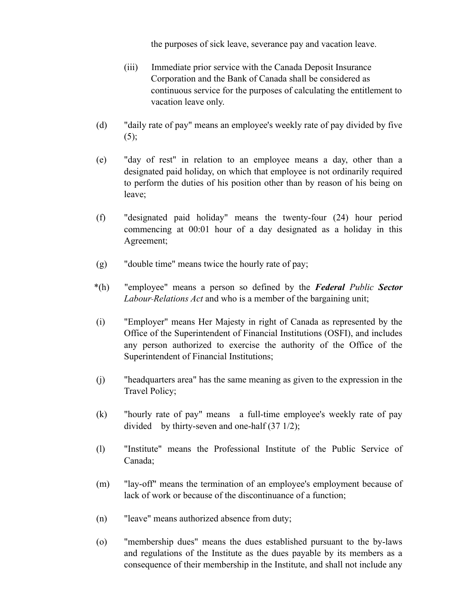the purposes of sick leave, severance pay and vacation leave.

- (iii) Immediate prior service with the Canada Deposit Insurance Corporation and the Bank of Canada shall be considered as continuous service for the purposes of calculating the entitlement to vacation leave only.
- (d) "daily rate of pay" means an employee's weekly rate of pay divided by five  $(5)$ ;
- (e) "day of rest" in relation to an employee means a day, other than a designated paid holiday, on which that employee is not ordinarily required to perform the duties of his position other than by reason of his being on leave;
- (f) "designated paid holiday" means the twenty-four (24) hour period commencing at 00:01 hour of a day designated as a holiday in this Agreement;
- (g) "double time" means twice the hourly rate of pay;
- \*(h) "employee" means a person so defined by the *Federal Public Sector Labour Relations Act* and who is a member of the bargaining unit;
- (i) "Employer" means Her Majesty in right of Canada as represented by the Office of the Superintendent of Financial Institutions (OSFI), and includes any person authorized to exercise the authority of the Office of the Superintendent of Financial Institutions;
- (j) "headquarters area" has the same meaning as given to the expression in the Travel Policy;
- (k) "hourly rate of pay" means a full-time employee's weekly rate of pay divided by thirty-seven and one-half (37 1/2);
- (l) "Institute" means the Professional Institute of the Public Service of Canada;
- (m) "lay-off" means the termination of an employee's employment because of lack of work or because of the discontinuance of a function;
- (n) "leave" means authorized absence from duty;
- (o) "membership dues" means the dues established pursuant to the by-laws and regulations of the Institute as the dues payable by its members as a consequence of their membership in the Institute, and shall not include any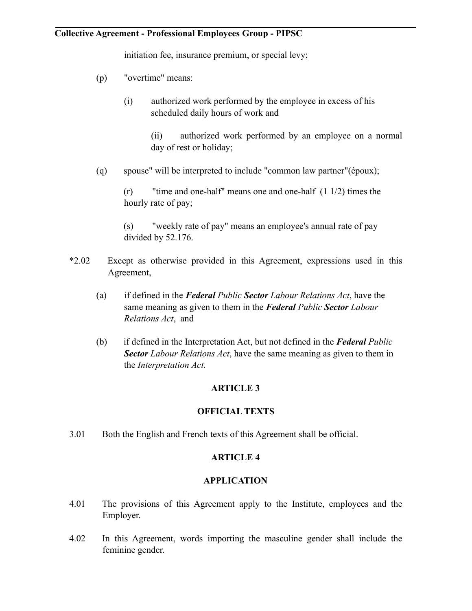initiation fee, insurance premium, or special levy;

- (p) "overtime" means:
	- (i) authorized work performed by the employee in excess of his scheduled daily hours of work and
		- (ii) authorized work performed by an employee on a normal day of rest or holiday;
- (q) spouse" will be interpreted to include "common law partner"(époux);

 (r) "time and one-half" means one and one-half (1 1/2) times the hourly rate of pay;

 (s) "weekly rate of pay" means an employee's annual rate of pay divided by 52.176.

- \*2.02 Except as otherwise provided in this Agreement, expressions used in this Agreement,
	- (a) if defined in the *Federal Public Sector Labour Relations Act*, have the same meaning as given to them in the *Federal Public Sector Labour Relations Act*, and
	- (b) if defined in the Interpretation Act, but not defined in the *Federal Public Sector Labour Relations Act*, have the same meaning as given to them in the *Interpretation Act.*

# **ARTICLE 3**

#### **OFFICIAL TEXTS**

3.01 Both the English and French texts of this Agreement shall be official.

#### **ARTICLE 4**

#### **APPLICATION**

- 4.01 The provisions of this Agreement apply to the Institute, employees and the Employer.
- 4.02 In this Agreement, words importing the masculine gender shall include the feminine gender.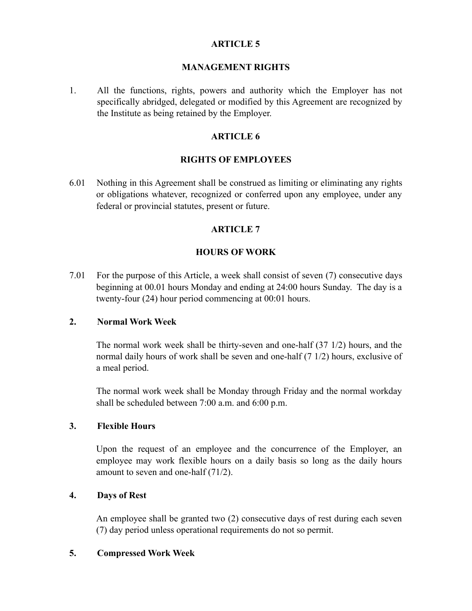### **ARTICLE 5**

#### **MANAGEMENT RIGHTS**

1. All the functions, rights, powers and authority which the Employer has not specifically abridged, delegated or modified by this Agreement are recognized by the Institute as being retained by the Employer.

## **ARTICLE 6**

### **RIGHTS OF EMPLOYEES**

6.01 Nothing in this Agreement shall be construed as limiting or eliminating any rights or obligations whatever, recognized or conferred upon any employee, under any federal or provincial statutes, present or future.

# **ARTICLE 7**

# **HOURS OF WORK**

7.01 For the purpose of this Article, a week shall consist of seven (7) consecutive days beginning at 00.01 hours Monday and ending at 24:00 hours Sunday. The day is a twenty-four (24) hour period commencing at 00:01 hours.

# **2. Normal Work Week**

The normal work week shall be thirty-seven and one-half (37 1/2) hours, and the normal daily hours of work shall be seven and one-half (7 1/2) hours, exclusive of a meal period.

The normal work week shall be Monday through Friday and the normal workday shall be scheduled between 7:00 a.m. and 6:00 p.m.

#### **3. Flexible Hours**

Upon the request of an employee and the concurrence of the Employer, an employee may work flexible hours on a daily basis so long as the daily hours amount to seven and one-half (71/2).

#### **4. Days of Rest**

An employee shall be granted two (2) consecutive days of rest during each seven (7) day period unless operational requirements do not so permit.

# **5. Compressed Work Week**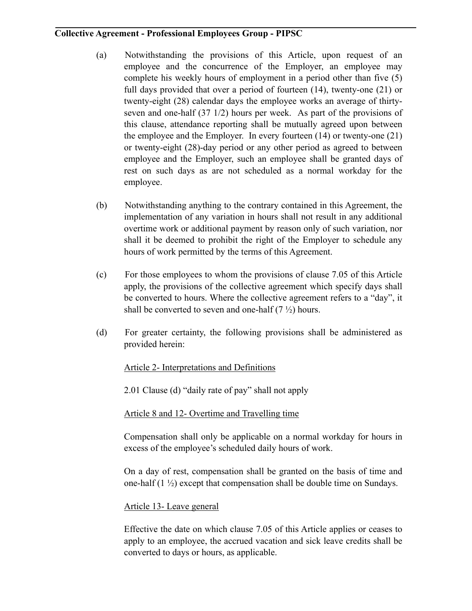- (a) Notwithstanding the provisions of this Article, upon request of an employee and the concurrence of the Employer, an employee may complete his weekly hours of employment in a period other than five (5) full days provided that over a period of fourteen (14), twenty-one (21) or twenty-eight (28) calendar days the employee works an average of thirtyseven and one-half (37 1/2) hours per week. As part of the provisions of this clause, attendance reporting shall be mutually agreed upon between the employee and the Employer. In every fourteen (14) or twenty-one (21) or twenty-eight (28)-day period or any other period as agreed to between employee and the Employer, such an employee shall be granted days of rest on such days as are not scheduled as a normal workday for the employee.
- (b) Notwithstanding anything to the contrary contained in this Agreement, the implementation of any variation in hours shall not result in any additional overtime work or additional payment by reason only of such variation, nor shall it be deemed to prohibit the right of the Employer to schedule any hours of work permitted by the terms of this Agreement.
- (c) For those employees to whom the provisions of clause 7.05 of this Article apply, the provisions of the collective agreement which specify days shall be converted to hours. Where the collective agreement refers to a "day", it shall be converted to seven and one-half  $(7 \frac{1}{2})$  hours.
- (d) For greater certainty, the following provisions shall be administered as provided herein:

# Article 2- Interpretations and Definitions

2.01 Clause (d) "daily rate of pay" shall not apply

# Article 8 and 12- Overtime and Travelling time

Compensation shall only be applicable on a normal workday for hours in excess of the employee's scheduled daily hours of work.

On a day of rest, compensation shall be granted on the basis of time and one-half  $(1 \frac{1}{2})$  except that compensation shall be double time on Sundays.

# Article 13- Leave general

 Effective the date on which clause 7.05 of this Article applies or ceases to apply to an employee, the accrued vacation and sick leave credits shall be converted to days or hours, as applicable.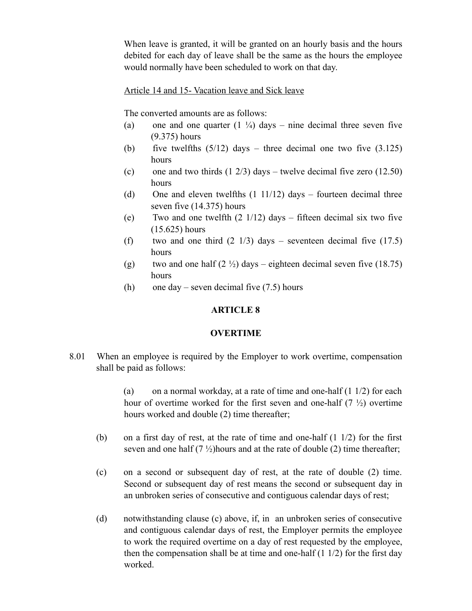When leave is granted, it will be granted on an hourly basis and the hours debited for each day of leave shall be the same as the hours the employee would normally have been scheduled to work on that day.

#### Article 14 and 15- Vacation leave and Sick leave

The converted amounts are as follows:

- (a) one and one quarter  $(1 \frac{1}{4})$  days nine decimal three seven five (9.375) hours
- (b) five twelfths  $(5/12)$  days three decimal one two five  $(3.125)$ hours
- (c) one and two thirds  $(1 \ 2/3)$  days twelve decimal five zero  $(12.50)$ hours
- (d) One and eleven twelfths  $(1 \t11/12)$  days fourteen decimal three seven five (14.375) hours
- (e) Two and one twelfth  $(2 \frac{1}{12})$  days fifteen decimal six two five (15.625) hours
- (f) two and one third  $(2 \frac{1}{3})$  days seventeen decimal five  $(17.5)$ hours
- (g) two and one half  $(2 \frac{1}{2})$  days eighteen decimal seven five (18.75) hours
- (h) one day seven decimal five  $(7.5)$  hours

## **ARTICLE 8**

#### **OVERTIME**

8.01 When an employee is required by the Employer to work overtime, compensation shall be paid as follows:

> (a) on a normal workday, at a rate of time and one-half  $(1 1/2)$  for each hour of overtime worked for the first seven and one-half  $(7 \frac{1}{2})$  overtime hours worked and double (2) time thereafter;

- (b) on a first day of rest, at the rate of time and one-half  $(1\ 1/2)$  for the first seven and one half  $(7\frac{1}{2})$ hours and at the rate of double (2) time thereafter;
- (c) on a second or subsequent day of rest, at the rate of double (2) time. Second or subsequent day of rest means the second or subsequent day in an unbroken series of consecutive and contiguous calendar days of rest;
- (d) notwithstanding clause (c) above, if, in an unbroken series of consecutive and contiguous calendar days of rest, the Employer permits the employee to work the required overtime on a day of rest requested by the employee, then the compensation shall be at time and one-half  $(1\ 1/2)$  for the first day worked.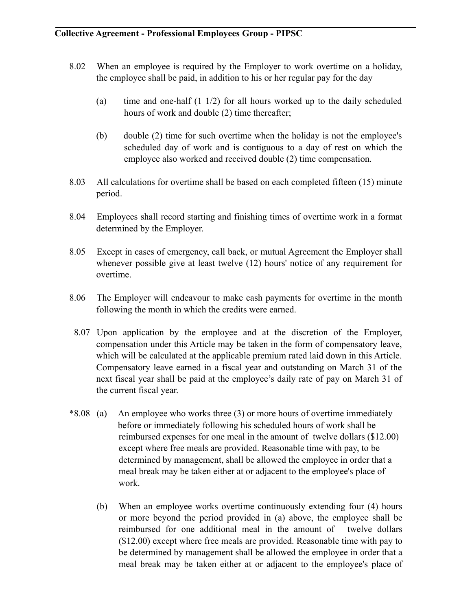- 8.02 When an employee is required by the Employer to work overtime on a holiday, the employee shall be paid, in addition to his or her regular pay for the day
	- (a) time and one-half (1 1/2) for all hours worked up to the daily scheduled hours of work and double (2) time thereafter;
	- (b) double (2) time for such overtime when the holiday is not the employee's scheduled day of work and is contiguous to a day of rest on which the employee also worked and received double (2) time compensation.
- 8.03 All calculations for overtime shall be based on each completed fifteen (15) minute period.
- 8.04 Employees shall record starting and finishing times of overtime work in a format determined by the Employer.
- 8.05 Except in cases of emergency, call back, or mutual Agreement the Employer shall whenever possible give at least twelve (12) hours' notice of any requirement for overtime.
- 8.06 The Employer will endeavour to make cash payments for overtime in the month following the month in which the credits were earned.
- 8.07 Upon application by the employee and at the discretion of the Employer, compensation under this Article may be taken in the form of compensatory leave, which will be calculated at the applicable premium rated laid down in this Article. Compensatory leave earned in a fiscal year and outstanding on March 31 of the next fiscal year shall be paid at the employee's daily rate of pay on March 31 of the current fiscal year.
- \*8.08 (a) An employee who works three (3) or more hours of overtime immediately before or immediately following his scheduled hours of work shall be reimbursed expenses for one meal in the amount of twelve dollars (\$12.00) except where free meals are provided. Reasonable time with pay, to be determined by management, shall be allowed the employee in order that a meal break may be taken either at or adjacent to the employee's place of work.
	- (b) When an employee works overtime continuously extending four (4) hours or more beyond the period provided in (a) above, the employee shall be reimbursed for one additional meal in the amount of twelve dollars (\$12.00) except where free meals are provided. Reasonable time with pay to be determined by management shall be allowed the employee in order that a meal break may be taken either at or adjacent to the employee's place of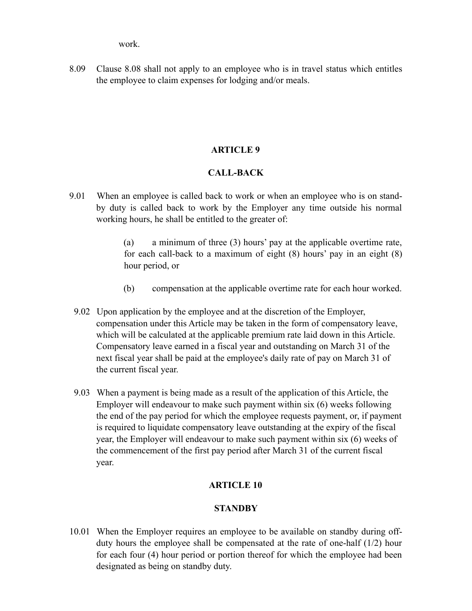work.

8.09 Clause 8.08 shall not apply to an employee who is in travel status which entitles the employee to claim expenses for lodging and/or meals.

# **ARTICLE 9**

# **CALL-BACK**

9.01 When an employee is called back to work or when an employee who is on standby duty is called back to work by the Employer any time outside his normal working hours, he shall be entitled to the greater of:

> (a) a minimum of three (3) hours' pay at the applicable overtime rate, for each call-back to a maximum of eight (8) hours' pay in an eight (8) hour period, or

- (b) compensation at the applicable overtime rate for each hour worked.
- 9.02 Upon application by the employee and at the discretion of the Employer, compensation under this Article may be taken in the form of compensatory leave, which will be calculated at the applicable premium rate laid down in this Article. Compensatory leave earned in a fiscal year and outstanding on March 31 of the next fiscal year shall be paid at the employee's daily rate of pay on March 31 of the current fiscal year.
- 9.03 When a payment is being made as a result of the application of this Article, the Employer will endeavour to make such payment within six (6) weeks following the end of the pay period for which the employee requests payment, or, if payment is required to liquidate compensatory leave outstanding at the expiry of the fiscal year, the Employer will endeavour to make such payment within six (6) weeks of the commencement of the first pay period after March 31 of the current fiscal year.

# **ARTICLE 10**

# **STANDBY**

10.01 When the Employer requires an employee to be available on standby during offduty hours the employee shall be compensated at the rate of one-half (1/2) hour for each four (4) hour period or portion thereof for which the employee had been designated as being on standby duty.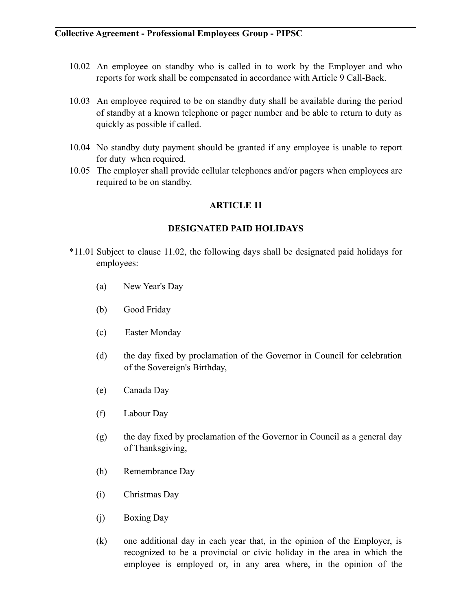- 10.02 An employee on standby who is called in to work by the Employer and who reports for work shall be compensated in accordance with Article 9 Call-Back.
- 10.03 An employee required to be on standby duty shall be available during the period of standby at a known telephone or pager number and be able to return to duty as quickly as possible if called.
- 10.04 No standby duty payment should be granted if any employee is unable to report for duty when required.
- 10.05 The employer shall provide cellular telephones and/or pagers when employees are required to be on standby.

# **ARTICLE 11**

# **DESIGNATED PAID HOLIDAYS**

- \*11.01 Subject to clause 11.02, the following days shall be designated paid holidays for employees:
	- (a) New Year's Day
	- (b) Good Friday
	- (c) Easter Monday
	- (d) the day fixed by proclamation of the Governor in Council for celebration of the Sovereign's Birthday,
	- (e) Canada Day
	- (f) Labour Day
	- (g) the day fixed by proclamation of the Governor in Council as a general day of Thanksgiving,
	- (h) Remembrance Day
	- (i) Christmas Day
	- (j) Boxing Day
	- (k) one additional day in each year that, in the opinion of the Employer, is recognized to be a provincial or civic holiday in the area in which the employee is employed or, in any area where, in the opinion of the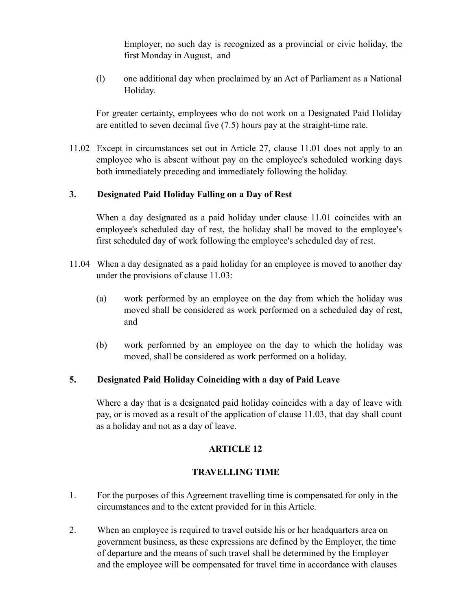Employer, no such day is recognized as a provincial or civic holiday, the first Monday in August, and

(l) one additional day when proclaimed by an Act of Parliament as a National Holiday.

For greater certainty, employees who do not work on a Designated Paid Holiday are entitled to seven decimal five (7.5) hours pay at the straight-time rate.

11.02 Except in circumstances set out in Article 27, clause 11.01 does not apply to an employee who is absent without pay on the employee's scheduled working days both immediately preceding and immediately following the holiday.

# **3. Designated Paid Holiday Falling on a Day of Rest**

When a day designated as a paid holiday under clause 11.01 coincides with an employee's scheduled day of rest, the holiday shall be moved to the employee's first scheduled day of work following the employee's scheduled day of rest.

- 11.04 When a day designated as a paid holiday for an employee is moved to another day under the provisions of clause 11.03:
	- (a) work performed by an employee on the day from which the holiday was moved shall be considered as work performed on a scheduled day of rest, and
	- (b) work performed by an employee on the day to which the holiday was moved, shall be considered as work performed on a holiday.

#### **5. Designated Paid Holiday Coinciding with a day of Paid Leave**

Where a day that is a designated paid holiday coincides with a day of leave with pay, or is moved as a result of the application of clause 11.03, that day shall count as a holiday and not as a day of leave.

# **ARTICLE 12**

# **TRAVELLING TIME**

- 1. For the purposes of this Agreement travelling time is compensated for only in the circumstances and to the extent provided for in this Article.
- 2. When an employee is required to travel outside his or her headquarters area on government business, as these expressions are defined by the Employer, the time of departure and the means of such travel shall be determined by the Employer and the employee will be compensated for travel time in accordance with clauses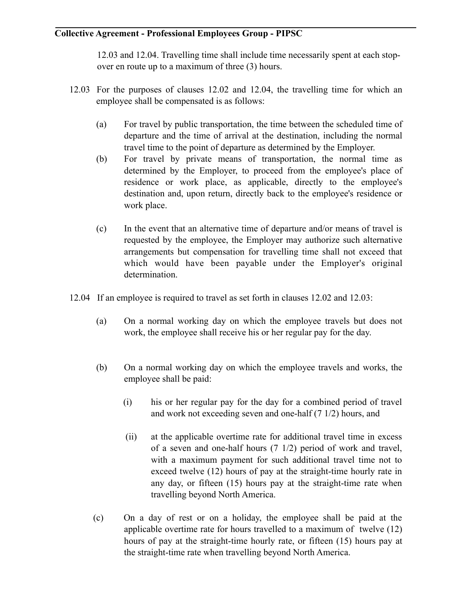12.03 and 12.04. Travelling time shall include time necessarily spent at each stopover en route up to a maximum of three (3) hours.

- 12.03 For the purposes of clauses 12.02 and 12.04, the travelling time for which an employee shall be compensated is as follows:
	- (a) For travel by public transportation, the time between the scheduled time of departure and the time of arrival at the destination, including the normal travel time to the point of departure as determined by the Employer.
	- (b) For travel by private means of transportation, the normal time as determined by the Employer, to proceed from the employee's place of residence or work place, as applicable, directly to the employee's destination and, upon return, directly back to the employee's residence or work place.
	- (c) In the event that an alternative time of departure and/or means of travel is requested by the employee, the Employer may authorize such alternative arrangements but compensation for travelling time shall not exceed that which would have been payable under the Employer's original determination.
- 12.04 If an employee is required to travel as set forth in clauses 12.02 and 12.03:
	- (a) On a normal working day on which the employee travels but does not work, the employee shall receive his or her regular pay for the day.
	- (b) On a normal working day on which the employee travels and works, the employee shall be paid:
		- (i) his or her regular pay for the day for a combined period of travel and work not exceeding seven and one-half (7 1/2) hours, and
		- (ii) at the applicable overtime rate for additional travel time in excess of a seven and one-half hours (7 1/2) period of work and travel, with a maximum payment for such additional travel time not to exceed twelve (12) hours of pay at the straight-time hourly rate in any day, or fifteen (15) hours pay at the straight-time rate when travelling beyond North America.
	- (c) On a day of rest or on a holiday, the employee shall be paid at the applicable overtime rate for hours travelled to a maximum of twelve (12) hours of pay at the straight-time hourly rate, or fifteen (15) hours pay at the straight-time rate when travelling beyond North America.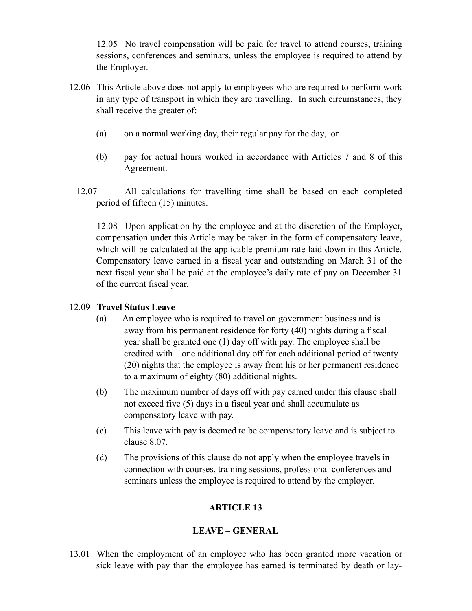12.05 No travel compensation will be paid for travel to attend courses, training sessions, conferences and seminars, unless the employee is required to attend by the Employer.

- 12.06 This Article above does not apply to employees who are required to perform work in any type of transport in which they are travelling. In such circumstances, they shall receive the greater of:
	- (a) on a normal working day, their regular pay for the day, or
	- (b) pay for actual hours worked in accordance with Articles 7 and 8 of this Agreement.
	- 12.07 All calculations for travelling time shall be based on each completed period of fifteen (15) minutes.

 12.08 Upon application by the employee and at the discretion of the Employer, compensation under this Article may be taken in the form of compensatory leave, which will be calculated at the applicable premium rate laid down in this Article. Compensatory leave earned in a fiscal year and outstanding on March 31 of the next fiscal year shall be paid at the employee's daily rate of pay on December 31 of the current fiscal year.

# 12.09 **Travel Status Leave**

- (a) An employee who is required to travel on government business and is away from his permanent residence for forty (40) nights during a fiscal year shall be granted one (1) day off with pay. The employee shall be credited with one additional day off for each additional period of twenty (20) nights that the employee is away from his or her permanent residence to a maximum of eighty (80) additional nights.
- (b) The maximum number of days off with pay earned under this clause shall not exceed five (5) days in a fiscal year and shall accumulate as compensatory leave with pay.
- (c) This leave with pay is deemed to be compensatory leave and is subject to clause 8.07.
- (d) The provisions of this clause do not apply when the employee travels in connection with courses, training sessions, professional conferences and seminars unless the employee is required to attend by the employer.

# **ARTICLE 13**

# **LEAVE – GENERAL**

13.01 When the employment of an employee who has been granted more vacation or sick leave with pay than the employee has earned is terminated by death or lay-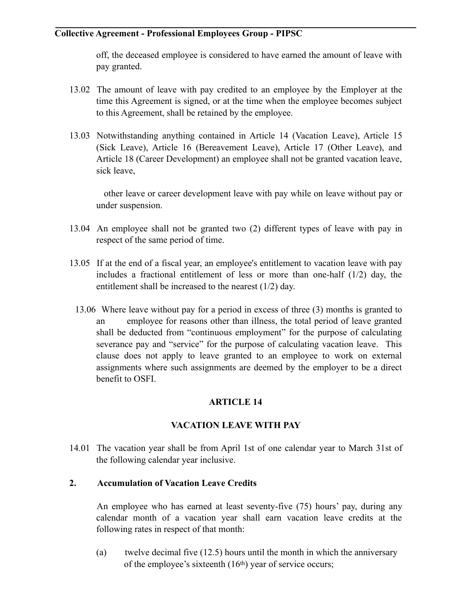off, the deceased employee is considered to have earned the amount of leave with pay granted.

- 13.02 The amount of leave with pay credited to an employee by the Employer at the time this Agreement is signed, or at the time when the employee becomes subject to this Agreement, shall be retained by the employee.
- 13.03 Notwithstanding anything contained in Article 14 (Vacation Leave), Article 15 (Sick Leave), Article 16 (Bereavement Leave), Article 17 (Other Leave), and Article 18 (Career Development) an employee shall not be granted vacation leave, sick leave,

 other leave or career development leave with pay while on leave without pay or under suspension.

- 13.04 An employee shall not be granted two (2) different types of leave with pay in respect of the same period of time.
- 13.05 If at the end of a fiscal year, an employee's entitlement to vacation leave with pay includes a fractional entitlement of less or more than one-half  $(1/2)$  day, the entitlement shall be increased to the nearest (1/2) day.
	- 13.06 Where leave without pay for a period in excess of three (3) months is granted to an employee for reasons other than illness, the total period of leave granted shall be deducted from "continuous employment" for the purpose of calculating severance pay and "service" for the purpose of calculating vacation leave. This clause does not apply to leave granted to an employee to work on external assignments where such assignments are deemed by the employer to be a direct benefit to OSFI.

# **ARTICLE 14**

# **VACATION LEAVE WITH PAY**

14.01 The vacation year shall be from April 1st of one calendar year to March 31st of the following calendar year inclusive.

# **2. Accumulation of Vacation Leave Credits**

 An employee who has earned at least seventy-five (75) hours' pay, during any calendar month of a vacation year shall earn vacation leave credits at the following rates in respect of that month:

(a) twelve decimal five (12.5) hours until the month in which the anniversary of the employee's sixteenth (16th) year of service occurs;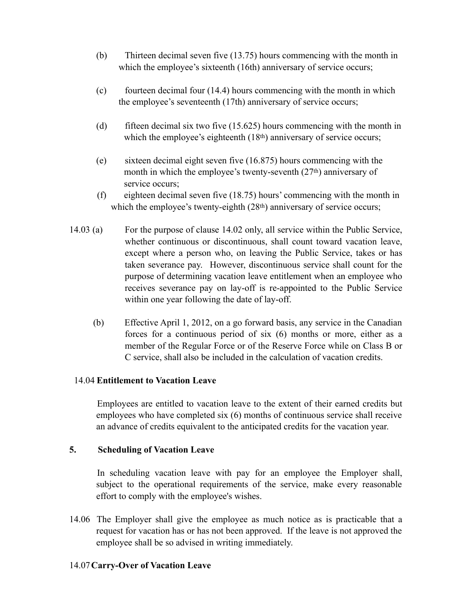- (b) Thirteen decimal seven five (13.75) hours commencing with the month in which the employee's sixteenth (16th) anniversary of service occurs;
- (c) fourteen decimal four  $(14.4)$  hours commencing with the month in which the employee's seventeenth (17th) anniversary of service occurs;
- (d) fifteen decimal six two five  $(15.625)$  hours commencing with the month in which the employee's eighteenth (18<sup>th</sup>) anniversary of service occurs;
- (e) sixteen decimal eight seven five (16.875) hours commencing with the month in which the employee's twenty-seventh (27th) anniversary of service occurs;
- (f) eighteen decimal seven five (18.75) hours' commencing with the month in which the employee's twenty-eighth (28<sup>th</sup>) anniversary of service occurs;
- 14.03 (a) For the purpose of clause 14.02 only, all service within the Public Service, whether continuous or discontinuous, shall count toward vacation leave, except where a person who, on leaving the Public Service, takes or has taken severance pay. However, discontinuous service shall count for the purpose of determining vacation leave entitlement when an employee who receives severance pay on lay-off is re-appointed to the Public Service within one year following the date of lay-off.
	- (b) Effective April 1, 2012, on a go forward basis, any service in the Canadian forces for a continuous period of six (6) months or more, either as a member of the Regular Force or of the Reserve Force while on Class B or C service, shall also be included in the calculation of vacation credits.

# 14.04 **Entitlement to Vacation Leave**

 Employees are entitled to vacation leave to the extent of their earned credits but employees who have completed six (6) months of continuous service shall receive an advance of credits equivalent to the anticipated credits for the vacation year.

# **5. Scheduling of Vacation Leave**

 In scheduling vacation leave with pay for an employee the Employer shall, subject to the operational requirements of the service, make every reasonable effort to comply with the employee's wishes.

14.06 The Employer shall give the employee as much notice as is practicable that a request for vacation has or has not been approved. If the leave is not approved the employee shall be so advised in writing immediately.

# 14.07 **Carry-Over of Vacation Leave**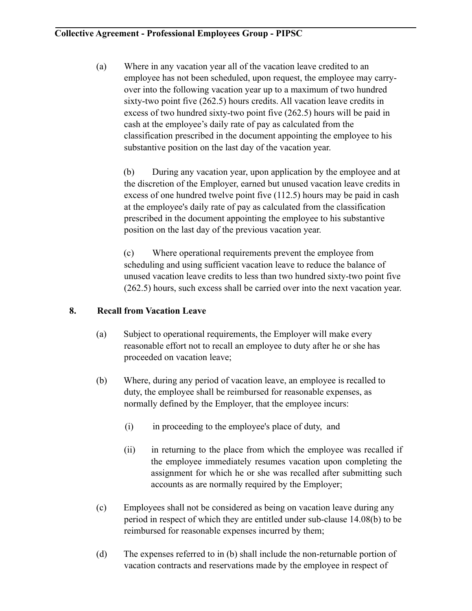(a) Where in any vacation year all of the vacation leave credited to an employee has not been scheduled, upon request, the employee may carryover into the following vacation year up to a maximum of two hundred sixty-two point five (262.5) hours credits. All vacation leave credits in excess of two hundred sixty-two point five (262.5) hours will be paid in cash at the employee's daily rate of pay as calculated from the classification prescribed in the document appointing the employee to his substantive position on the last day of the vacation year.

(b) During any vacation year, upon application by the employee and at the discretion of the Employer, earned but unused vacation leave credits in excess of one hundred twelve point five (112.5) hours may be paid in cash at the employee's daily rate of pay as calculated from the classification prescribed in the document appointing the employee to his substantive position on the last day of the previous vacation year.

 (c) Where operational requirements prevent the employee from scheduling and using sufficient vacation leave to reduce the balance of unused vacation leave credits to less than two hundred sixty-two point five (262.5) hours, such excess shall be carried over into the next vacation year.

# **8. Recall from Vacation Leave**

- (a) Subject to operational requirements, the Employer will make every reasonable effort not to recall an employee to duty after he or she has proceeded on vacation leave;
- (b) Where, during any period of vacation leave, an employee is recalled to duty, the employee shall be reimbursed for reasonable expenses, as normally defined by the Employer, that the employee incurs:
	- (i) in proceeding to the employee's place of duty, and
	- (ii) in returning to the place from which the employee was recalled if the employee immediately resumes vacation upon completing the assignment for which he or she was recalled after submitting such accounts as are normally required by the Employer;
- (c) Employees shall not be considered as being on vacation leave during any period in respect of which they are entitled under sub-clause 14.08(b) to be reimbursed for reasonable expenses incurred by them;
- (d) The expenses referred to in (b) shall include the non-returnable portion of vacation contracts and reservations made by the employee in respect of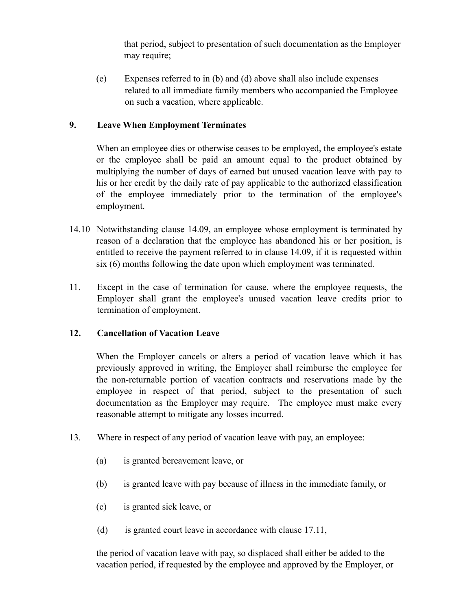that period, subject to presentation of such documentation as the Employer may require;

(e) Expenses referred to in (b) and (d) above shall also include expenses related to all immediate family members who accompanied the Employee on such a vacation, where applicable.

# **9. Leave When Employment Terminates**

When an employee dies or otherwise ceases to be employed, the employee's estate or the employee shall be paid an amount equal to the product obtained by multiplying the number of days of earned but unused vacation leave with pay to his or her credit by the daily rate of pay applicable to the authorized classification of the employee immediately prior to the termination of the employee's employment.

- 14.10 Notwithstanding clause 14.09, an employee whose employment is terminated by reason of a declaration that the employee has abandoned his or her position, is entitled to receive the payment referred to in clause 14.09, if it is requested within six (6) months following the date upon which employment was terminated.
- 11. Except in the case of termination for cause, where the employee requests, the Employer shall grant the employee's unused vacation leave credits prior to termination of employment.

# **12. Cancellation of Vacation Leave**

When the Employer cancels or alters a period of vacation leave which it has previously approved in writing, the Employer shall reimburse the employee for the non-returnable portion of vacation contracts and reservations made by the employee in respect of that period, subject to the presentation of such documentation as the Employer may require. The employee must make every reasonable attempt to mitigate any losses incurred.

- 13. Where in respect of any period of vacation leave with pay, an employee:
	- (a) is granted bereavement leave, or
	- (b) is granted leave with pay because of illness in the immediate family, or
	- (c) is granted sick leave, or
	- (d) is granted court leave in accordance with clause 17.11,

the period of vacation leave with pay, so displaced shall either be added to the vacation period, if requested by the employee and approved by the Employer, or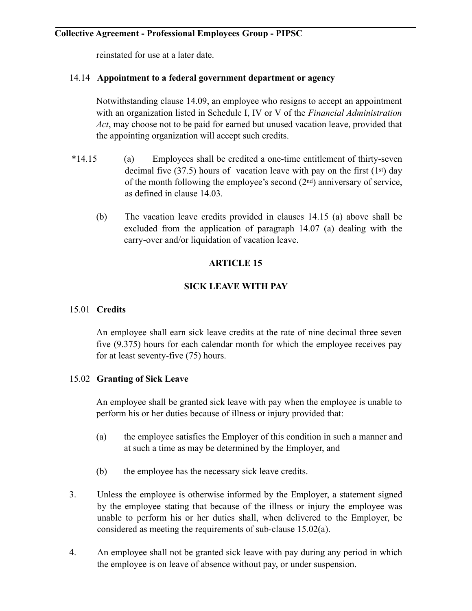reinstated for use at a later date.

# 14.14 **Appointment to a federal government department or agency**

Notwithstanding clause 14.09, an employee who resigns to accept an appointment with an organization listed in Schedule I, IV or V of the *Financial Administration Act*, may choose not to be paid for earned but unused vacation leave, provided that the appointing organization will accept such credits.

- \*14.15 (a) Employees shall be credited a one-time entitlement of thirty-seven decimal five (37.5) hours of vacation leave with pay on the first (1<sup>st</sup>) day of the month following the employee's second  $(2<sup>nd</sup>)$  anniversary of service, as defined in clause 14.03.
	- (b) The vacation leave credits provided in clauses 14.15 (a) above shall be excluded from the application of paragraph 14.07 (a) dealing with the carry-over and/or liquidation of vacation leave.

# **ARTICLE 15**

# **SICK LEAVE WITH PAY**

# 15.01 **Credits**

An employee shall earn sick leave credits at the rate of nine decimal three seven five (9.375) hours for each calendar month for which the employee receives pay for at least seventy-five (75) hours.

# 15.02 **Granting of Sick Leave**

An employee shall be granted sick leave with pay when the employee is unable to perform his or her duties because of illness or injury provided that:

- (a) the employee satisfies the Employer of this condition in such a manner and at such a time as may be determined by the Employer, and
- (b) the employee has the necessary sick leave credits.
- 3. Unless the employee is otherwise informed by the Employer, a statement signed by the employee stating that because of the illness or injury the employee was unable to perform his or her duties shall, when delivered to the Employer, be considered as meeting the requirements of sub-clause 15.02(a).
- 4. An employee shall not be granted sick leave with pay during any period in which the employee is on leave of absence without pay, or under suspension.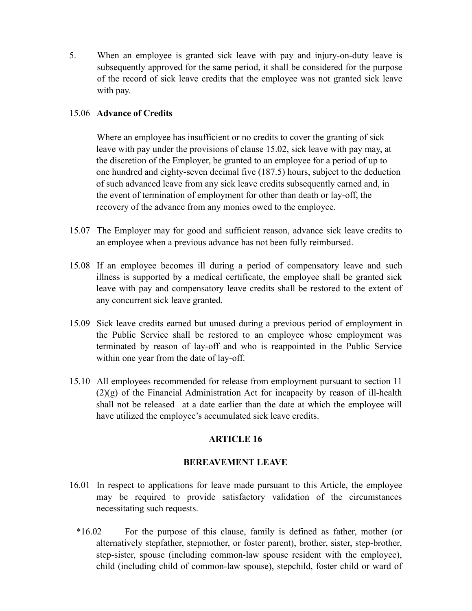5. When an employee is granted sick leave with pay and injury-on-duty leave is subsequently approved for the same period, it shall be considered for the purpose of the record of sick leave credits that the employee was not granted sick leave with pay.

# 15.06 **Advance of Credits**

 Where an employee has insufficient or no credits to cover the granting of sick leave with pay under the provisions of clause 15.02, sick leave with pay may, at the discretion of the Employer, be granted to an employee for a period of up to one hundred and eighty-seven decimal five (187.5) hours, subject to the deduction of such advanced leave from any sick leave credits subsequently earned and, in the event of termination of employment for other than death or lay-off, the recovery of the advance from any monies owed to the employee.

- 15.07 The Employer may for good and sufficient reason, advance sick leave credits to an employee when a previous advance has not been fully reimbursed.
- 15.08 If an employee becomes ill during a period of compensatory leave and such illness is supported by a medical certificate, the employee shall be granted sick leave with pay and compensatory leave credits shall be restored to the extent of any concurrent sick leave granted.
- 15.09 Sick leave credits earned but unused during a previous period of employment in the Public Service shall be restored to an employee whose employment was terminated by reason of lay-off and who is reappointed in the Public Service within one year from the date of lay-off.
- 15.10 All employees recommended for release from employment pursuant to section 11 (2)(g) of the Financial Administration Act for incapacity by reason of ill-health shall not be released at a date earlier than the date at which the employee will have utilized the employee's accumulated sick leave credits.

# **ARTICLE 16**

# **BEREAVEMENT LEAVE**

- 16.01 In respect to applications for leave made pursuant to this Article, the employee may be required to provide satisfactory validation of the circumstances necessitating such requests.
	- \*16.02 For the purpose of this clause, family is defined as father, mother (or alternatively stepfather, stepmother, or foster parent), brother, sister, step-brother, step-sister, spouse (including common-law spouse resident with the employee), child (including child of common-law spouse), stepchild, foster child or ward of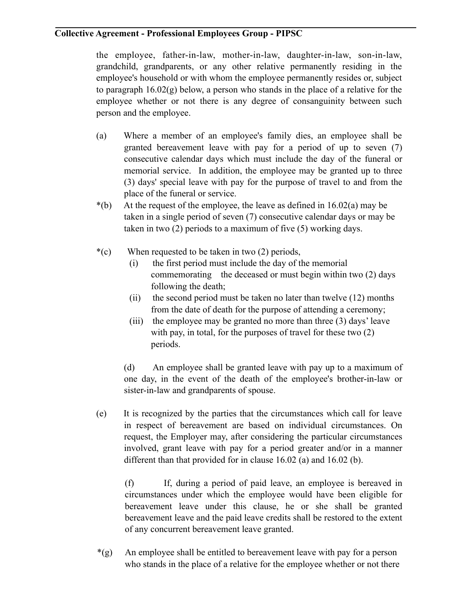the employee, father-in-law, mother-in-law, daughter-in-law, son-in-law, grandchild, grandparents, or any other relative permanently residing in the employee's household or with whom the employee permanently resides or, subject to paragraph 16.02(g) below, a person who stands in the place of a relative for the employee whether or not there is any degree of consanguinity between such person and the employee.

- (a) Where a member of an employee's family dies, an employee shall be granted bereavement leave with pay for a period of up to seven (7) consecutive calendar days which must include the day of the funeral or memorial service. In addition, the employee may be granted up to three (3) days' special leave with pay for the purpose of travel to and from the place of the funeral or service.
- $*(b)$  At the request of the employee, the leave as defined in 16.02(a) may be taken in a single period of seven (7) consecutive calendar days or may be taken in two (2) periods to a maximum of five (5) working days.
- \*(c) When requested to be taken in two (2) periods,
	- (i) the first period must include the day of the memorial commemorating the deceased or must begin within two (2) days following the death;
	- (ii) the second period must be taken no later than twelve (12) months from the date of death for the purpose of attending a ceremony;
	- (iii) the employee may be granted no more than three (3) days' leave with pay, in total, for the purposes of travel for these two  $(2)$ periods.

 (d) An employee shall be granted leave with pay up to a maximum of one day, in the event of the death of the employee's brother-in-law or sister-in-law and grandparents of spouse.

(e) It is recognized by the parties that the circumstances which call for leave in respect of bereavement are based on individual circumstances. On request, the Employer may, after considering the particular circumstances involved, grant leave with pay for a period greater and/or in a manner different than that provided for in clause 16.02 (a) and 16.02 (b).

 (f) If, during a period of paid leave, an employee is bereaved in circumstances under which the employee would have been eligible for bereavement leave under this clause, he or she shall be granted bereavement leave and the paid leave credits shall be restored to the extent of any concurrent bereavement leave granted.

\*(g) An employee shall be entitled to bereavement leave with pay for a person who stands in the place of a relative for the employee whether or not there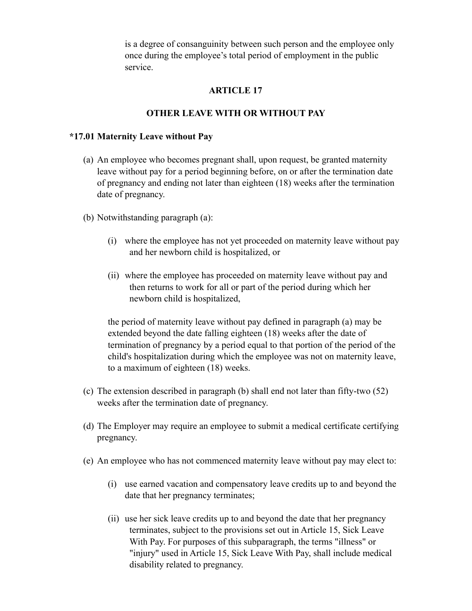is a degree of consanguinity between such person and the employee only once during the employee's total period of employment in the public service.

# **ARTICLE 17**

# **OTHER LEAVE WITH OR WITHOUT PAY**

### **\*17.01 Maternity Leave without Pay**

- (a) An employee who becomes pregnant shall, upon request, be granted maternity leave without pay for a period beginning before, on or after the termination date of pregnancy and ending not later than eighteen (18) weeks after the termination date of pregnancy.
- (b) Notwithstanding paragraph (a):
	- (i) where the employee has not yet proceeded on maternity leave without pay and her newborn child is hospitalized, or
	- (ii) where the employee has proceeded on maternity leave without pay and then returns to work for all or part of the period during which her newborn child is hospitalized,

the period of maternity leave without pay defined in paragraph (a) may be extended beyond the date falling eighteen (18) weeks after the date of termination of pregnancy by a period equal to that portion of the period of the child's hospitalization during which the employee was not on maternity leave, to a maximum of eighteen (18) weeks.

- (c) The extension described in paragraph (b) shall end not later than fifty-two (52) weeks after the termination date of pregnancy.
- (d) The Employer may require an employee to submit a medical certificate certifying pregnancy.
- (e) An employee who has not commenced maternity leave without pay may elect to:
	- (i) use earned vacation and compensatory leave credits up to and beyond the date that her pregnancy terminates;
	- (ii) use her sick leave credits up to and beyond the date that her pregnancy terminates, subject to the provisions set out in Article 15, Sick Leave With Pay. For purposes of this subparagraph, the terms "illness" or "injury" used in Article 15, Sick Leave With Pay, shall include medical disability related to pregnancy.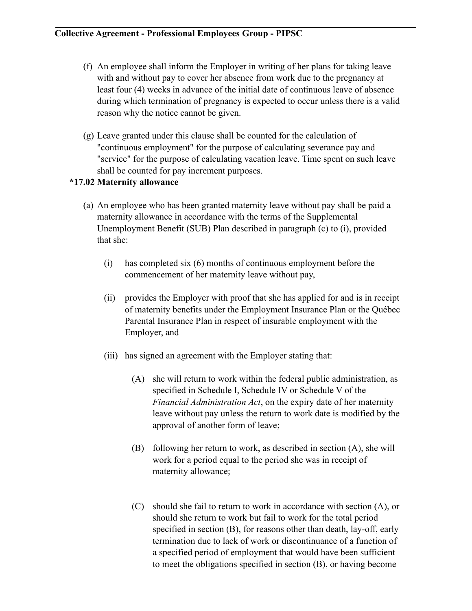- (f) An employee shall inform the Employer in writing of her plans for taking leave with and without pay to cover her absence from work due to the pregnancy at least four (4) weeks in advance of the initial date of continuous leave of absence during which termination of pregnancy is expected to occur unless there is a valid reason why the notice cannot be given.
- (g) Leave granted under this clause shall be counted for the calculation of "continuous employment" for the purpose of calculating severance pay and "service" for the purpose of calculating vacation leave. Time spent on such leave shall be counted for pay increment purposes.

# **\*17.02 Maternity allowance**

- (a) An employee who has been granted maternity leave without pay shall be paid a maternity allowance in accordance with the terms of the Supplemental Unemployment Benefit (SUB) Plan described in paragraph (c) to (i), provided that she:
	- (i) has completed six (6) months of continuous employment before the commencement of her maternity leave without pay,
	- (ii) provides the Employer with proof that she has applied for and is in receipt of maternity benefits under the Employment Insurance Plan or the Québec Parental Insurance Plan in respect of insurable employment with the Employer, and
	- (iii) has signed an agreement with the Employer stating that:
		- (A) she will return to work within the federal public administration, as specified in Schedule I, Schedule IV or Schedule V of the *Financial Administration Act*, on the expiry date of her maternity leave without pay unless the return to work date is modified by the approval of another form of leave;
		- (B) following her return to work, as described in section (A), she will work for a period equal to the period she was in receipt of maternity allowance;
		- (C) should she fail to return to work in accordance with section (A), or should she return to work but fail to work for the total period specified in section (B), for reasons other than death, lay-off, early termination due to lack of work or discontinuance of a function of a specified period of employment that would have been sufficient to meet the obligations specified in section (B), or having become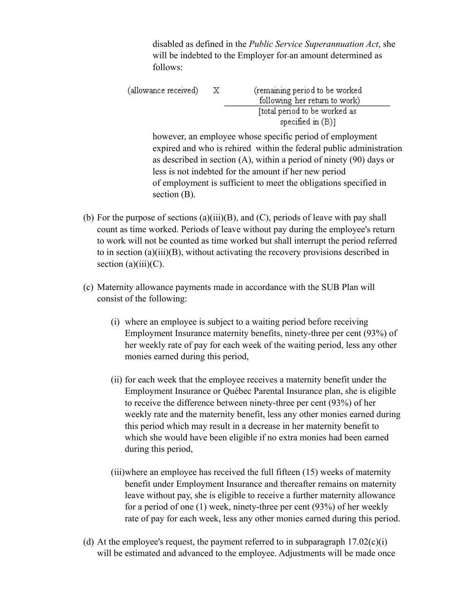disabled as defined in the *Public Service Superannuation Act*, she will be indebted to the Employer for-an amount determined as follows:

| (allowance received) | X. | (remaining period to be worked<br>following her return to work) |
|----------------------|----|-----------------------------------------------------------------|
|                      |    | [total period to be worked as<br>specified in $(B)$ ]           |

however, an employee whose specific period of employment expired and who is rehired within the federal public administration as described in section (A), within a period of ninety (90) days or less is not indebted for the amount if her new period of employment is sufficient to meet the obligations specified in section (B).

- (b) For the purpose of sections (a)(iii)(B), and (C), periods of leave with pay shall count as time worked. Periods of leave without pay during the employee's return to work will not be counted as time worked but shall interrupt the period referred to in section (a)(iii)(B), without activating the recovery provisions described in section  $(a)(iii)(C)$ .
- (c) Maternity allowance payments made in accordance with the SUB Plan will consist of the following:
	- (i) where an employee is subject to a waiting period before receiving Employment Insurance maternity benefits, ninety-three per cent (93%) of her weekly rate of pay for each week of the waiting period, less any other monies earned during this period,
	- (ii) for each week that the employee receives a maternity benefit under the Employment Insurance or Québec Parental Insurance plan, she is eligible to receive the difference between ninety-three per cent (93%) of her weekly rate and the maternity benefit, less any other monies earned during this period which may result in a decrease in her maternity benefit to which she would have been eligible if no extra monies had been earned during this period,
	- (iii)where an employee has received the full fifteen (15) weeks of maternity benefit under Employment Insurance and thereafter remains on maternity leave without pay, she is eligible to receive a further maternity allowance for a period of one (1) week, ninety-three per cent (93%) of her weekly rate of pay for each week, less any other monies earned during this period.
- (d) At the employee's request, the payment referred to in subparagraph  $17.02(c)(i)$ will be estimated and advanced to the employee. Adjustments will be made once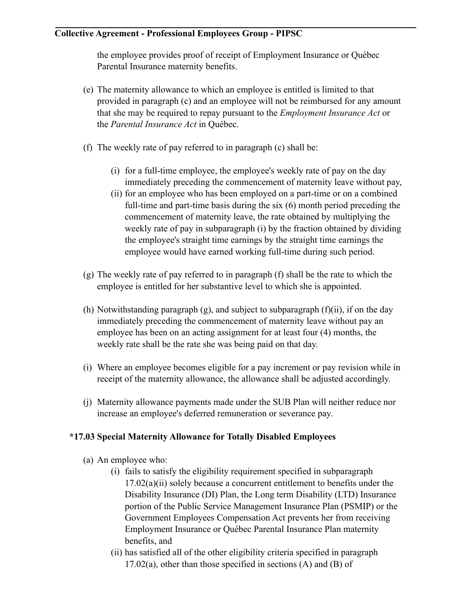the employee provides proof of receipt of Employment Insurance or Québec Parental Insurance maternity benefits.

- (e) The maternity allowance to which an employee is entitled is limited to that provided in paragraph (c) and an employee will not be reimbursed for any amount that she may be required to repay pursuant to the *Employment Insurance Act* or the *Parental Insurance Act* in Québec.
- (f) The weekly rate of pay referred to in paragraph (c) shall be:
	- (i) for a full-time employee, the employee's weekly rate of pay on the day immediately preceding the commencement of maternity leave without pay,
	- (ii) for an employee who has been employed on a part-time or on a combined full-time and part-time basis during the six (6) month period preceding the commencement of maternity leave, the rate obtained by multiplying the weekly rate of pay in subparagraph (i) by the fraction obtained by dividing the employee's straight time earnings by the straight time earnings the employee would have earned working full-time during such period.
- (g) The weekly rate of pay referred to in paragraph (f) shall be the rate to which the employee is entitled for her substantive level to which she is appointed.
- (h) Notwithstanding paragraph  $(g)$ , and subject to subparagraph  $(f)(ii)$ , if on the day immediately preceding the commencement of maternity leave without pay an employee has been on an acting assignment for at least four (4) months, the weekly rate shall be the rate she was being paid on that day.
- (i) Where an employee becomes eligible for a pay increment or pay revision while in receipt of the maternity allowance, the allowance shall be adjusted accordingly.
- (j) Maternity allowance payments made under the SUB Plan will neither reduce nor increase an employee's deferred remuneration or severance pay.

# **\*17.03 Special Maternity Allowance for Totally Disabled Employees**

- (a) An employee who:
	- (i) fails to satisfy the eligibility requirement specified in subparagraph 17.02(a)(ii) solely because a concurrent entitlement to benefits under the Disability Insurance (DI) Plan, the Long term Disability (LTD) Insurance portion of the Public Service Management Insurance Plan (PSMIP) or the Government Employees Compensation Act prevents her from receiving Employment Insurance or Québec Parental Insurance Plan maternity benefits, and
	- (ii) has satisfied all of the other eligibility criteria specified in paragraph  $17.02(a)$ , other than those specified in sections (A) and (B) of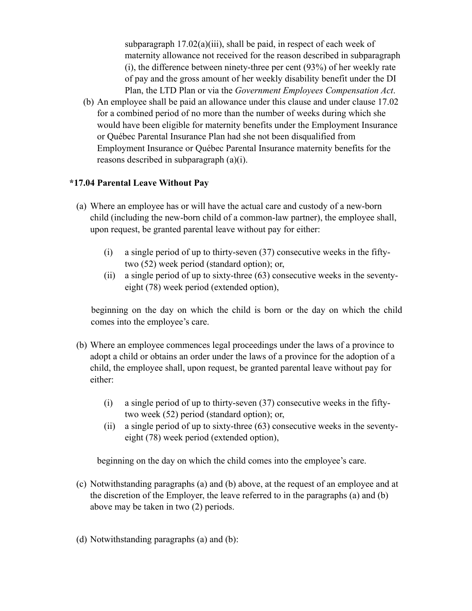subparagraph  $17.02(a)(iii)$ , shall be paid, in respect of each week of maternity allowance not received for the reason described in subparagraph (i), the difference between ninety-three per cent (93%) of her weekly rate of pay and the gross amount of her weekly disability benefit under the DI Plan, the LTD Plan or via the *Government Employees Compensation Act*.

(b) An employee shall be paid an allowance under this clause and under clause 17.02 for a combined period of no more than the number of weeks during which she would have been eligible for maternity benefits under the Employment Insurance or Québec Parental Insurance Plan had she not been disqualified from Employment Insurance or Québec Parental Insurance maternity benefits for the reasons described in subparagraph (a)(i).

### **\*17.04 Parental Leave Without Pay**

- (a) Where an employee has or will have the actual care and custody of a new-born child (including the new-born child of a common-law partner), the employee shall, upon request, be granted parental leave without pay for either:
	- (i) a single period of up to thirty-seven (37) consecutive weeks in the fiftytwo (52) week period (standard option); or,
	- (ii) a single period of up to sixty-three (63) consecutive weeks in the seventyeight (78) week period (extended option),

 beginning on the day on which the child is born or the day on which the child comes into the employee's care.

- (b) Where an employee commences legal proceedings under the laws of a province to adopt a child or obtains an order under the laws of a province for the adoption of a child, the employee shall, upon request, be granted parental leave without pay for either:
	- (i) a single period of up to thirty-seven (37) consecutive weeks in the fiftytwo week (52) period (standard option); or,
	- (ii) a single period of up to sixty-three (63) consecutive weeks in the seventyeight (78) week period (extended option),

beginning on the day on which the child comes into the employee's care.

- (c) Notwithstanding paragraphs (a) and (b) above, at the request of an employee and at the discretion of the Employer, the leave referred to in the paragraphs (a) and (b) above may be taken in two (2) periods.
- (d) Notwithstanding paragraphs (a) and (b):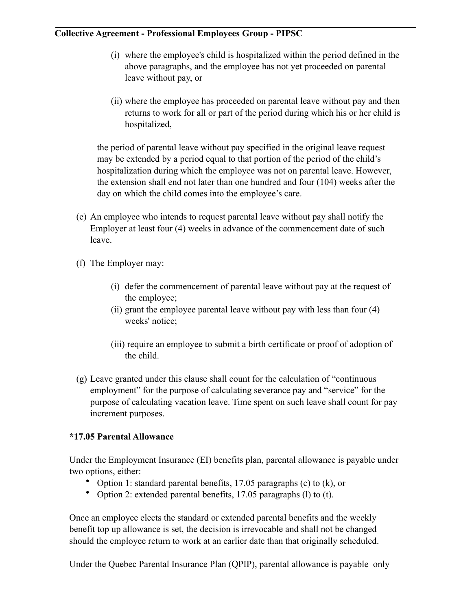- (i) where the employee's child is hospitalized within the period defined in the above paragraphs, and the employee has not yet proceeded on parental leave without pay, or
- (ii) where the employee has proceeded on parental leave without pay and then returns to work for all or part of the period during which his or her child is hospitalized,

the period of parental leave without pay specified in the original leave request may be extended by a period equal to that portion of the period of the child's hospitalization during which the employee was not on parental leave. However, the extension shall end not later than one hundred and four (104) weeks after the day on which the child comes into the employee's care.

- (e) An employee who intends to request parental leave without pay shall notify the Employer at least four (4) weeks in advance of the commencement date of such leave.
- (f) The Employer may:
	- (i) defer the commencement of parental leave without pay at the request of the employee;
	- (ii) grant the employee parental leave without pay with less than four (4) weeks' notice;
	- (iii) require an employee to submit a birth certificate or proof of adoption of the child.
- (g) Leave granted under this clause shall count for the calculation of "continuous employment" for the purpose of calculating severance pay and "service" for the purpose of calculating vacation leave. Time spent on such leave shall count for pay increment purposes.

# **\*17.05 Parental Allowance**

Under the Employment Insurance (EI) benefits plan, parental allowance is payable under two options, either:

- Option 1: standard parental benefits, 17.05 paragraphs (c) to (k), or
- Option 2: extended parental benefits, 17.05 paragraphs (l) to (t).

Once an employee elects the standard or extended parental benefits and the weekly benefit top up allowance is set, the decision is irrevocable and shall not be changed should the employee return to work at an earlier date than that originally scheduled.

Under the Quebec Parental Insurance Plan (QPIP), parental allowance is payable only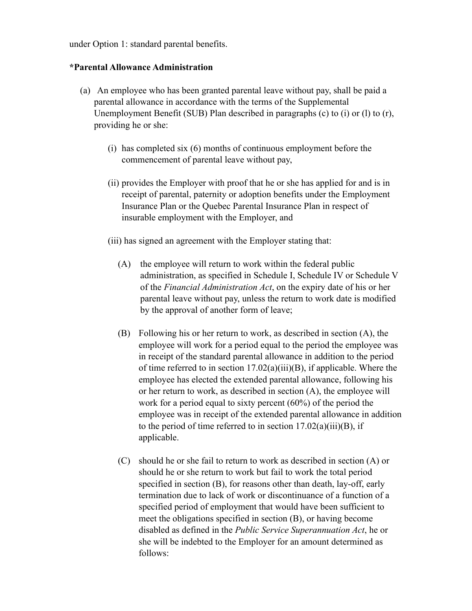under Option 1: standard parental benefits.

### **\*Parental Allowance Administration**

- (a) An employee who has been granted parental leave without pay, shall be paid a parental allowance in accordance with the terms of the Supplemental Unemployment Benefit (SUB) Plan described in paragraphs (c) to (i) or (l) to (r), providing he or she:
	- (i) has completed six (6) months of continuous employment before the commencement of parental leave without pay,
	- (ii) provides the Employer with proof that he or she has applied for and is in receipt of parental, paternity or adoption benefits under the Employment Insurance Plan or the Quebec Parental Insurance Plan in respect of insurable employment with the Employer, and
	- (iii) has signed an agreement with the Employer stating that:
		- (A) the employee will return to work within the federal public administration, as specified in Schedule I, Schedule IV or Schedule V of the *Financial Administration Act*, on the expiry date of his or her parental leave without pay, unless the return to work date is modified by the approval of another form of leave;
		- (B) Following his or her return to work, as described in section (A), the employee will work for a period equal to the period the employee was in receipt of the standard parental allowance in addition to the period of time referred to in section  $17.02(a)(iii)(B)$ , if applicable. Where the employee has elected the extended parental allowance, following his or her return to work, as described in section (A), the employee will work for a period equal to sixty percent (60%) of the period the employee was in receipt of the extended parental allowance in addition to the period of time referred to in section  $17.02(a)(iii)(B)$ , if applicable.
		- (C) should he or she fail to return to work as described in section (A) or should he or she return to work but fail to work the total period specified in section (B), for reasons other than death, lay-off, early termination due to lack of work or discontinuance of a function of a specified period of employment that would have been sufficient to meet the obligations specified in section (B), or having become disabled as defined in the *Public Service Superannuation Act*, he or she will be indebted to the Employer for an amount determined as follows: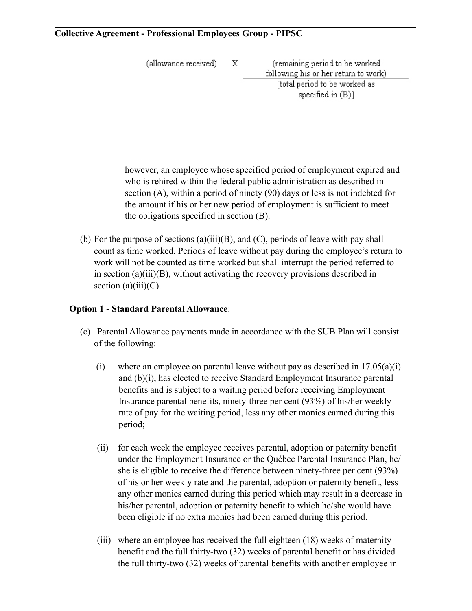(allowance received)

X.

(remaining period to be worked following his or her return to work) [total period to be worked as specified in  $(B)$ ]

however, an employee whose specified period of employment expired and who is rehired within the federal public administration as described in section (A), within a period of ninety (90) days or less is not indebted for the amount if his or her new period of employment is sufficient to meet the obligations specified in section (B).

(b) For the purpose of sections (a)(iii)(B), and (C), periods of leave with pay shall count as time worked. Periods of leave without pay during the employee's return to work will not be counted as time worked but shall interrupt the period referred to in section (a)(iii)(B), without activating the recovery provisions described in section  $(a)(iii)(C)$ .

# **Option 1 - Standard Parental Allowance**:

- (c) Parental Allowance payments made in accordance with the SUB Plan will consist of the following:
	- (i) where an employee on parental leave without pay as described in  $17.05(a)(i)$ and (b)(i), has elected to receive Standard Employment Insurance parental benefits and is subject to a waiting period before receiving Employment Insurance parental benefits, ninety-three per cent (93%) of his/her weekly rate of pay for the waiting period, less any other monies earned during this period;
	- (ii) for each week the employee receives parental, adoption or paternity benefit under the Employment Insurance or the Québec Parental Insurance Plan, he/ she is eligible to receive the difference between ninety-three per cent (93%) of his or her weekly rate and the parental, adoption or paternity benefit, less any other monies earned during this period which may result in a decrease in his/her parental, adoption or paternity benefit to which he/she would have been eligible if no extra monies had been earned during this period.
	- (iii) where an employee has received the full eighteen (18) weeks of maternity benefit and the full thirty-two (32) weeks of parental benefit or has divided the full thirty-two (32) weeks of parental benefits with another employee in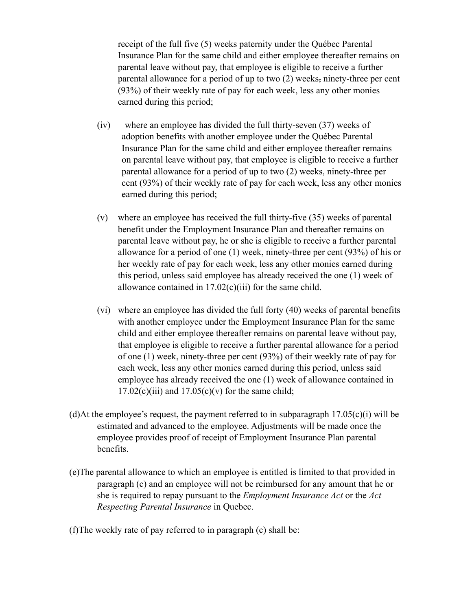receipt of the full five (5) weeks paternity under the Québec Parental Insurance Plan for the same child and either employee thereafter remains on parental leave without pay, that employee is eligible to receive a further parental allowance for a period of up to two (2) weeks, ninety-three per cent (93%) of their weekly rate of pay for each week, less any other monies earned during this period;

- (iv) where an employee has divided the full thirty-seven (37) weeks of adoption benefits with another employee under the Québec Parental Insurance Plan for the same child and either employee thereafter remains on parental leave without pay, that employee is eligible to receive a further parental allowance for a period of up to two (2) weeks, ninety-three per cent (93%) of their weekly rate of pay for each week, less any other monies earned during this period;
- (v) where an employee has received the full thirty-five (35) weeks of parental benefit under the Employment Insurance Plan and thereafter remains on parental leave without pay, he or she is eligible to receive a further parental allowance for a period of one (1) week, ninety-three per cent (93%) of his or her weekly rate of pay for each week, less any other monies earned during this period, unless said employee has already received the one (1) week of allowance contained in  $17.02(c)(iii)$  for the same child.
- (vi) where an employee has divided the full forty (40) weeks of parental benefits with another employee under the Employment Insurance Plan for the same child and either employee thereafter remains on parental leave without pay, that employee is eligible to receive a further parental allowance for a period of one (1) week, ninety-three per cent (93%) of their weekly rate of pay for each week, less any other monies earned during this period, unless said employee has already received the one (1) week of allowance contained in  $17.02(c)(iii)$  and  $17.05(c)(v)$  for the same child;
- (d)At the employee's request, the payment referred to in subparagraph  $17.05(c)(i)$  will be estimated and advanced to the employee. Adjustments will be made once the employee provides proof of receipt of Employment Insurance Plan parental benefits.
- (e)The parental allowance to which an employee is entitled is limited to that provided in paragraph (c) and an employee will not be reimbursed for any amount that he or she is required to repay pursuant to the *Employment Insurance Act* or the *Act Respecting Parental Insurance* in Quebec.
- (f)The weekly rate of pay referred to in paragraph (c) shall be: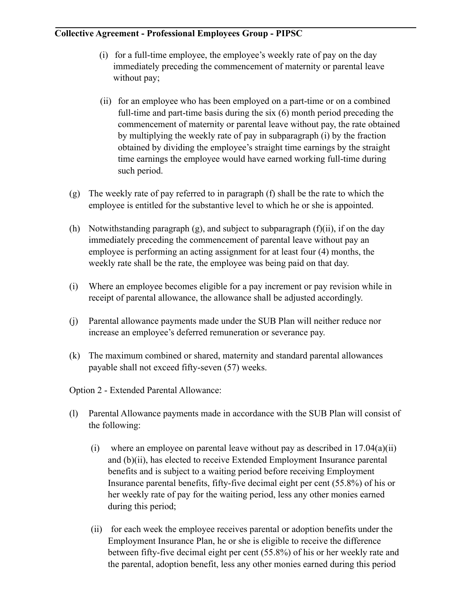- (i) for a full-time employee, the employee's weekly rate of pay on the day immediately preceding the commencement of maternity or parental leave without pay;
- (ii) for an employee who has been employed on a part-time or on a combined full-time and part-time basis during the six (6) month period preceding the commencement of maternity or parental leave without pay, the rate obtained by multiplying the weekly rate of pay in subparagraph (i) by the fraction obtained by dividing the employee's straight time earnings by the straight time earnings the employee would have earned working full-time during such period.
- $(g)$  The weekly rate of pay referred to in paragraph (f) shall be the rate to which the employee is entitled for the substantive level to which he or she is appointed.
- (h) Notwithstanding paragraph  $(g)$ , and subject to subparagraph  $(f)(ii)$ , if on the day immediately preceding the commencement of parental leave without pay an employee is performing an acting assignment for at least four (4) months, the weekly rate shall be the rate, the employee was being paid on that day.
- (i) Where an employee becomes eligible for a pay increment or pay revision while in receipt of parental allowance, the allowance shall be adjusted accordingly.
- (j) Parental allowance payments made under the SUB Plan will neither reduce nor increase an employee's deferred remuneration or severance pay.
- (k) The maximum combined or shared, maternity and standard parental allowances payable shall not exceed fifty-seven (57) weeks.

Option 2 - Extended Parental Allowance:

- (l) Parental Allowance payments made in accordance with the SUB Plan will consist of the following:
	- (i) where an employee on parental leave without pay as described in  $17.04(a)(ii)$ and (b)(ii), has elected to receive Extended Employment Insurance parental benefits and is subject to a waiting period before receiving Employment Insurance parental benefits, fifty-five decimal eight per cent (55.8%) of his or her weekly rate of pay for the waiting period, less any other monies earned during this period;
	- (ii) for each week the employee receives parental or adoption benefits under the Employment Insurance Plan, he or she is eligible to receive the difference between fifty-five decimal eight per cent (55.8%) of his or her weekly rate and the parental, adoption benefit, less any other monies earned during this period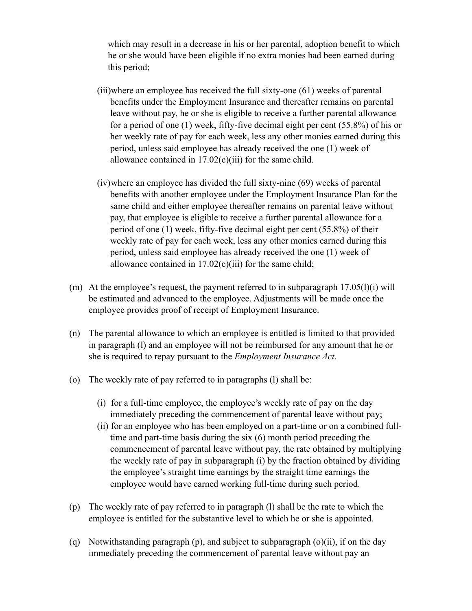which may result in a decrease in his or her parental, adoption benefit to which he or she would have been eligible if no extra monies had been earned during this period;

- (iii)where an employee has received the full sixty-one (61) weeks of parental benefits under the Employment Insurance and thereafter remains on parental leave without pay, he or she is eligible to receive a further parental allowance for a period of one (1) week, fifty-five decimal eight per cent (55.8%) of his or her weekly rate of pay for each week, less any other monies earned during this period, unless said employee has already received the one (1) week of allowance contained in 17.02(c)(iii) for the same child.
- (iv)where an employee has divided the full sixty-nine (69) weeks of parental benefits with another employee under the Employment Insurance Plan for the same child and either employee thereafter remains on parental leave without pay, that employee is eligible to receive a further parental allowance for a period of one (1) week, fifty-five decimal eight per cent (55.8%) of their weekly rate of pay for each week, less any other monies earned during this period, unless said employee has already received the one (1) week of allowance contained in  $17.02(c)(iii)$  for the same child;
- (m) At the employee's request, the payment referred to in subparagraph 17.05(l)(i) will be estimated and advanced to the employee. Adjustments will be made once the employee provides proof of receipt of Employment Insurance.
- (n) The parental allowance to which an employee is entitled is limited to that provided in paragraph (l) and an employee will not be reimbursed for any amount that he or she is required to repay pursuant to the *Employment Insurance Act*.
- (o) The weekly rate of pay referred to in paragraphs (l) shall be:
	- (i) for a full-time employee, the employee's weekly rate of pay on the day immediately preceding the commencement of parental leave without pay;
	- (ii) for an employee who has been employed on a part-time or on a combined fulltime and part-time basis during the six (6) month period preceding the commencement of parental leave without pay, the rate obtained by multiplying the weekly rate of pay in subparagraph (i) by the fraction obtained by dividing the employee's straight time earnings by the straight time earnings the employee would have earned working full-time during such period.
- (p) The weekly rate of pay referred to in paragraph (l) shall be the rate to which the employee is entitled for the substantive level to which he or she is appointed.
- (q) Notwithstanding paragraph (p), and subject to subparagraph (o)(ii), if on the day immediately preceding the commencement of parental leave without pay an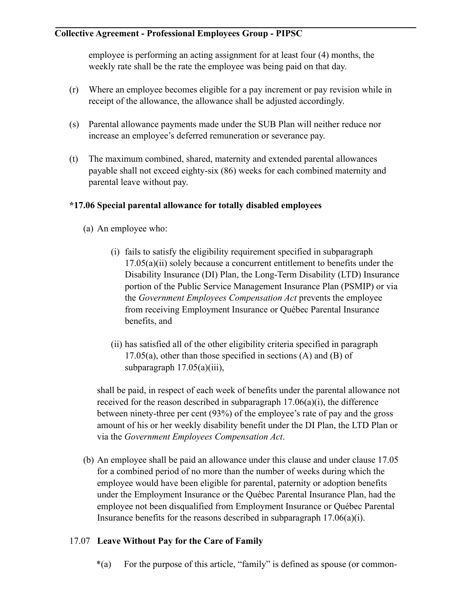employee is performing an acting assignment for at least four (4) months, the weekly rate shall be the rate the employee was being paid on that day.

- (r) Where an employee becomes eligible for a pay increment or pay revision while in receipt of the allowance, the allowance shall be adjusted accordingly.
- (s) Parental allowance payments made under the SUB Plan will neither reduce nor increase an employee's deferred remuneration or severance pay.
- (t) The maximum combined, shared, maternity and extended parental allowances payable shall not exceed eighty-six (86) weeks for each combined maternity and parental leave without pay.

# **\*17.06 Special parental allowance for totally disabled employees**

- (a) An employee who:
	- (i) fails to satisfy the eligibility requirement specified in subparagraph 17.05(a)(ii) solely because a concurrent entitlement to benefits under the Disability Insurance (DI) Plan, the Long-Term Disability (LTD) Insurance portion of the Public Service Management Insurance Plan (PSMIP) or via the *Government Employees Compensation Act* prevents the employee from receiving Employment Insurance or Québec Parental Insurance benefits, and
	- (ii) has satisfied all of the other eligibility criteria specified in paragraph  $17.05(a)$ , other than those specified in sections (A) and (B) of subparagraph  $17.05(a)(iii)$ ,

shall be paid, in respect of each week of benefits under the parental allowance not received for the reason described in subparagraph  $17.06(a)(i)$ , the difference between ninety-three per cent (93%) of the employee's rate of pay and the gross amount of his or her weekly disability benefit under the DI Plan, the LTD Plan or via the *Government Employees Compensation Act*.

(b) An employee shall be paid an allowance under this clause and under clause 17.05 for a combined period of no more than the number of weeks during which the employee would have been eligible for parental, paternity or adoption benefits under the Employment Insurance or the Québec Parental Insurance Plan, had the employee not been disqualified from Employment Insurance or Québec Parental Insurance benefits for the reasons described in subparagraph 17.06(a)(i).

# 17.07 **Leave Without Pay for the Care of Family**

\*(a) For the purpose of this article, "family" is defined as spouse (or common-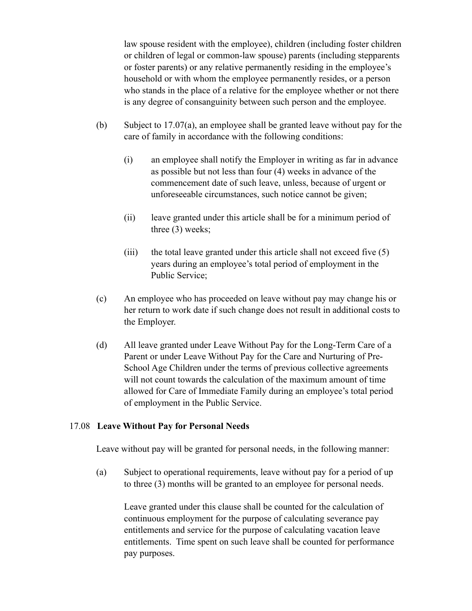law spouse resident with the employee), children (including foster children or children of legal or common-law spouse) parents (including stepparents or foster parents) or any relative permanently residing in the employee's household or with whom the employee permanently resides, or a person who stands in the place of a relative for the employee whether or not there is any degree of consanguinity between such person and the employee.

- (b) Subject to 17.07(a), an employee shall be granted leave without pay for the care of family in accordance with the following conditions:
	- (i) an employee shall notify the Employer in writing as far in advance as possible but not less than four (4) weeks in advance of the commencement date of such leave, unless, because of urgent or unforeseeable circumstances, such notice cannot be given;
	- (ii) leave granted under this article shall be for a minimum period of three (3) weeks;
	- (iii) the total leave granted under this article shall not exceed five  $(5)$ years during an employee's total period of employment in the Public Service;
- (c) An employee who has proceeded on leave without pay may change his or her return to work date if such change does not result in additional costs to the Employer.
- (d) All leave granted under Leave Without Pay for the Long-Term Care of a Parent or under Leave Without Pay for the Care and Nurturing of Pre-School Age Children under the terms of previous collective agreements will not count towards the calculation of the maximum amount of time allowed for Care of Immediate Family during an employee's total period of employment in the Public Service.

#### 17.08 **Leave Without Pay for Personal Needs**

Leave without pay will be granted for personal needs, in the following manner:

(a) Subject to operational requirements, leave without pay for a period of up to three (3) months will be granted to an employee for personal needs.

Leave granted under this clause shall be counted for the calculation of continuous employment for the purpose of calculating severance pay entitlements and service for the purpose of calculating vacation leave entitlements. Time spent on such leave shall be counted for performance pay purposes.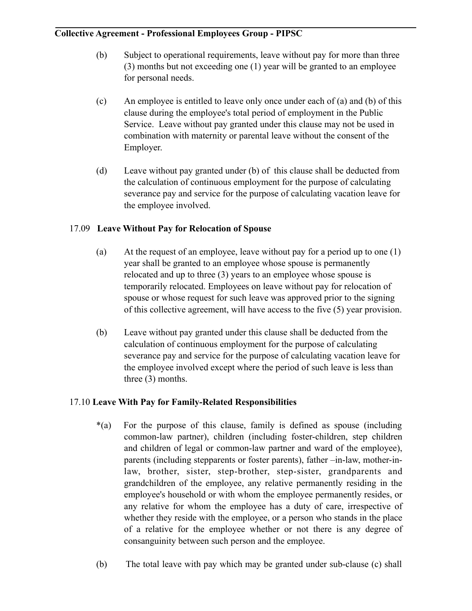- (b) Subject to operational requirements, leave without pay for more than three (3) months but not exceeding one (1) year will be granted to an employee for personal needs.
- (c) An employee is entitled to leave only once under each of (a) and (b) of this clause during the employee's total period of employment in the Public Service. Leave without pay granted under this clause may not be used in combination with maternity or parental leave without the consent of the Employer.
- (d) Leave without pay granted under (b) of this clause shall be deducted from the calculation of continuous employment for the purpose of calculating severance pay and service for the purpose of calculating vacation leave for the employee involved.

# 17.09 **Leave Without Pay for Relocation of Spouse**

- (a) At the request of an employee, leave without pay for a period up to one (1) year shall be granted to an employee whose spouse is permanently relocated and up to three (3) years to an employee whose spouse is temporarily relocated. Employees on leave without pay for relocation of spouse or whose request for such leave was approved prior to the signing of this collective agreement, will have access to the five (5) year provision.
- (b) Leave without pay granted under this clause shall be deducted from the calculation of continuous employment for the purpose of calculating severance pay and service for the purpose of calculating vacation leave for the employee involved except where the period of such leave is less than three (3) months.

### 17.10 **Leave With Pay for Family-Related Responsibilities**

- \*(a) For the purpose of this clause, family is defined as spouse (including common-law partner), children (including foster-children, step children and children of legal or common-law partner and ward of the employee), parents (including stepparents or foster parents), father –in-law, mother-inlaw, brother, sister, step-brother, step-sister, grandparents and grandchildren of the employee, any relative permanently residing in the employee's household or with whom the employee permanently resides, or any relative for whom the employee has a duty of care, irrespective of whether they reside with the employee, or a person who stands in the place of a relative for the employee whether or not there is any degree of consanguinity between such person and the employee.
- (b) The total leave with pay which may be granted under sub-clause (c) shall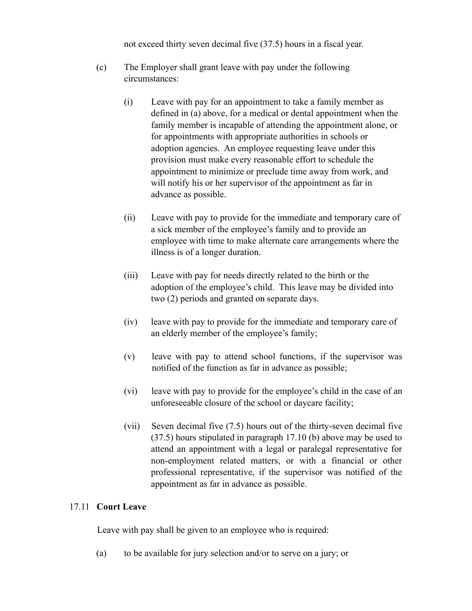not exceed thirty seven decimal five (37.5) hours in a fiscal year.

- (c) The Employer shall grant leave with pay under the following circumstances:
	- (i) Leave with pay for an appointment to take a family member as defined in (a) above, for a medical or dental appointment when the family member is incapable of attending the appointment alone, or for appointments with appropriate authorities in schools or adoption agencies. An employee requesting leave under this provision must make every reasonable effort to schedule the appointment to minimize or preclude time away from work, and will notify his or her supervisor of the appointment as far in advance as possible.
	- (ii) Leave with pay to provide for the immediate and temporary care of a sick member of the employee's family and to provide an employee with time to make alternate care arrangements where the illness is of a longer duration.
	- (iii) Leave with pay for needs directly related to the birth or the adoption of the employee's child. This leave may be divided into two (2) periods and granted on separate days.
	- (iv) leave with pay to provide for the immediate and temporary care of an elderly member of the employee's family;
	- (v) leave with pay to attend school functions, if the supervisor was notified of the function as far in advance as possible;
	- (vi) leave with pay to provide for the employee's child in the case of an unforeseeable closure of the school or daycare facility;
	- (vii) Seven decimal five (7.5) hours out of the thirty-seven decimal five (37.5) hours stipulated in paragraph 17.10 (b) above may be used to attend an appointment with a legal or paralegal representative for non-employment related matters, or with a financial or other professional representative, if the supervisor was notified of the appointment as far in advance as possible.

#### 17.11 **Court Leave**

Leave with pay shall be given to an employee who is required:

(a) to be available for jury selection and/or to serve on a jury; or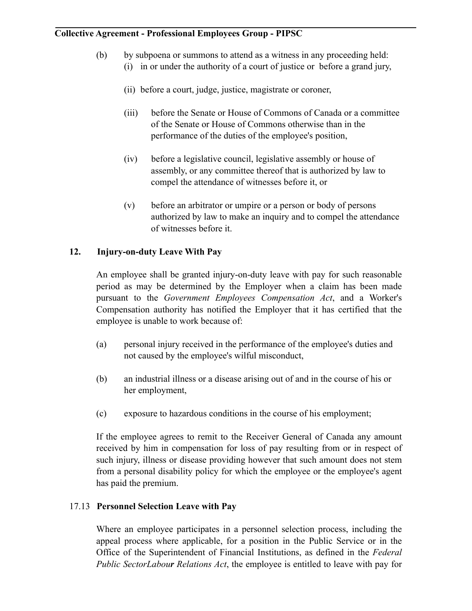- (b) by subpoena or summons to attend as a witness in any proceeding held:
	- (i) in or under the authority of a court of justice or before a grand jury,
	- (ii) before a court, judge, justice, magistrate or coroner,
	- (iii) before the Senate or House of Commons of Canada or a committee of the Senate or House of Commons otherwise than in the performance of the duties of the employee's position,
	- (iv) before a legislative council, legislative assembly or house of assembly, or any committee thereof that is authorized by law to compel the attendance of witnesses before it, or
	- (v) before an arbitrator or umpire or a person or body of persons authorized by law to make an inquiry and to compel the attendance of witnesses before it.

### **12. Injury-on-duty Leave With Pay**

An employee shall be granted injury-on-duty leave with pay for such reasonable period as may be determined by the Employer when a claim has been made pursuant to the *Government Employees Compensation Act*, and a Worker's Compensation authority has notified the Employer that it has certified that the employee is unable to work because of:

- (a) personal injury received in the performance of the employee's duties and not caused by the employee's wilful misconduct,
- (b) an industrial illness or a disease arising out of and in the course of his or her employment,
- (c) exposure to hazardous conditions in the course of his employment;

If the employee agrees to remit to the Receiver General of Canada any amount received by him in compensation for loss of pay resulting from or in respect of such injury, illness or disease providing however that such amount does not stem from a personal disability policy for which the employee or the employee's agent has paid the premium.

### 17.13 **Personnel Selection Leave with Pay**

Where an employee participates in a personnel selection process, including the appeal process where applicable, for a position in the Public Service or in the Office of the Superintendent of Financial Institutions, as defined in the *Federal Public SectorLabour Relations Act*, the employee is entitled to leave with pay for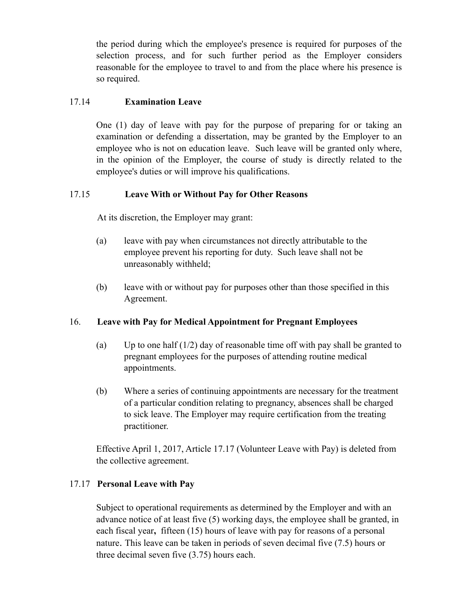the period during which the employee's presence is required for purposes of the selection process, and for such further period as the Employer considers reasonable for the employee to travel to and from the place where his presence is so required.

### 17.14 **Examination Leave**

One (1) day of leave with pay for the purpose of preparing for or taking an examination or defending a dissertation, may be granted by the Employer to an employee who is not on education leave. Such leave will be granted only where, in the opinion of the Employer, the course of study is directly related to the employee's duties or will improve his qualifications.

#### 17.15 **Leave With or Without Pay for Other Reasons**

At its discretion, the Employer may grant:

- (a) leave with pay when circumstances not directly attributable to the employee prevent his reporting for duty. Such leave shall not be unreasonably withheld;
- (b) leave with or without pay for purposes other than those specified in this Agreement.

### 16. **Leave with Pay for Medical Appointment for Pregnant Employees**

- (a) Up to one half  $(1/2)$  day of reasonable time off with pay shall be granted to pregnant employees for the purposes of attending routine medical appointments.
- (b) Where a series of continuing appointments are necessary for the treatment of a particular condition relating to pregnancy, absences shall be charged to sick leave. The Employer may require certification from the treating practitioner.

Effective April 1, 2017, Article 17.17 (Volunteer Leave with Pay) is deleted from the collective agreement.

### 17.17 **Personal Leave with Pay**

Subject to operational requirements as determined by the Employer and with an advance notice of at least five (5) working days, the employee shall be granted, in each fiscal year**,** fifteen (15) hours of leave with pay for reasons of a personal nature. This leave can be taken in periods of seven decimal five (7.5) hours or three decimal seven five (3.75) hours each.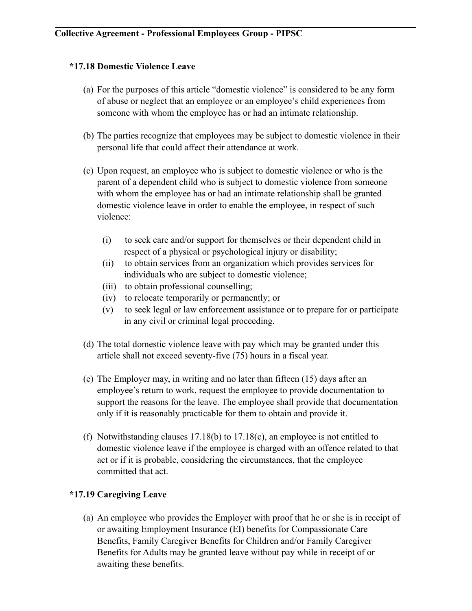#### **\*17.18 Domestic Violence Leave**

- (a) For the purposes of this article "domestic violence" is considered to be any form of abuse or neglect that an employee or an employee's child experiences from someone with whom the employee has or had an intimate relationship.
- (b) The parties recognize that employees may be subject to domestic violence in their personal life that could affect their attendance at work.
- (c) Upon request, an employee who is subject to domestic violence or who is the parent of a dependent child who is subject to domestic violence from someone with whom the employee has or had an intimate relationship shall be granted domestic violence leave in order to enable the employee, in respect of such violence:
	- (i) to seek care and/or support for themselves or their dependent child in respect of a physical or psychological injury or disability;
	- (ii) to obtain services from an organization which provides services for individuals who are subject to domestic violence;
	- (iii) to obtain professional counselling;
	- (iv) to relocate temporarily or permanently; or
	- (v) to seek legal or law enforcement assistance or to prepare for or participate in any civil or criminal legal proceeding.
- (d) The total domestic violence leave with pay which may be granted under this article shall not exceed seventy-five (75) hours in a fiscal year.
- (e) The Employer may, in writing and no later than fifteen (15) days after an employee's return to work, request the employee to provide documentation to support the reasons for the leave. The employee shall provide that documentation only if it is reasonably practicable for them to obtain and provide it.
- (f) Notwithstanding clauses 17.18(b) to 17.18(c), an employee is not entitled to domestic violence leave if the employee is charged with an offence related to that act or if it is probable, considering the circumstances, that the employee committed that act.

# **\*17.19 Caregiving Leave**

(a) An employee who provides the Employer with proof that he or she is in receipt of or awaiting Employment Insurance (EI) benefits for Compassionate Care Benefits, Family Caregiver Benefits for Children and/or Family Caregiver Benefits for Adults may be granted leave without pay while in receipt of or awaiting these benefits.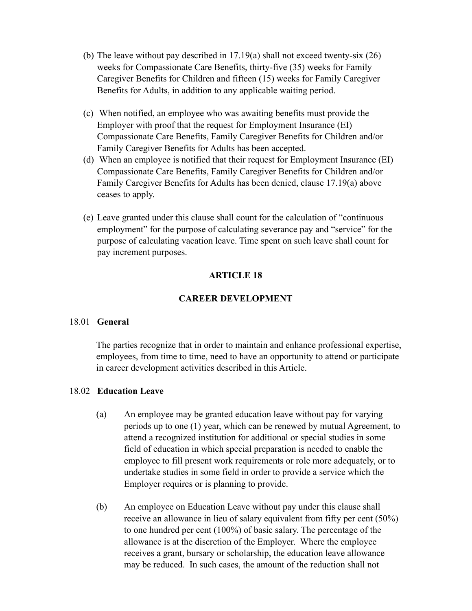- (b) The leave without pay described in 17.19(a) shall not exceed twenty-six (26) weeks for Compassionate Care Benefits, thirty-five (35) weeks for Family Caregiver Benefits for Children and fifteen (15) weeks for Family Caregiver Benefits for Adults, in addition to any applicable waiting period.
- (c) When notified, an employee who was awaiting benefits must provide the Employer with proof that the request for Employment Insurance (EI) Compassionate Care Benefits, Family Caregiver Benefits for Children and/or Family Caregiver Benefits for Adults has been accepted.
- (d) When an employee is notified that their request for Employment Insurance (EI) Compassionate Care Benefits, Family Caregiver Benefits for Children and/or Family Caregiver Benefits for Adults has been denied, clause 17.19(a) above ceases to apply.
- (e) Leave granted under this clause shall count for the calculation of "continuous employment" for the purpose of calculating severance pay and "service" for the purpose of calculating vacation leave. Time spent on such leave shall count for pay increment purposes.

#### **ARTICLE 18**

# **CAREER DEVELOPMENT**

#### 18.01 **General**

The parties recognize that in order to maintain and enhance professional expertise, employees, from time to time, need to have an opportunity to attend or participate in career development activities described in this Article.

#### 18.02 **Education Leave**

- (a) An employee may be granted education leave without pay for varying periods up to one (1) year, which can be renewed by mutual Agreement, to attend a recognized institution for additional or special studies in some field of education in which special preparation is needed to enable the employee to fill present work requirements or role more adequately, or to undertake studies in some field in order to provide a service which the Employer requires or is planning to provide.
- (b) An employee on Education Leave without pay under this clause shall receive an allowance in lieu of salary equivalent from fifty per cent (50%) to one hundred per cent (100%) of basic salary. The percentage of the allowance is at the discretion of the Employer. Where the employee receives a grant, bursary or scholarship, the education leave allowance may be reduced. In such cases, the amount of the reduction shall not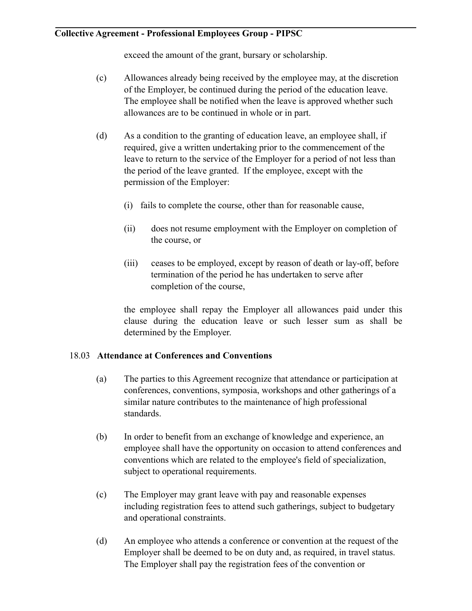exceed the amount of the grant, bursary or scholarship.

- (c) Allowances already being received by the employee may, at the discretion of the Employer, be continued during the period of the education leave. The employee shall be notified when the leave is approved whether such allowances are to be continued in whole or in part.
- (d) As a condition to the granting of education leave, an employee shall, if required, give a written undertaking prior to the commencement of the leave to return to the service of the Employer for a period of not less than the period of the leave granted. If the employee, except with the permission of the Employer:
	- (i) fails to complete the course, other than for reasonable cause,
	- (ii) does not resume employment with the Employer on completion of the course, or
	- (iii) ceases to be employed, except by reason of death or lay-off, before termination of the period he has undertaken to serve after completion of the course,

the employee shall repay the Employer all allowances paid under this clause during the education leave or such lesser sum as shall be determined by the Employer.

#### 18.03 **Attendance at Conferences and Conventions**

- (a) The parties to this Agreement recognize that attendance or participation at conferences, conventions, symposia, workshops and other gatherings of a similar nature contributes to the maintenance of high professional standards.
- (b) In order to benefit from an exchange of knowledge and experience, an employee shall have the opportunity on occasion to attend conferences and conventions which are related to the employee's field of specialization, subject to operational requirements.
- (c) The Employer may grant leave with pay and reasonable expenses including registration fees to attend such gatherings, subject to budgetary and operational constraints.
- (d) An employee who attends a conference or convention at the request of the Employer shall be deemed to be on duty and, as required, in travel status. The Employer shall pay the registration fees of the convention or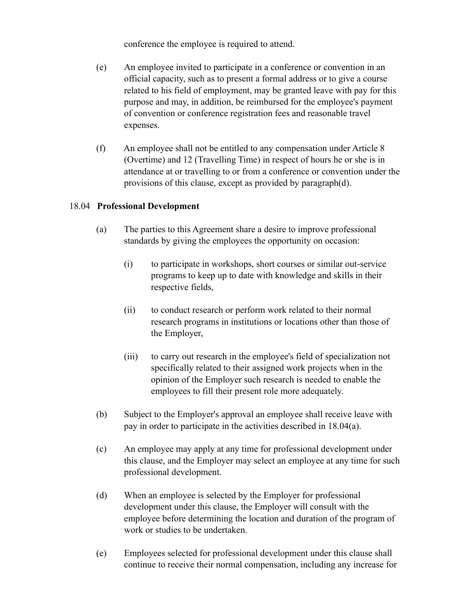conference the employee is required to attend.

- (e) An employee invited to participate in a conference or convention in an official capacity, such as to present a formal address or to give a course related to his field of employment, may be granted leave with pay for this purpose and may, in addition, be reimbursed for the employee's payment of convention or conference registration fees and reasonable travel expenses.
- (f) An employee shall not be entitled to any compensation under Article 8 (Overtime) and 12 (Travelling Time) in respect of hours he or she is in attendance at or travelling to or from a conference or convention under the provisions of this clause, except as provided by paragraph(d).

### 18.04 **Professional Development**

- (a) The parties to this Agreement share a desire to improve professional standards by giving the employees the opportunity on occasion:
	- (i) to participate in workshops, short courses or similar out-service programs to keep up to date with knowledge and skills in their respective fields,
	- (ii) to conduct research or perform work related to their normal research programs in institutions or locations other than those of the Employer,
	- (iii) to carry out research in the employee's field of specialization not specifically related to their assigned work projects when in the opinion of the Employer such research is needed to enable the employees to fill their present role more adequately.
- (b) Subject to the Employer's approval an employee shall receive leave with pay in order to participate in the activities described in 18.04(a).
- (c) An employee may apply at any time for professional development under this clause, and the Employer may select an employee at any time for such professional development.
- (d) When an employee is selected by the Employer for professional development under this clause, the Employer will consult with the employee before determining the location and duration of the program of work or studies to be undertaken.
- (e) Employees selected for professional development under this clause shall continue to receive their normal compensation, including any increase for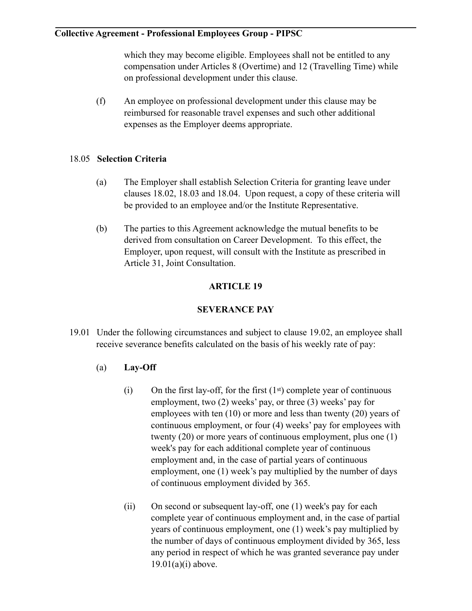which they may become eligible. Employees shall not be entitled to any compensation under Articles 8 (Overtime) and 12 (Travelling Time) while on professional development under this clause.

(f) An employee on professional development under this clause may be reimbursed for reasonable travel expenses and such other additional expenses as the Employer deems appropriate.

#### 18.05 **Selection Criteria**

- (a) The Employer shall establish Selection Criteria for granting leave under clauses 18.02, 18.03 and 18.04. Upon request, a copy of these criteria will be provided to an employee and/or the Institute Representative.
- (b) The parties to this Agreement acknowledge the mutual benefits to be derived from consultation on Career Development. To this effect, the Employer, upon request, will consult with the Institute as prescribed in Article 31, Joint Consultation.

# **ARTICLE 19**

### **SEVERANCE PAY**

- 19.01 Under the following circumstances and subject to clause 19.02, an employee shall receive severance benefits calculated on the basis of his weekly rate of pay:
	- (a) **Lay-Off**
		- (i) On the first lay-off, for the first  $(1<sup>st</sup>)$  complete year of continuous employment, two (2) weeks' pay, or three (3) weeks' pay for employees with ten (10) or more and less than twenty (20) years of continuous employment, or four (4) weeks' pay for employees with twenty (20) or more years of continuous employment, plus one (1) week's pay for each additional complete year of continuous employment and, in the case of partial years of continuous employment, one (1) week's pay multiplied by the number of days of continuous employment divided by 365.
		- (ii) On second or subsequent lay-off, one (1) week's pay for each complete year of continuous employment and, in the case of partial years of continuous employment, one (1) week's pay multiplied by the number of days of continuous employment divided by 365, less any period in respect of which he was granted severance pay under  $19.01(a)(i)$  above.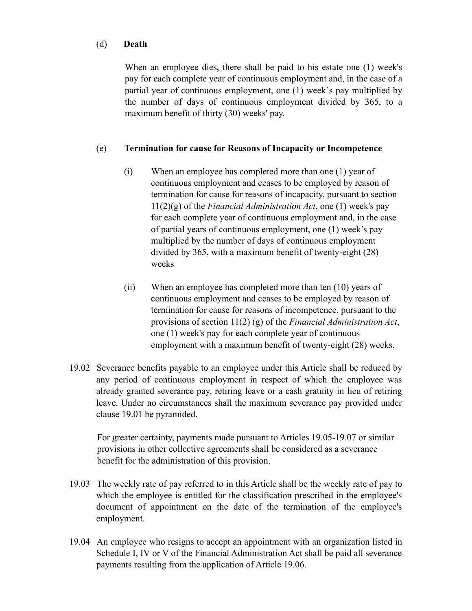#### (d) **Death**

When an employee dies, there shall be paid to his estate one (1) week's pay for each complete year of continuous employment and, in the case of a partial year of continuous employment, one (1) week`s pay multiplied by the number of days of continuous employment divided by 365, to a maximum benefit of thirty (30) weeks' pay.

### (e) **Termination for cause for Reasons of Incapacity or Incompetence**

- (i) When an employee has completed more than one (1) year of continuous employment and ceases to be employed by reason of termination for cause for reasons of incapacity, pursuant to section 11(2)(g) of the *Financial Administration Act*, one (1) week's pay for each complete year of continuous employment and, in the case of partial years of continuous employment, one (1) week's pay multiplied by the number of days of continuous employment divided by 365, with a maximum benefit of twenty-eight (28) weeks
- (ii) When an employee has completed more than ten (10) years of continuous employment and ceases to be employed by reason of termination for cause for reasons of incompetence, pursuant to the provisions of section 11(2) (g) of the *Financial Administration Act*, one (1) week's pay for each complete year of continuous employment with a maximum benefit of twenty-eight (28) weeks.
- 19.02 Severance benefits payable to an employee under this Article shall be reduced by any period of continuous employment in respect of which the employee was already granted severance pay, retiring leave or a cash gratuity in lieu of retiring leave. Under no circumstances shall the maximum severance pay provided under clause 19.01 be pyramided.

For greater certainty, payments made pursuant to Articles 19.05-19.07 or similar provisions in other collective agreements shall be considered as a severance benefit for the administration of this provision.

- 19.03 The weekly rate of pay referred to in this Article shall be the weekly rate of pay to which the employee is entitled for the classification prescribed in the employee's document of appointment on the date of the termination of the employee's employment.
- 19.04 An employee who resigns to accept an appointment with an organization listed in Schedule I, IV or V of the Financial Administration Act shall be paid all severance payments resulting from the application of Article 19.06.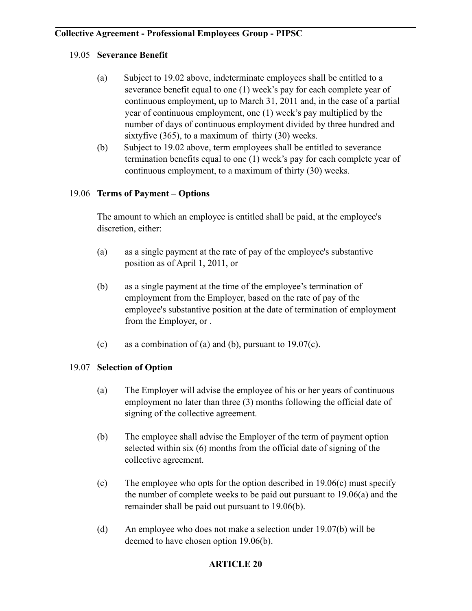### 19.05 **Severance Benefit**

- (a) Subject to 19.02 above, indeterminate employees shall be entitled to a severance benefit equal to one (1) week's pay for each complete year of continuous employment, up to March 31, 2011 and, in the case of a partial year of continuous employment, one (1) week's pay multiplied by the number of days of continuous employment divided by three hundred and sixtyfive (365), to a maximum of thirty (30) weeks.
- (b) Subject to 19.02 above, term employees shall be entitled to severance termination benefits equal to one (1) week's pay for each complete year of continuous employment, to a maximum of thirty (30) weeks.

# 19.06 **Terms of Payment – Options**

The amount to which an employee is entitled shall be paid, at the employee's discretion, either:

- (a) as a single payment at the rate of pay of the employee's substantive position as of April 1, 2011, or
- (b) as a single payment at the time of the employee's termination of employment from the Employer, based on the rate of pay of the employee's substantive position at the date of termination of employment from the Employer, or .
- (c) as a combination of (a) and (b), pursuant to  $19.07(c)$ .

### 19.07 **Selection of Option**

- (a) The Employer will advise the employee of his or her years of continuous employment no later than three (3) months following the official date of signing of the collective agreement.
- (b) The employee shall advise the Employer of the term of payment option selected within six (6) months from the official date of signing of the collective agreement.
- (c) The employee who opts for the option described in 19.06(c) must specify the number of complete weeks to be paid out pursuant to 19.06(a) and the remainder shall be paid out pursuant to 19.06(b).
- (d) An employee who does not make a selection under 19.07(b) will be deemed to have chosen option 19.06(b).

### **ARTICLE 20**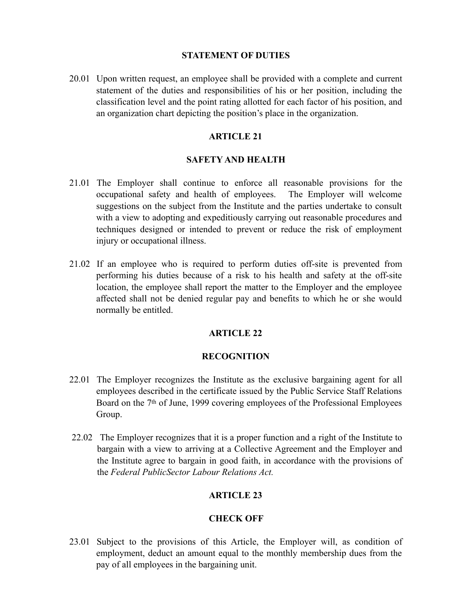#### **STATEMENT OF DUTIES**

20.01 Upon written request, an employee shall be provided with a complete and current statement of the duties and responsibilities of his or her position, including the classification level and the point rating allotted for each factor of his position, and an organization chart depicting the position's place in the organization.

#### **ARTICLE 21**

#### **SAFETY AND HEALTH**

- 21.01 The Employer shall continue to enforce all reasonable provisions for the occupational safety and health of employees. The Employer will welcome suggestions on the subject from the Institute and the parties undertake to consult with a view to adopting and expeditiously carrying out reasonable procedures and techniques designed or intended to prevent or reduce the risk of employment injury or occupational illness.
- 21.02 If an employee who is required to perform duties off-site is prevented from performing his duties because of a risk to his health and safety at the off-site location, the employee shall report the matter to the Employer and the employee affected shall not be denied regular pay and benefits to which he or she would normally be entitled.

### **ARTICLE 22**

#### **RECOGNITION**

- 22.01 The Employer recognizes the Institute as the exclusive bargaining agent for all employees described in the certificate issued by the Public Service Staff Relations Board on the 7th of June, 1999 covering employees of the Professional Employees Group.
- 22.02 The Employer recognizes that it is a proper function and a right of the Institute to bargain with a view to arriving at a Collective Agreement and the Employer and the Institute agree to bargain in good faith, in accordance with the provisions of the *Federal PublicSector Labour Relations Act.*

### **ARTICLE 23**

#### **CHECK OFF**

23.01 Subject to the provisions of this Article, the Employer will, as condition of employment, deduct an amount equal to the monthly membership dues from the pay of all employees in the bargaining unit.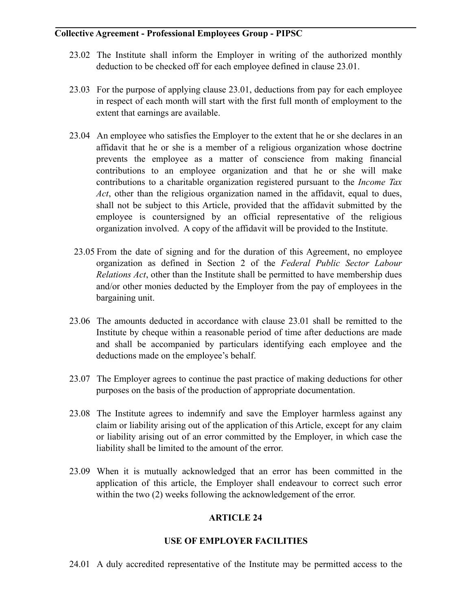- 23.02 The Institute shall inform the Employer in writing of the authorized monthly deduction to be checked off for each employee defined in clause 23.01.
- 23.03 For the purpose of applying clause 23.01, deductions from pay for each employee in respect of each month will start with the first full month of employment to the extent that earnings are available.
- 23.04 An employee who satisfies the Employer to the extent that he or she declares in an affidavit that he or she is a member of a religious organization whose doctrine prevents the employee as a matter of conscience from making financial contributions to an employee organization and that he or she will make contributions to a charitable organization registered pursuant to the *Income Tax Act*, other than the religious organization named in the affidavit, equal to dues, shall not be subject to this Article, provided that the affidavit submitted by the employee is countersigned by an official representative of the religious organization involved. A copy of the affidavit will be provided to the Institute.
- 23.05 From the date of signing and for the duration of this Agreement, no employee organization as defined in Section 2 of the *Federal Public Sector Labour Relations Act*, other than the Institute shall be permitted to have membership dues and/or other monies deducted by the Employer from the pay of employees in the bargaining unit.
- 23.06 The amounts deducted in accordance with clause 23.01 shall be remitted to the Institute by cheque within a reasonable period of time after deductions are made and shall be accompanied by particulars identifying each employee and the deductions made on the employee's behalf.
- 23.07 The Employer agrees to continue the past practice of making deductions for other purposes on the basis of the production of appropriate documentation.
- 23.08 The Institute agrees to indemnify and save the Employer harmless against any claim or liability arising out of the application of this Article, except for any claim or liability arising out of an error committed by the Employer, in which case the liability shall be limited to the amount of the error.
- 23.09 When it is mutually acknowledged that an error has been committed in the application of this article, the Employer shall endeavour to correct such error within the two (2) weeks following the acknowledgement of the error.

### **ARTICLE 24**

### **USE OF EMPLOYER FACILITIES**

24.01 A duly accredited representative of the Institute may be permitted access to the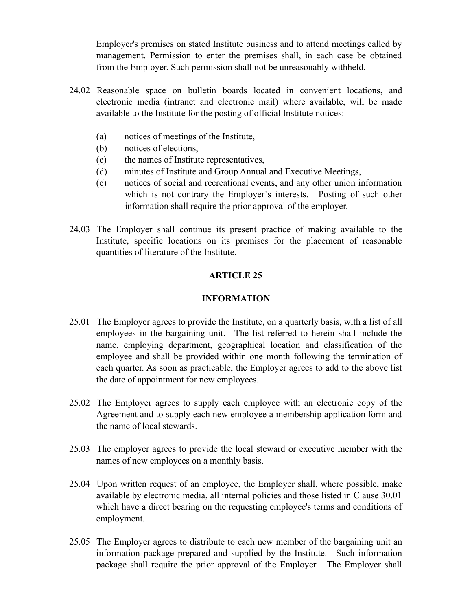Employer's premises on stated Institute business and to attend meetings called by management. Permission to enter the premises shall, in each case be obtained from the Employer. Such permission shall not be unreasonably withheld.

- 24.02 Reasonable space on bulletin boards located in convenient locations, and electronic media (intranet and electronic mail) where available, will be made available to the Institute for the posting of official Institute notices:
	- (a) notices of meetings of the Institute,
	- (b) notices of elections,
	- (c) the names of Institute representatives,
	- (d) minutes of Institute and Group Annual and Executive Meetings,
	- (e) notices of social and recreational events, and any other union information which is not contrary the Employer's interests. Posting of such other information shall require the prior approval of the employer.
- 24.03 The Employer shall continue its present practice of making available to the Institute, specific locations on its premises for the placement of reasonable quantities of literature of the Institute.

# **ARTICLE 25**

#### **INFORMATION**

- 25.01 The Employer agrees to provide the Institute, on a quarterly basis, with a list of all employees in the bargaining unit. The list referred to herein shall include the name, employing department, geographical location and classification of the employee and shall be provided within one month following the termination of each quarter. As soon as practicable, the Employer agrees to add to the above list the date of appointment for new employees.
- 25.02 The Employer agrees to supply each employee with an electronic copy of the Agreement and to supply each new employee a membership application form and the name of local stewards.
- 25.03 The employer agrees to provide the local steward or executive member with the names of new employees on a monthly basis.
- 25.04 Upon written request of an employee, the Employer shall, where possible, make available by electronic media, all internal policies and those listed in Clause 30.01 which have a direct bearing on the requesting employee's terms and conditions of employment.
- 25.05 The Employer agrees to distribute to each new member of the bargaining unit an information package prepared and supplied by the Institute. Such information package shall require the prior approval of the Employer. The Employer shall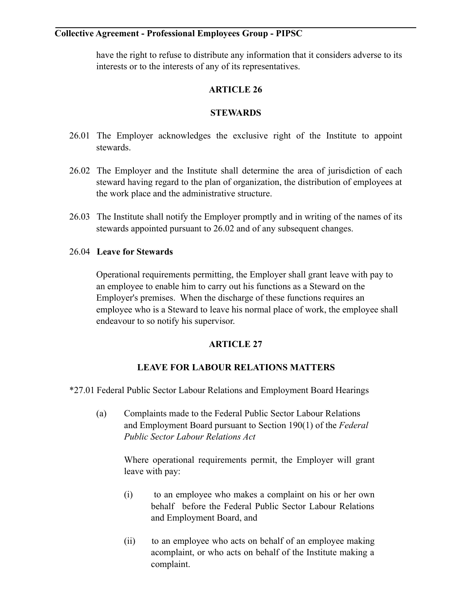have the right to refuse to distribute any information that it considers adverse to its interests or to the interests of any of its representatives.

### **ARTICLE 26**

#### **STEWARDS**

- 26.01 The Employer acknowledges the exclusive right of the Institute to appoint stewards.
- 26.02 The Employer and the Institute shall determine the area of jurisdiction of each steward having regard to the plan of organization, the distribution of employees at the work place and the administrative structure.
- 26.03 The Institute shall notify the Employer promptly and in writing of the names of its stewards appointed pursuant to 26.02 and of any subsequent changes.

#### 26.04 **Leave for Stewards**

Operational requirements permitting, the Employer shall grant leave with pay to an employee to enable him to carry out his functions as a Steward on the Employer's premises. When the discharge of these functions requires an employee who is a Steward to leave his normal place of work, the employee shall endeavour to so notify his supervisor.

### **ARTICLE 27**

### **LEAVE FOR LABOUR RELATIONS MATTERS**

\*27.01 Federal Public Sector Labour Relations and Employment Board Hearings

(a) Complaints made to the Federal Public Sector Labour Relations and Employment Board pursuant to Section 190(1) of the *Federal Public Sector Labour Relations Act* 

> Where operational requirements permit, the Employer will grant leave with pay:

- (i) to an employee who makes a complaint on his or her own behalf before the Federal Public Sector Labour Relations and Employment Board, and
- (ii) to an employee who acts on behalf of an employee making acomplaint, or who acts on behalf of the Institute making a complaint.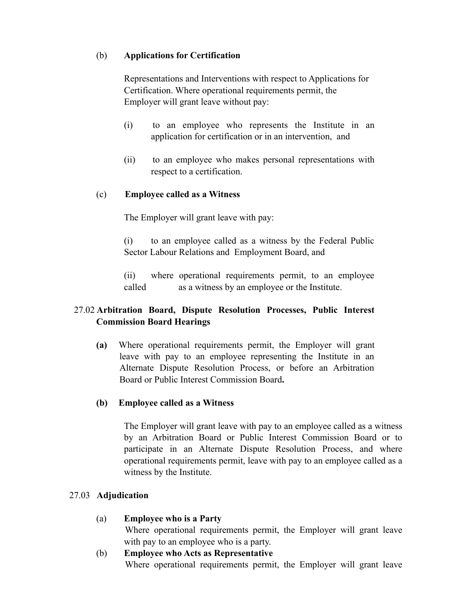### (b) **Applications for Certification**

Representations and Interventions with respect to Applications for Certification. Where operational requirements permit, the Employer will grant leave without pay:

- (i) to an employee who represents the Institute in an application for certification or in an intervention, and
- (ii) to an employee who makes personal representations with respect to a certification.

#### (c) **Employee called as a Witness**

The Employer will grant leave with pay:

(i) to an employee called as a witness by the Federal Public Sector Labour Relations and Employment Board, and

(ii) where operational requirements permit, to an employee called as a witness by an employee or the Institute.

### 27.02 **Arbitration Board, Dispute Resolution Processes, Public Interest Commission Board Hearings**

**(a)** Where operational requirements permit, the Employer will grant leave with pay to an employee representing the Institute in an Alternate Dispute Resolution Process, or before an Arbitration Board or Public Interest Commission Board**.** 

#### **(b) Employee called as a Witness**

The Employer will grant leave with pay to an employee called as a witness by an Arbitration Board or Public Interest Commission Board or to participate in an Alternate Dispute Resolution Process, and where operational requirements permit, leave with pay to an employee called as a witness by the Institute.

#### 27.03 **Adjudication**

- (a) **Employee who is a Party** Where operational requirements permit, the Employer will grant leave with pay to an employee who is a party.
- (b) **Employee who Acts as Representative** Where operational requirements permit, the Employer will grant leave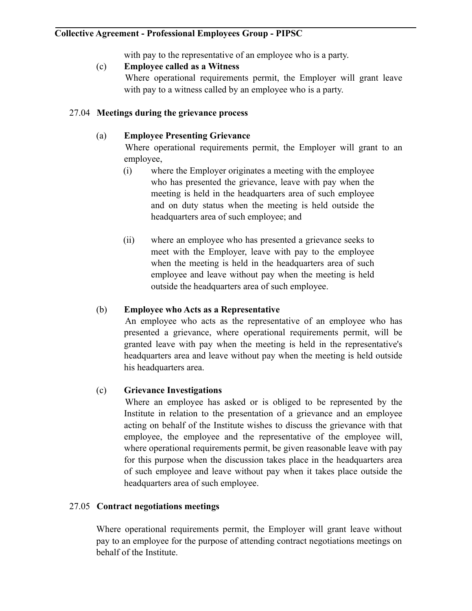with pay to the representative of an employee who is a party.

#### (c) **Employee called as a Witness**

 Where operational requirements permit, the Employer will grant leave with pay to a witness called by an employee who is a party.

#### 27.04 **Meetings during the grievance process**

#### (a) **Employee Presenting Grievance**

 Where operational requirements permit, the Employer will grant to an employee,

- (i) where the Employer originates a meeting with the employee who has presented the grievance, leave with pay when the meeting is held in the headquarters area of such employee and on duty status when the meeting is held outside the headquarters area of such employee; and
- (ii) where an employee who has presented a grievance seeks to meet with the Employer, leave with pay to the employee when the meeting is held in the headquarters area of such employee and leave without pay when the meeting is held outside the headquarters area of such employee.

#### (b) **Employee who Acts as a Representative**

 An employee who acts as the representative of an employee who has presented a grievance, where operational requirements permit, will be granted leave with pay when the meeting is held in the representative's headquarters area and leave without pay when the meeting is held outside his headquarters area.

### (c) **Grievance Investigations**

 Where an employee has asked or is obliged to be represented by the Institute in relation to the presentation of a grievance and an employee acting on behalf of the Institute wishes to discuss the grievance with that employee, the employee and the representative of the employee will, where operational requirements permit, be given reasonable leave with pay for this purpose when the discussion takes place in the headquarters area of such employee and leave without pay when it takes place outside the headquarters area of such employee.

#### 27.05 **Contract negotiations meetings**

Where operational requirements permit, the Employer will grant leave without pay to an employee for the purpose of attending contract negotiations meetings on behalf of the Institute.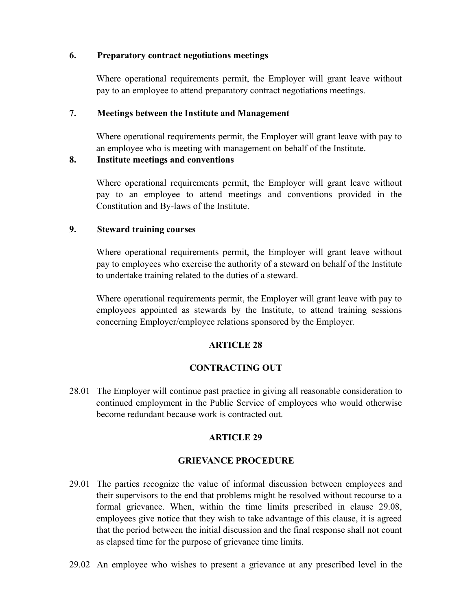#### **6. Preparatory contract negotiations meetings**

Where operational requirements permit, the Employer will grant leave without pay to an employee to attend preparatory contract negotiations meetings.

#### **7. Meetings between the Institute and Management**

Where operational requirements permit, the Employer will grant leave with pay to an employee who is meeting with management on behalf of the Institute.

#### **8. Institute meetings and conventions**

Where operational requirements permit, the Employer will grant leave without pay to an employee to attend meetings and conventions provided in the Constitution and By-laws of the Institute.

#### **9. Steward training courses**

Where operational requirements permit, the Employer will grant leave without pay to employees who exercise the authority of a steward on behalf of the Institute to undertake training related to the duties of a steward.

Where operational requirements permit, the Employer will grant leave with pay to employees appointed as stewards by the Institute, to attend training sessions concerning Employer/employee relations sponsored by the Employer.

### **ARTICLE 28**

### **CONTRACTING OUT**

28.01 The Employer will continue past practice in giving all reasonable consideration to continued employment in the Public Service of employees who would otherwise become redundant because work is contracted out.

### **ARTICLE 29**

### **GRIEVANCE PROCEDURE**

- 29.01 The parties recognize the value of informal discussion between employees and their supervisors to the end that problems might be resolved without recourse to a formal grievance. When, within the time limits prescribed in clause 29.08, employees give notice that they wish to take advantage of this clause, it is agreed that the period between the initial discussion and the final response shall not count as elapsed time for the purpose of grievance time limits.
- 29.02 An employee who wishes to present a grievance at any prescribed level in the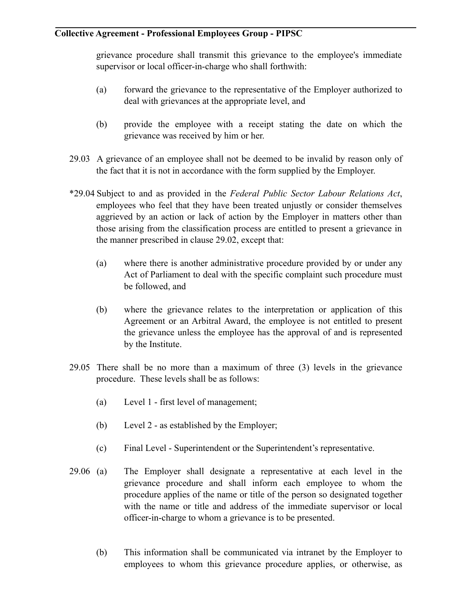grievance procedure shall transmit this grievance to the employee's immediate supervisor or local officer-in-charge who shall forthwith:

- (a) forward the grievance to the representative of the Employer authorized to deal with grievances at the appropriate level, and
- (b) provide the employee with a receipt stating the date on which the grievance was received by him or her.
- 29.03 A grievance of an employee shall not be deemed to be invalid by reason only of the fact that it is not in accordance with the form supplied by the Employer.
- \*29.04 Subject to and as provided in the *Federal Public Sector Labour Relations Act*, employees who feel that they have been treated unjustly or consider themselves aggrieved by an action or lack of action by the Employer in matters other than those arising from the classification process are entitled to present a grievance in the manner prescribed in clause 29.02, except that:
	- (a) where there is another administrative procedure provided by or under any Act of Parliament to deal with the specific complaint such procedure must be followed, and
	- (b) where the grievance relates to the interpretation or application of this Agreement or an Arbitral Award, the employee is not entitled to present the grievance unless the employee has the approval of and is represented by the Institute.
- 29.05 There shall be no more than a maximum of three (3) levels in the grievance procedure. These levels shall be as follows:
	- (a) Level 1 first level of management;
	- (b) Level 2 as established by the Employer;
	- (c) Final Level Superintendent or the Superintendent's representative.
- 29.06 (a) The Employer shall designate a representative at each level in the grievance procedure and shall inform each employee to whom the procedure applies of the name or title of the person so designated together with the name or title and address of the immediate supervisor or local officer-in-charge to whom a grievance is to be presented.
	- (b) This information shall be communicated via intranet by the Employer to employees to whom this grievance procedure applies, or otherwise, as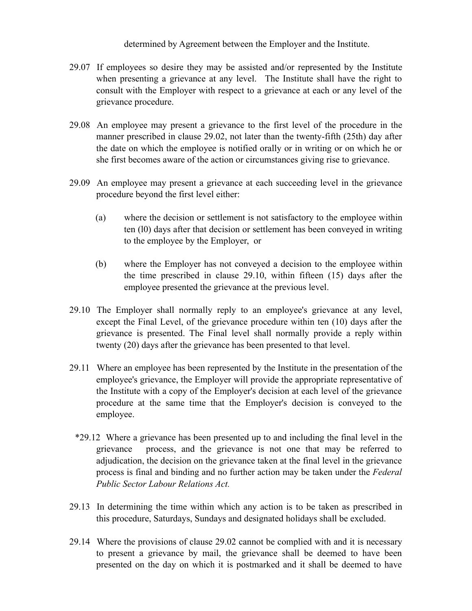determined by Agreement between the Employer and the Institute.

- 29.07 If employees so desire they may be assisted and/or represented by the Institute when presenting a grievance at any level. The Institute shall have the right to consult with the Employer with respect to a grievance at each or any level of the grievance procedure.
- 29.08 An employee may present a grievance to the first level of the procedure in the manner prescribed in clause 29.02, not later than the twenty-fifth (25th) day after the date on which the employee is notified orally or in writing or on which he or she first becomes aware of the action or circumstances giving rise to grievance.
- 29.09 An employee may present a grievance at each succeeding level in the grievance procedure beyond the first level either:
	- (a) where the decision or settlement is not satisfactory to the employee within ten (l0) days after that decision or settlement has been conveyed in writing to the employee by the Employer, or
	- (b) where the Employer has not conveyed a decision to the employee within the time prescribed in clause 29.10, within fifteen (15) days after the employee presented the grievance at the previous level.
- 29.10 The Employer shall normally reply to an employee's grievance at any level, except the Final Level, of the grievance procedure within ten (10) days after the grievance is presented. The Final level shall normally provide a reply within twenty (20) days after the grievance has been presented to that level.
- 29.11 Where an employee has been represented by the Institute in the presentation of the employee's grievance, the Employer will provide the appropriate representative of the Institute with a copy of the Employer's decision at each level of the grievance procedure at the same time that the Employer's decision is conveyed to the employee.
- \*29.12 Where a grievance has been presented up to and including the final level in the grievance process, and the grievance is not one that may be referred to adjudication, the decision on the grievance taken at the final level in the grievance process is final and binding and no further action may be taken under the *Federal Public Sector Labour Relations Act.*
- 29.13 In determining the time within which any action is to be taken as prescribed in this procedure, Saturdays, Sundays and designated holidays shall be excluded.
- 29.14 Where the provisions of clause 29.02 cannot be complied with and it is necessary to present a grievance by mail, the grievance shall be deemed to have been presented on the day on which it is postmarked and it shall be deemed to have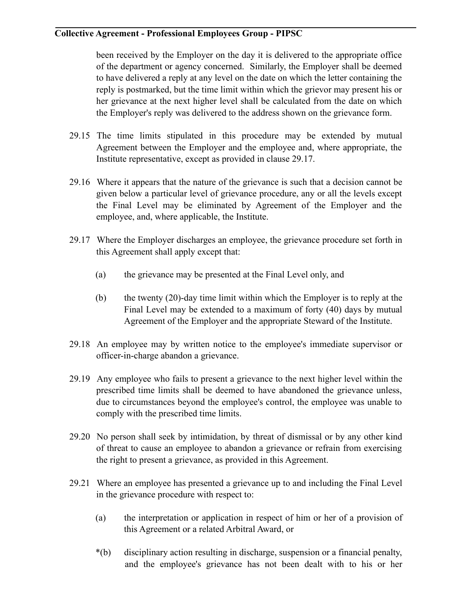been received by the Employer on the day it is delivered to the appropriate office of the department or agency concerned. Similarly, the Employer shall be deemed to have delivered a reply at any level on the date on which the letter containing the reply is postmarked, but the time limit within which the grievor may present his or her grievance at the next higher level shall be calculated from the date on which the Employer's reply was delivered to the address shown on the grievance form.

- 29.15 The time limits stipulated in this procedure may be extended by mutual Agreement between the Employer and the employee and, where appropriate, the Institute representative, except as provided in clause 29.17.
- 29.16 Where it appears that the nature of the grievance is such that a decision cannot be given below a particular level of grievance procedure, any or all the levels except the Final Level may be eliminated by Agreement of the Employer and the employee, and, where applicable, the Institute.
- 29.17 Where the Employer discharges an employee, the grievance procedure set forth in this Agreement shall apply except that:
	- (a) the grievance may be presented at the Final Level only, and
	- (b) the twenty (20)-day time limit within which the Employer is to reply at the Final Level may be extended to a maximum of forty (40) days by mutual Agreement of the Employer and the appropriate Steward of the Institute.
- 29.18 An employee may by written notice to the employee's immediate supervisor or officer-in-charge abandon a grievance.
- 29.19 Any employee who fails to present a grievance to the next higher level within the prescribed time limits shall be deemed to have abandoned the grievance unless, due to circumstances beyond the employee's control, the employee was unable to comply with the prescribed time limits.
- 29.20 No person shall seek by intimidation, by threat of dismissal or by any other kind of threat to cause an employee to abandon a grievance or refrain from exercising the right to present a grievance, as provided in this Agreement.
- 29.21 Where an employee has presented a grievance up to and including the Final Level in the grievance procedure with respect to:
	- (a) the interpretation or application in respect of him or her of a provision of this Agreement or a related Arbitral Award, or
	- \*(b) disciplinary action resulting in discharge, suspension or a financial penalty, and the employee's grievance has not been dealt with to his or her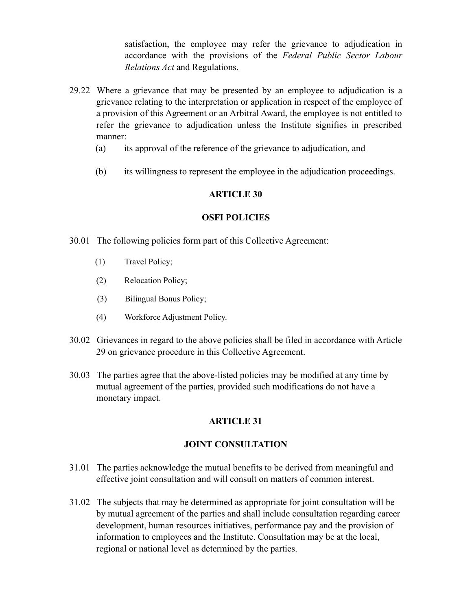satisfaction, the employee may refer the grievance to adjudication in accordance with the provisions of the *Federal Public Sector Labour Relations Act* and Regulations.

- 29.22 Where a grievance that may be presented by an employee to adjudication is a grievance relating to the interpretation or application in respect of the employee of a provision of this Agreement or an Arbitral Award, the employee is not entitled to refer the grievance to adjudication unless the Institute signifies in prescribed manner:
	- (a) its approval of the reference of the grievance to adjudication, and
	- (b) its willingness to represent the employee in the adjudication proceedings.

#### **ARTICLE 30**

#### **OSFI POLICIES**

- 30.01 The following policies form part of this Collective Agreement:
	- (1) Travel Policy;
	- (2) Relocation Policy;
	- (3) Bilingual Bonus Policy;
	- (4) Workforce Adjustment Policy.
- 30.02 Grievances in regard to the above policies shall be filed in accordance with Article 29 on grievance procedure in this Collective Agreement.
- 30.03 The parties agree that the above-listed policies may be modified at any time by mutual agreement of the parties, provided such modifications do not have a monetary impact.

### **ARTICLE 31**

### **JOINT CONSULTATION**

- 31.01 The parties acknowledge the mutual benefits to be derived from meaningful and effective joint consultation and will consult on matters of common interest.
- 31.02 The subjects that may be determined as appropriate for joint consultation will be by mutual agreement of the parties and shall include consultation regarding career development, human resources initiatives, performance pay and the provision of information to employees and the Institute. Consultation may be at the local, regional or national level as determined by the parties.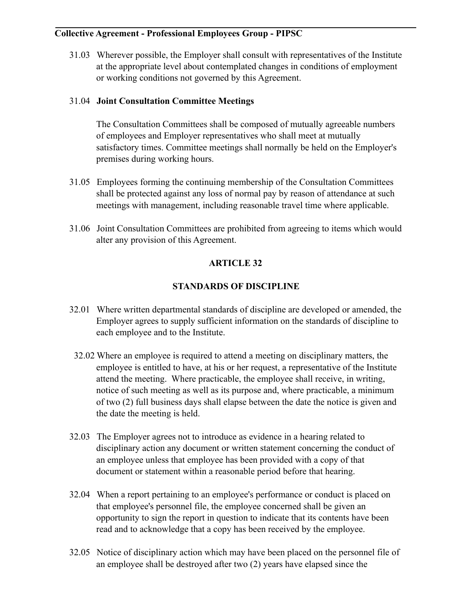31.03 Wherever possible, the Employer shall consult with representatives of the Institute at the appropriate level about contemplated changes in conditions of employment or working conditions not governed by this Agreement.

### 31.04 **Joint Consultation Committee Meetings**

The Consultation Committees shall be composed of mutually agreeable numbers of employees and Employer representatives who shall meet at mutually satisfactory times. Committee meetings shall normally be held on the Employer's premises during working hours.

- 31.05 Employees forming the continuing membership of the Consultation Committees shall be protected against any loss of normal pay by reason of attendance at such meetings with management, including reasonable travel time where applicable.
- 31.06 Joint Consultation Committees are prohibited from agreeing to items which would alter any provision of this Agreement.

# **ARTICLE 32**

# **STANDARDS OF DISCIPLINE**

- 32.01 Where written departmental standards of discipline are developed or amended, the Employer agrees to supply sufficient information on the standards of discipline to each employee and to the Institute.
- 32.02 Where an employee is required to attend a meeting on disciplinary matters, the employee is entitled to have, at his or her request, a representative of the Institute attend the meeting. Where practicable, the employee shall receive, in writing, notice of such meeting as well as its purpose and, where practicable, a minimum of two (2) full business days shall elapse between the date the notice is given and the date the meeting is held.
- 32.03 The Employer agrees not to introduce as evidence in a hearing related to disciplinary action any document or written statement concerning the conduct of an employee unless that employee has been provided with a copy of that document or statement within a reasonable period before that hearing.
- 32.04 When a report pertaining to an employee's performance or conduct is placed on that employee's personnel file, the employee concerned shall be given an opportunity to sign the report in question to indicate that its contents have been read and to acknowledge that a copy has been received by the employee.
- 32.05 Notice of disciplinary action which may have been placed on the personnel file of an employee shall be destroyed after two (2) years have elapsed since the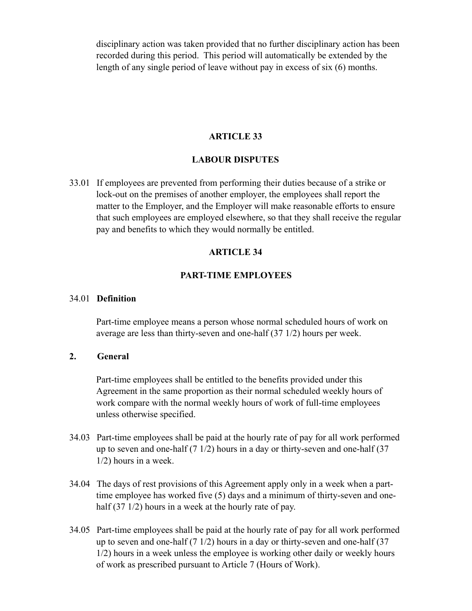disciplinary action was taken provided that no further disciplinary action has been recorded during this period. This period will automatically be extended by the length of any single period of leave without pay in excess of six (6) months.

#### **ARTICLE 33**

#### **LABOUR DISPUTES**

33.01 If employees are prevented from performing their duties because of a strike or lock-out on the premises of another employer, the employees shall report the matter to the Employer, and the Employer will make reasonable efforts to ensure that such employees are employed elsewhere, so that they shall receive the regular pay and benefits to which they would normally be entitled.

#### **ARTICLE 34**

#### **PART-TIME EMPLOYEES**

#### 34.01 **Definition**

Part-time employee means a person whose normal scheduled hours of work on average are less than thirty-seven and one-half (37 1/2) hours per week.

#### **2. General**

Part-time employees shall be entitled to the benefits provided under this Agreement in the same proportion as their normal scheduled weekly hours of work compare with the normal weekly hours of work of full-time employees unless otherwise specified.

- 34.03 Part-time employees shall be paid at the hourly rate of pay for all work performed up to seven and one-half  $(7 \frac{1}{2})$  hours in a day or thirty-seven and one-half  $(37 \frac{1}{2})$ 1/2) hours in a week.
- 34.04 The days of rest provisions of this Agreement apply only in a week when a parttime employee has worked five (5) days and a minimum of thirty-seven and onehalf (37 1/2) hours in a week at the hourly rate of pay.
- 34.05 Part-time employees shall be paid at the hourly rate of pay for all work performed up to seven and one-half  $(7 \frac{1}{2})$  hours in a day or thirty-seven and one-half  $(37 \frac{1}{2})$ 1/2) hours in a week unless the employee is working other daily or weekly hours of work as prescribed pursuant to Article 7 (Hours of Work).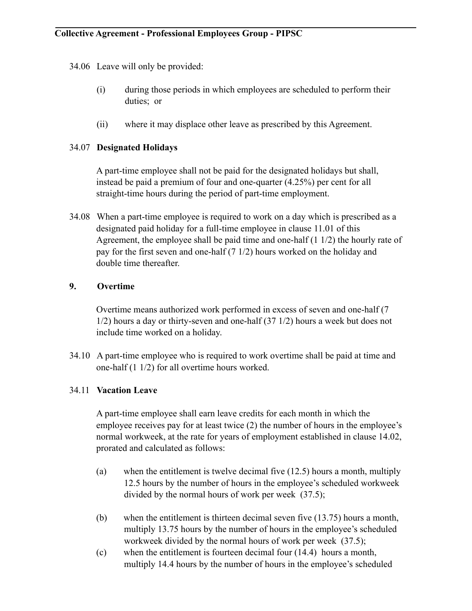34.06 Leave will only be provided:

- (i) during those periods in which employees are scheduled to perform their duties; or
- (ii) where it may displace other leave as prescribed by this Agreement.

#### 34.07 **Designated Holidays**

A part-time employee shall not be paid for the designated holidays but shall, instead be paid a premium of four and one-quarter (4.25%) per cent for all straight-time hours during the period of part-time employment.

34.08 When a part-time employee is required to work on a day which is prescribed as a designated paid holiday for a full-time employee in clause 11.01 of this Agreement, the employee shall be paid time and one-half (1 1/2) the hourly rate of pay for the first seven and one-half (7 1/2) hours worked on the holiday and double time thereafter.

### **9. Overtime**

Overtime means authorized work performed in excess of seven and one-half (7 1/2) hours a day or thirty-seven and one-half (37 1/2) hours a week but does not include time worked on a holiday.

34.10 A part-time employee who is required to work overtime shall be paid at time and one-half (1 1/2) for all overtime hours worked.

### 34.11 **Vacation Leave**

A part-time employee shall earn leave credits for each month in which the employee receives pay for at least twice (2) the number of hours in the employee's normal workweek, at the rate for years of employment established in clause 14.02, prorated and calculated as follows:

- (a) when the entitlement is twelve decimal five (12.5) hours a month, multiply 12.5 hours by the number of hours in the employee's scheduled workweek divided by the normal hours of work per week (37.5);
- (b) when the entitlement is thirteen decimal seven five (13.75) hours a month, multiply 13.75 hours by the number of hours in the employee's scheduled workweek divided by the normal hours of work per week (37.5);
- (c) when the entitlement is fourteen decimal four (14.4) hours a month, multiply 14.4 hours by the number of hours in the employee's scheduled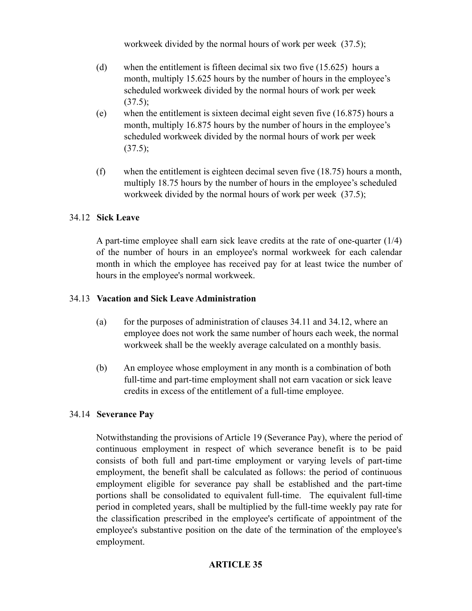workweek divided by the normal hours of work per week (37.5);

- (d) when the entitlement is fifteen decimal six two five (15.625) hours a month, multiply 15.625 hours by the number of hours in the employee's scheduled workweek divided by the normal hours of work per week  $(37.5);$
- (e) when the entitlement is sixteen decimal eight seven five (16.875) hours a month, multiply 16.875 hours by the number of hours in the employee's scheduled workweek divided by the normal hours of work per week  $(37.5)$ ;
- (f) when the entitlement is eighteen decimal seven five (18.75) hours a month, multiply 18.75 hours by the number of hours in the employee's scheduled workweek divided by the normal hours of work per week (37.5);

### 34.12 **Sick Leave**

A part-time employee shall earn sick leave credits at the rate of one-quarter (1/4) of the number of hours in an employee's normal workweek for each calendar month in which the employee has received pay for at least twice the number of hours in the employee's normal workweek.

#### 34.13 **Vacation and Sick Leave Administration**

- (a) for the purposes of administration of clauses  $34.11$  and  $34.12$ , where an employee does not work the same number of hours each week, the normal workweek shall be the weekly average calculated on a monthly basis.
- (b) An employee whose employment in any month is a combination of both full-time and part-time employment shall not earn vacation or sick leave credits in excess of the entitlement of a full-time employee.

### 34.14 **Severance Pay**

Notwithstanding the provisions of Article 19 (Severance Pay), where the period of continuous employment in respect of which severance benefit is to be paid consists of both full and part-time employment or varying levels of part-time employment, the benefit shall be calculated as follows: the period of continuous employment eligible for severance pay shall be established and the part-time portions shall be consolidated to equivalent full-time. The equivalent full-time period in completed years, shall be multiplied by the full-time weekly pay rate for the classification prescribed in the employee's certificate of appointment of the employee's substantive position on the date of the termination of the employee's employment.

### **ARTICLE 35**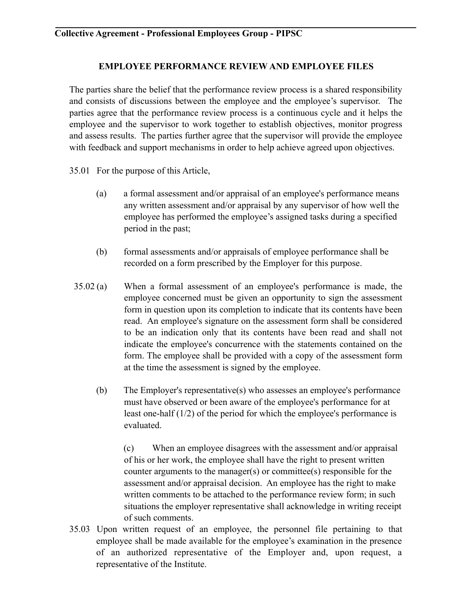### **EMPLOYEE PERFORMANCE REVIEW AND EMPLOYEE FILES**

The parties share the belief that the performance review process is a shared responsibility and consists of discussions between the employee and the employee's supervisor. The parties agree that the performance review process is a continuous cycle and it helps the employee and the supervisor to work together to establish objectives, monitor progress and assess results. The parties further agree that the supervisor will provide the employee with feedback and support mechanisms in order to help achieve agreed upon objectives.

- 35.01 For the purpose of this Article,
	- (a) a formal assessment and/or appraisal of an employee's performance means any written assessment and/or appraisal by any supervisor of how well the employee has performed the employee's assigned tasks during a specified period in the past;
	- (b) formal assessments and/or appraisals of employee performance shall be recorded on a form prescribed by the Employer for this purpose.
- 35.02 (a) When a formal assessment of an employee's performance is made, the employee concerned must be given an opportunity to sign the assessment form in question upon its completion to indicate that its contents have been read. An employee's signature on the assessment form shall be considered to be an indication only that its contents have been read and shall not indicate the employee's concurrence with the statements contained on the form. The employee shall be provided with a copy of the assessment form at the time the assessment is signed by the employee.
	- (b) The Employer's representative(s) who assesses an employee's performance must have observed or been aware of the employee's performance for at least one-half (1/2) of the period for which the employee's performance is evaluated.

 (c) When an employee disagrees with the assessment and/or appraisal of his or her work, the employee shall have the right to present written counter arguments to the manager(s) or committee(s) responsible for the assessment and/or appraisal decision. An employee has the right to make written comments to be attached to the performance review form; in such situations the employer representative shall acknowledge in writing receipt of such comments.

35.03 Upon written request of an employee, the personnel file pertaining to that employee shall be made available for the employee's examination in the presence of an authorized representative of the Employer and, upon request, a representative of the Institute.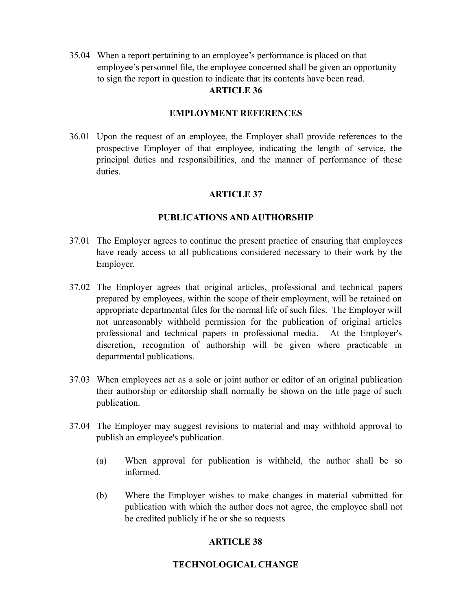35.04 When a report pertaining to an employee's performance is placed on that employee's personnel file, the employee concerned shall be given an opportunity to sign the report in question to indicate that its contents have been read. **ARTICLE 36** 

#### **EMPLOYMENT REFERENCES**

36.01 Upon the request of an employee, the Employer shall provide references to the prospective Employer of that employee, indicating the length of service, the principal duties and responsibilities, and the manner of performance of these duties.

### **ARTICLE 37**

#### **PUBLICATIONS AND AUTHORSHIP**

- 37.01 The Employer agrees to continue the present practice of ensuring that employees have ready access to all publications considered necessary to their work by the Employer.
- 37.02 The Employer agrees that original articles, professional and technical papers prepared by employees, within the scope of their employment, will be retained on appropriate departmental files for the normal life of such files. The Employer will not unreasonably withhold permission for the publication of original articles professional and technical papers in professional media. At the Employer's discretion, recognition of authorship will be given where practicable in departmental publications.
- 37.03 When employees act as a sole or joint author or editor of an original publication their authorship or editorship shall normally be shown on the title page of such publication.
- 37.04 The Employer may suggest revisions to material and may withhold approval to publish an employee's publication.
	- (a) When approval for publication is withheld, the author shall be so informed.
	- (b) Where the Employer wishes to make changes in material submitted for publication with which the author does not agree, the employee shall not be credited publicly if he or she so requests

### **ARTICLE 38**

### **TECHNOLOGICAL CHANGE**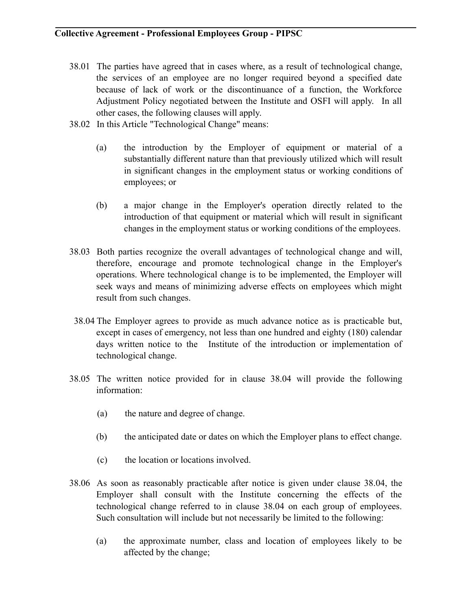- 38.01 The parties have agreed that in cases where, as a result of technological change, the services of an employee are no longer required beyond a specified date because of lack of work or the discontinuance of a function, the Workforce Adjustment Policy negotiated between the Institute and OSFI will apply. In all other cases, the following clauses will apply.
- 38.02 In this Article "Technological Change" means:
	- (a) the introduction by the Employer of equipment or material of a substantially different nature than that previously utilized which will result in significant changes in the employment status or working conditions of employees; or
	- (b) a major change in the Employer's operation directly related to the introduction of that equipment or material which will result in significant changes in the employment status or working conditions of the employees.
- 38.03 Both parties recognize the overall advantages of technological change and will, therefore, encourage and promote technological change in the Employer's operations. Where technological change is to be implemented, the Employer will seek ways and means of minimizing adverse effects on employees which might result from such changes.
- 38.04 The Employer agrees to provide as much advance notice as is practicable but, except in cases of emergency, not less than one hundred and eighty (180) calendar days written notice to the Institute of the introduction or implementation of technological change.
- 38.05 The written notice provided for in clause 38.04 will provide the following information:
	- (a) the nature and degree of change.
	- (b) the anticipated date or dates on which the Employer plans to effect change.
	- (c) the location or locations involved.
- 38.06 As soon as reasonably practicable after notice is given under clause 38.04, the Employer shall consult with the Institute concerning the effects of the technological change referred to in clause 38.04 on each group of employees. Such consultation will include but not necessarily be limited to the following:
	- (a) the approximate number, class and location of employees likely to be affected by the change;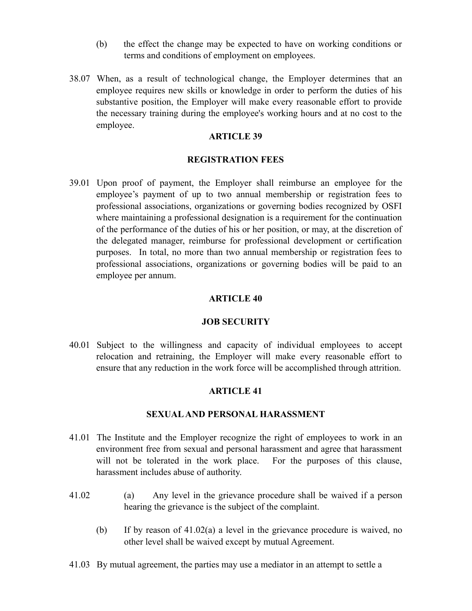- (b) the effect the change may be expected to have on working conditions or terms and conditions of employment on employees.
- 38.07 When, as a result of technological change, the Employer determines that an employee requires new skills or knowledge in order to perform the duties of his substantive position, the Employer will make every reasonable effort to provide the necessary training during the employee's working hours and at no cost to the employee.

#### **ARTICLE 39**

#### **REGISTRATION FEES**

39.01 Upon proof of payment, the Employer shall reimburse an employee for the employee's payment of up to two annual membership or registration fees to professional associations, organizations or governing bodies recognized by OSFI where maintaining a professional designation is a requirement for the continuation of the performance of the duties of his or her position, or may, at the discretion of the delegated manager, reimburse for professional development or certification purposes. In total, no more than two annual membership or registration fees to professional associations, organizations or governing bodies will be paid to an employee per annum.

#### **ARTICLE 40**

#### **JOB SECURITY**

40.01 Subject to the willingness and capacity of individual employees to accept relocation and retraining, the Employer will make every reasonable effort to ensure that any reduction in the work force will be accomplished through attrition.

#### **ARTICLE 41**

#### **SEXUAL AND PERSONAL HARASSMENT**

- 41.01 The Institute and the Employer recognize the right of employees to work in an environment free from sexual and personal harassment and agree that harassment will not be tolerated in the work place. For the purposes of this clause, harassment includes abuse of authority.
- 41.02 (a) Any level in the grievance procedure shall be waived if a person hearing the grievance is the subject of the complaint.
	- (b) If by reason of 41.02(a) a level in the grievance procedure is waived, no other level shall be waived except by mutual Agreement.
- 41.03 By mutual agreement, the parties may use a mediator in an attempt to settle a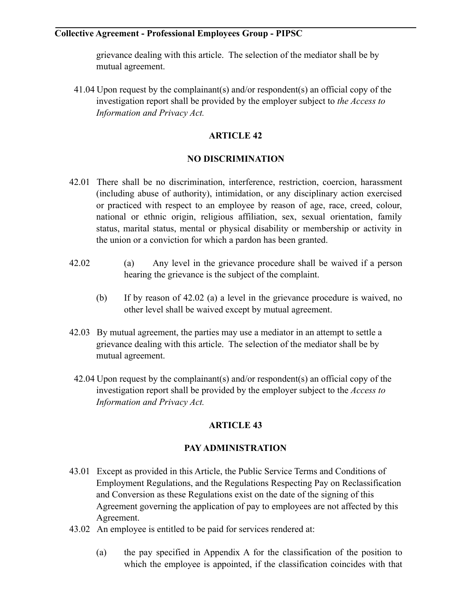grievance dealing with this article. The selection of the mediator shall be by mutual agreement.

 41.04 Upon request by the complainant(s) and/or respondent(s) an official copy of the investigation report shall be provided by the employer subject to *the Access to Information and Privacy Act.* 

# **ARTICLE 42**

### **NO DISCRIMINATION**

- 42.01 There shall be no discrimination, interference, restriction, coercion, harassment (including abuse of authority), intimidation, or any disciplinary action exercised or practiced with respect to an employee by reason of age, race, creed, colour, national or ethnic origin, religious affiliation, sex, sexual orientation, family status, marital status, mental or physical disability or membership or activity in the union or a conviction for which a pardon has been granted.
- 42.02 (a) Any level in the grievance procedure shall be waived if a person hearing the grievance is the subject of the complaint.
	- (b) If by reason of 42.02 (a) a level in the grievance procedure is waived, no other level shall be waived except by mutual agreement.
- 42.03 By mutual agreement, the parties may use a mediator in an attempt to settle a grievance dealing with this article. The selection of the mediator shall be by mutual agreement.
- 42.04 Upon request by the complainant(s) and/or respondent(s) an official copy of the investigation report shall be provided by the employer subject to the *Access to Information and Privacy Act.*

# **ARTICLE 43**

### **PAY ADMINISTRATION**

- 43.01 Except as provided in this Article, the Public Service Terms and Conditions of Employment Regulations, and the Regulations Respecting Pay on Reclassification and Conversion as these Regulations exist on the date of the signing of this Agreement governing the application of pay to employees are not affected by this Agreement.
- 43.02 An employee is entitled to be paid for services rendered at:
	- (a) the pay specified in Appendix A for the classification of the position to which the employee is appointed, if the classification coincides with that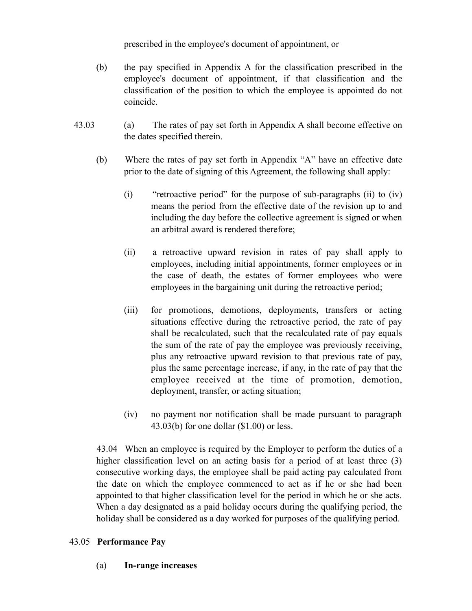prescribed in the employee's document of appointment, or

- (b) the pay specified in Appendix A for the classification prescribed in the employee's document of appointment, if that classification and the classification of the position to which the employee is appointed do not coincide.
- 43.03 (a) The rates of pay set forth in Appendix A shall become effective on the dates specified therein.
	- (b) Where the rates of pay set forth in Appendix "A" have an effective date prior to the date of signing of this Agreement, the following shall apply:
		- (i) "retroactive period" for the purpose of sub-paragraphs (ii) to (iv) means the period from the effective date of the revision up to and including the day before the collective agreement is signed or when an arbitral award is rendered therefore;
		- (ii) a retroactive upward revision in rates of pay shall apply to employees, including initial appointments, former employees or in the case of death, the estates of former employees who were employees in the bargaining unit during the retroactive period;
		- (iii) for promotions, demotions, deployments, transfers or acting situations effective during the retroactive period, the rate of pay shall be recalculated, such that the recalculated rate of pay equals the sum of the rate of pay the employee was previously receiving, plus any retroactive upward revision to that previous rate of pay, plus the same percentage increase, if any, in the rate of pay that the employee received at the time of promotion, demotion, deployment, transfer, or acting situation;
		- (iv) no payment nor notification shall be made pursuant to paragraph 43.03(b) for one dollar (\$1.00) or less.

 43.04 When an employee is required by the Employer to perform the duties of a higher classification level on an acting basis for a period of at least three (3) consecutive working days, the employee shall be paid acting pay calculated from the date on which the employee commenced to act as if he or she had been appointed to that higher classification level for the period in which he or she acts. When a day designated as a paid holiday occurs during the qualifying period, the holiday shall be considered as a day worked for purposes of the qualifying period.

### 43.05 **Performance Pay**

(a) **In-range increases**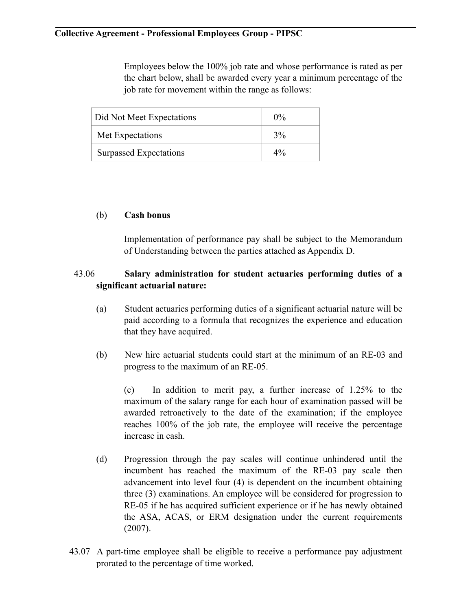Employees below the 100% job rate and whose performance is rated as per the chart below, shall be awarded every year a minimum percentage of the job rate for movement within the range as follows:

| Did Not Meet Expectations | $0\%$ |
|---------------------------|-------|
| Met Expectations          | 3%    |
| Surpassed Expectations    | $4\%$ |

### (b) **Cash bonus**

Implementation of performance pay shall be subject to the Memorandum of Understanding between the parties attached as Appendix D.

# 43.06 **Salary administration for student actuaries performing duties of a significant actuarial nature:**

- (a) Student actuaries performing duties of a significant actuarial nature will be paid according to a formula that recognizes the experience and education that they have acquired.
- (b) New hire actuarial students could start at the minimum of an RE-03 and progress to the maximum of an RE-05.

 (c) In addition to merit pay, a further increase of 1.25% to the maximum of the salary range for each hour of examination passed will be awarded retroactively to the date of the examination; if the employee reaches 100% of the job rate, the employee will receive the percentage increase in cash.

- (d) Progression through the pay scales will continue unhindered until the incumbent has reached the maximum of the RE-03 pay scale then advancement into level four (4) is dependent on the incumbent obtaining three (3) examinations. An employee will be considered for progression to RE-05 if he has acquired sufficient experience or if he has newly obtained the ASA, ACAS, or ERM designation under the current requirements (2007).
- 43.07 A part-time employee shall be eligible to receive a performance pay adjustment prorated to the percentage of time worked.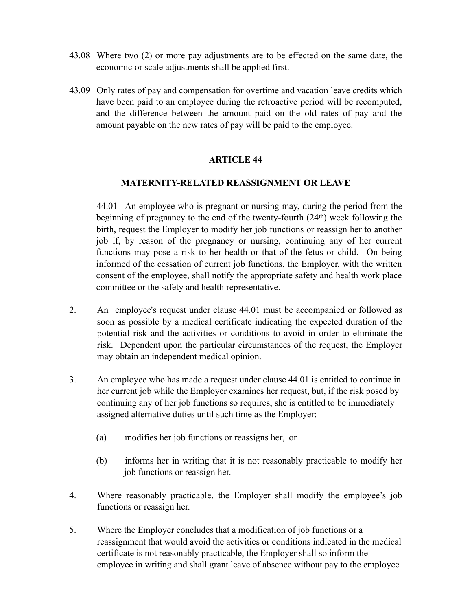- 43.08 Where two (2) or more pay adjustments are to be effected on the same date, the economic or scale adjustments shall be applied first.
- 43.09 Only rates of pay and compensation for overtime and vacation leave credits which have been paid to an employee during the retroactive period will be recomputed, and the difference between the amount paid on the old rates of pay and the amount payable on the new rates of pay will be paid to the employee.

### **ARTICLE 44**

#### **MATERNITY-RELATED REASSIGNMENT OR LEAVE**

 44.01 An employee who is pregnant or nursing may, during the period from the beginning of pregnancy to the end of the twenty-fourth (24th) week following the birth, request the Employer to modify her job functions or reassign her to another job if, by reason of the pregnancy or nursing, continuing any of her current functions may pose a risk to her health or that of the fetus or child. On being informed of the cessation of current job functions, the Employer, with the written consent of the employee, shall notify the appropriate safety and health work place committee or the safety and health representative.

- 2. An employee's request under clause 44.01 must be accompanied or followed as soon as possible by a medical certificate indicating the expected duration of the potential risk and the activities or conditions to avoid in order to eliminate the risk. Dependent upon the particular circumstances of the request, the Employer may obtain an independent medical opinion.
- 3. An employee who has made a request under clause 44.01 is entitled to continue in her current job while the Employer examines her request, but, if the risk posed by continuing any of her job functions so requires, she is entitled to be immediately assigned alternative duties until such time as the Employer:
	- (a) modifies her job functions or reassigns her, or
	- (b) informs her in writing that it is not reasonably practicable to modify her job functions or reassign her.
- 4. Where reasonably practicable, the Employer shall modify the employee's job functions or reassign her.
- 5. Where the Employer concludes that a modification of job functions or a reassignment that would avoid the activities or conditions indicated in the medical certificate is not reasonably practicable, the Employer shall so inform the employee in writing and shall grant leave of absence without pay to the employee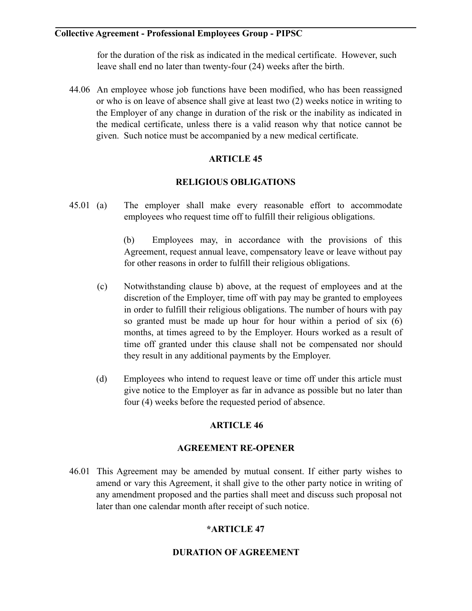for the duration of the risk as indicated in the medical certificate. However, such leave shall end no later than twenty-four (24) weeks after the birth.

44.06 An employee whose job functions have been modified, who has been reassigned or who is on leave of absence shall give at least two (2) weeks notice in writing to the Employer of any change in duration of the risk or the inability as indicated in the medical certificate, unless there is a valid reason why that notice cannot be given. Such notice must be accompanied by a new medical certificate.

# **ARTICLE 45**

### **RELIGIOUS OBLIGATIONS**

45.01 (a) The employer shall make every reasonable effort to accommodate employees who request time off to fulfill their religious obligations.

> (b) Employees may, in accordance with the provisions of this Agreement, request annual leave, compensatory leave or leave without pay for other reasons in order to fulfill their religious obligations.

- (c) Notwithstanding clause b) above, at the request of employees and at the discretion of the Employer, time off with pay may be granted to employees in order to fulfill their religious obligations. The number of hours with pay so granted must be made up hour for hour within a period of six (6) months, at times agreed to by the Employer. Hours worked as a result of time off granted under this clause shall not be compensated nor should they result in any additional payments by the Employer.
- (d) Employees who intend to request leave or time off under this article must give notice to the Employer as far in advance as possible but no later than four (4) weeks before the requested period of absence.

# **ARTICLE 46**

### **AGREEMENT RE-OPENER**

46.01 This Agreement may be amended by mutual consent. If either party wishes to amend or vary this Agreement, it shall give to the other party notice in writing of any amendment proposed and the parties shall meet and discuss such proposal not later than one calendar month after receipt of such notice.

# **\*ARTICLE 47**

### **DURATION OF AGREEMENT**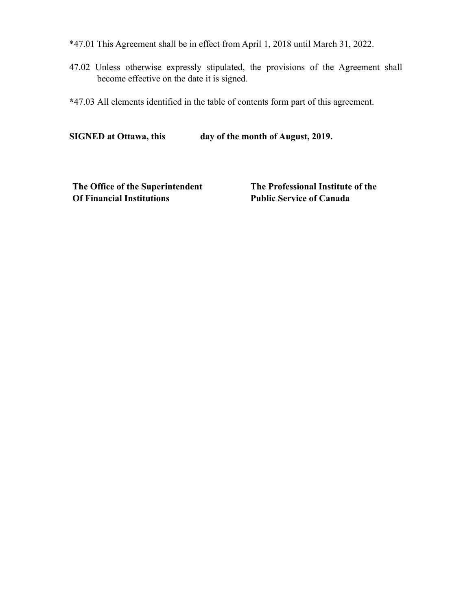- \*47.01 This Agreement shall be in effect from April 1, 2018 until March 31, 2022.
- 47.02 Unless otherwise expressly stipulated, the provisions of the Agreement shall become effective on the date it is signed.
- **\***47.03 All elements identified in the table of contents form part of this agreement.

**SIGNED at Ottawa, this day of the month of August, 2019.** 

**The Office of the Superintendent Of Financial Institutions**

**The Professional Institute of the Public Service of Canada**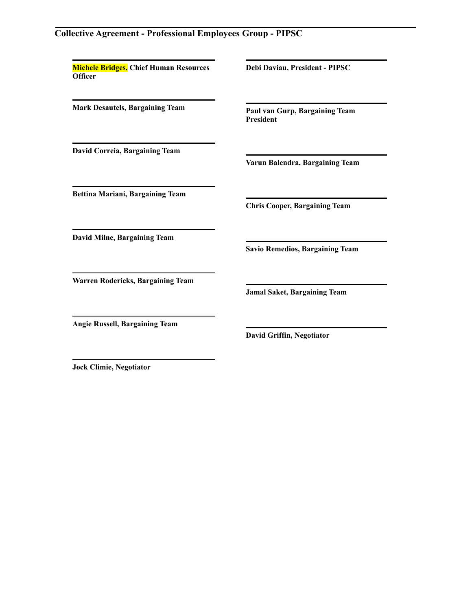**Michele Bridges, Chief Human Resources Officer** 

**Debi Daviau, President - PIPSC** 

**Paul van Gurp, Bargaining Team President** 

**David Correia, Bargaining Team** 

**Mark Desautels, Bargaining Team** 

**Varun Balendra, Bargaining Team** 

**Bettina Mariani, Bargaining Team** 

**Chris Cooper, Bargaining Team** 

**Savio Remedios, Bargaining Team** 

**Jamal Saket, Bargaining Team** 

**David Milne, Bargaining Team** 

**Warren Rodericks, Bargaining Team** 

**Angie Russell, Bargaining Team** 

**David Griffin, Negotiator** 

**Jock Climie, Negotiator**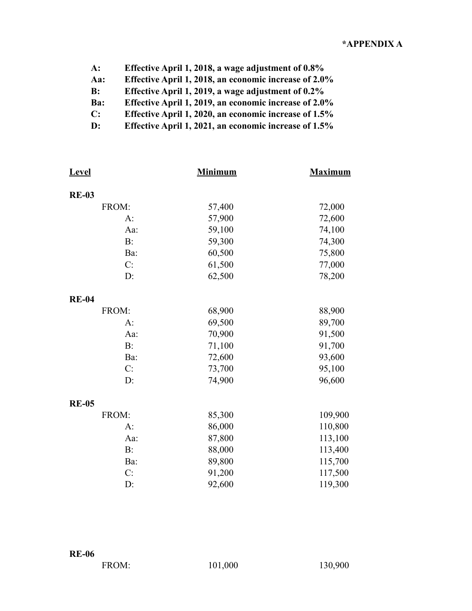| $A$ :          | Effective April 1, 2018, a wage adjustment of 0.8%    |
|----------------|-------------------------------------------------------|
| Aa:            | Effective April 1, 2018, an economic increase of 2.0% |
| $\bf{B}$ :     | Effective April 1, 2019, a wage adjustment of 0.2%    |
| Ba:            | Effective April 1, 2019, an economic increase of 2.0% |
| $\mathbf{C}$ : | Effective April 1, 2020, an economic increase of 1.5% |
| $\mathbf{D}$ : | Effective April 1, 2021, an economic increase of 1.5% |

| <b>Level</b> | <b>Minimum</b> | <b>Maximum</b> |
|--------------|----------------|----------------|
| <b>RE-03</b> |                |                |
| FROM:        | 57,400         | 72,000         |
| A:           | 57,900         | 72,600         |
| Aa:          | 59,100         | 74,100         |
| B:           | 59,300         | 74,300         |
| Ba:          | 60,500         | 75,800         |
| C:           | 61,500         | 77,000         |
| D:           | 62,500         | 78,200         |
| <b>RE-04</b> |                |                |
| FROM:        | 68,900         | 88,900         |
| A:           | 69,500         | 89,700         |
| Aa:          | 70,900         | 91,500         |
| B:           | 71,100         | 91,700         |
| Ba:          | 72,600         | 93,600         |
| C:           | 73,700         | 95,100         |
| D:           | 74,900         | 96,600         |
| <b>RE-05</b> |                |                |
| FROM:        | 85,300         | 109,900        |
| $A$ :        | 86,000         | 110,800        |
| Aa:          | 87,800         | 113,100        |
| $B$ :        | 88,000         | 113,400        |
| Ba:          | 89,800         | 115,700        |
| C:           | 91,200         | 117,500        |
| D:           | 92,600         | 119,300        |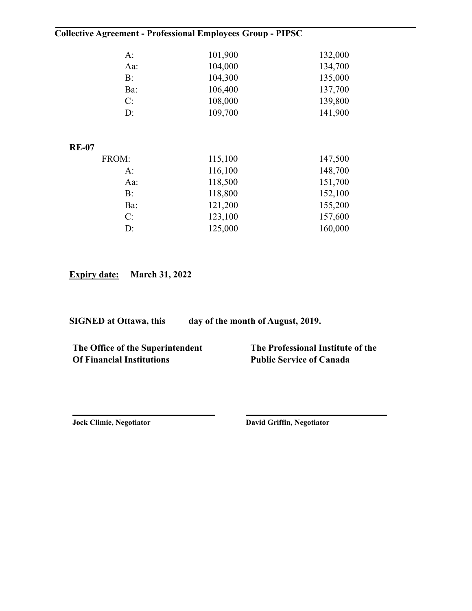| $A$ :        | 101,900 | 132,000 |
|--------------|---------|---------|
| Aa:          | 104,000 | 134,700 |
| B:           | 104,300 | 135,000 |
| Ba:          | 106,400 | 137,700 |
| C:           | 108,000 | 139,800 |
| $D$ :        | 109,700 | 141,900 |
|              |         |         |
|              |         |         |
| <b>RE-07</b> |         |         |
| FROM:        | 115,100 | 147,500 |
| A:           | 116,100 | 148,700 |
| Aa:          | 118,500 | 151,700 |
| $B$ :        | 118,800 | 152,100 |
| Ba:          | 121,200 | 155,200 |
| C:           | 123,100 | 157,600 |
| $D$ :        | 125,000 | 160,000 |
|              |         |         |

**Expiry date: March 31, 2022** 

**SIGNED at Ottawa, this day of the month of August, 2019.** 

**The Office of the Superintendent Of Financial Institutions**

**The Professional Institute of the Public Service of Canada**

**Jock Climie, Negotiator**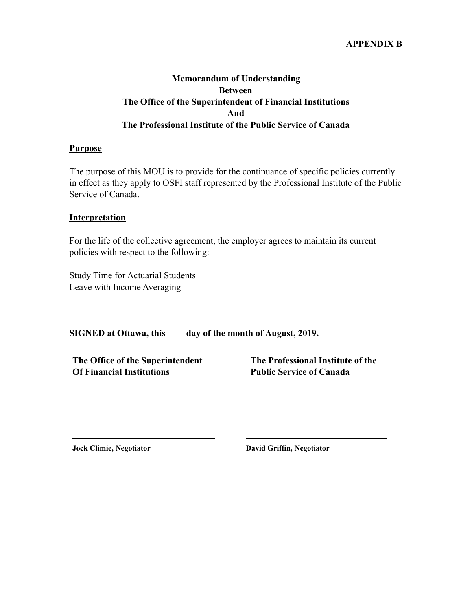#### **APPENDIX B**

# **Memorandum of Understanding Between The Office of the Superintendent of Financial Institutions And The Professional Institute of the Public Service of Canada**

#### **Purpose**

The purpose of this MOU is to provide for the continuance of specific policies currently in effect as they apply to OSFI staff represented by the Professional Institute of the Public Service of Canada.

#### **Interpretation**

For the life of the collective agreement, the employer agrees to maintain its current policies with respect to the following:

Study Time for Actuarial Students Leave with Income Averaging

**SIGNED at Ottawa, this day of the month of August, 2019.** 

**The Office of the Superintendent Of Financial Institutions**

**The Professional Institute of the Public Service of Canada**

**Jock Climie, Negotiator David Griffin, Negotiator**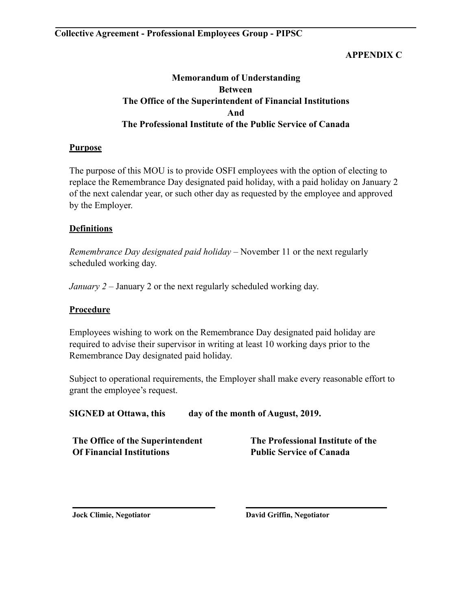### **APPENDIX C**

# **Memorandum of Understanding Between The Office of the Superintendent of Financial Institutions And The Professional Institute of the Public Service of Canada**

### **Purpose**

The purpose of this MOU is to provide OSFI employees with the option of electing to replace the Remembrance Day designated paid holiday, with a paid holiday on January 2 of the next calendar year, or such other day as requested by the employee and approved by the Employer.

### **Definitions**

*Remembrance Day designated paid holiday* – November 11 or the next regularly scheduled working day.

*January 2* – January 2 or the next regularly scheduled working day.

### **Procedure**

Employees wishing to work on the Remembrance Day designated paid holiday are required to advise their supervisor in writing at least 10 working days prior to the Remembrance Day designated paid holiday.

Subject to operational requirements, the Employer shall make every reasonable effort to grant the employee's request.

| <b>SIGNED at Ottawa, this</b> | day of the month of August, 2019. |
|-------------------------------|-----------------------------------|
|-------------------------------|-----------------------------------|

**The Office of the Superintendent Of Financial Institutions**

**The Professional Institute of the Public Service of Canada**

**Jock Climie, Negotiator**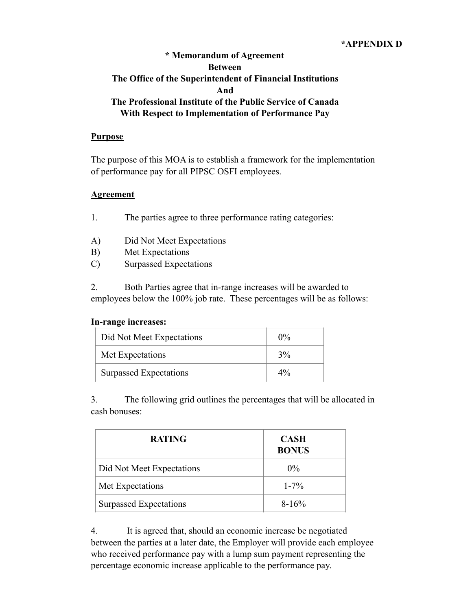#### **\*APPENDIX D**

# **\* Memorandum of Agreement Between The Office of the Superintendent of Financial Institutions And The Professional Institute of the Public Service of Canada With Respect to Implementation of Performance Pay**

#### **Purpose**

The purpose of this MOA is to establish a framework for the implementation of performance pay for all PIPSC OSFI employees.

#### **Agreement**

1. The parties agree to three performance rating categories:

- A) Did Not Meet Expectations
- B) Met Expectations
- C) Surpassed Expectations

2. Both Parties agree that in-range increases will be awarded to employees below the 100% job rate. These percentages will be as follows:

#### **In-range increases:**

| Did Not Meet Expectations | $0\%$ |
|---------------------------|-------|
| Met Expectations          | 3%    |
| Surpassed Expectations    | $4\%$ |

3. The following grid outlines the percentages that will be allocated in cash bonuses:

| <b>RATING</b>             | <b>CASH</b><br><b>BONUS</b> |
|---------------------------|-----------------------------|
| Did Not Meet Expectations | $0\%$                       |
| Met Expectations          | $1 - 7\%$                   |
| Surpassed Expectations    | $8-16%$                     |

4. It is agreed that, should an economic increase be negotiated between the parties at a later date, the Employer will provide each employee who received performance pay with a lump sum payment representing the percentage economic increase applicable to the performance pay.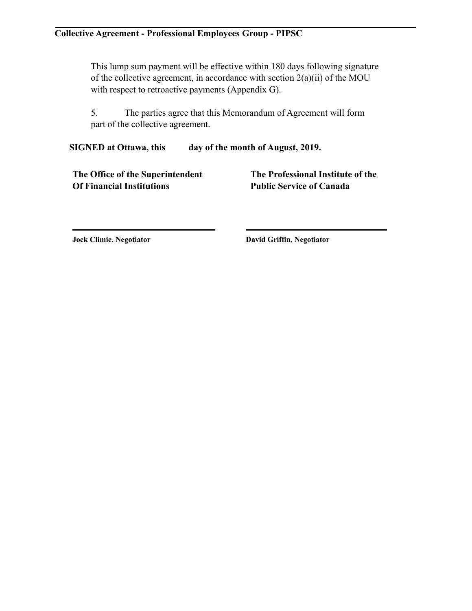This lump sum payment will be effective within 180 days following signature of the collective agreement, in accordance with section 2(a)(ii) of the MOU with respect to retroactive payments (Appendix G).

5. The parties agree that this Memorandum of Agreement will form part of the collective agreement.

**SIGNED at Ottawa, this day of the month of August, 2019.** 

**The Office of the Superintendent Of Financial Institutions**

**The Professional Institute of the Public Service of Canada**

**Jock Climie, Negotiator**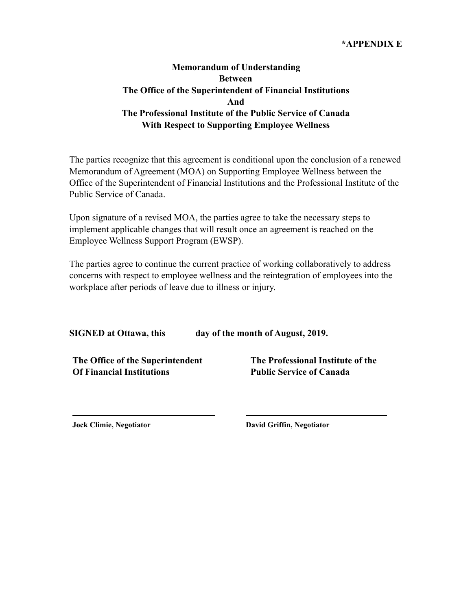#### **\*APPENDIX E**

# **Memorandum of Understanding Between The Office of the Superintendent of Financial Institutions And The Professional Institute of the Public Service of Canada With Respect to Supporting Employee Wellness**

The parties recognize that this agreement is conditional upon the conclusion of a renewed Memorandum of Agreement (MOA) on Supporting Employee Wellness between the Office of the Superintendent of Financial Institutions and the Professional Institute of the Public Service of Canada.

Upon signature of a revised MOA, the parties agree to take the necessary steps to implement applicable changes that will result once an agreement is reached on the Employee Wellness Support Program (EWSP).

The parties agree to continue the current practice of working collaboratively to address concerns with respect to employee wellness and the reintegration of employees into the workplace after periods of leave due to illness or injury.

**SIGNED at Ottawa, this day of the month of August, 2019.** 

**The Office of the Superintendent Of Financial Institutions**

**The Professional Institute of the Public Service of Canada**

**Jock Climie, Negotiator**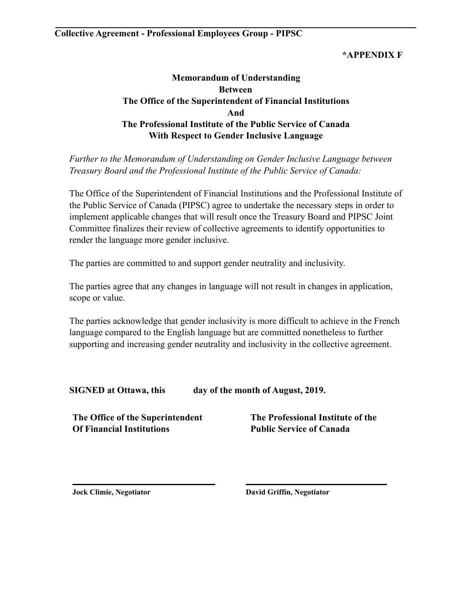### **\*APPENDIX F**

# **Memorandum of Understanding Between The Office of the Superintendent of Financial Institutions And The Professional Institute of the Public Service of Canada With Respect to Gender Inclusive Language**

*Further to the Memorandum of Understanding on Gender Inclusive Language between Treasury Board and the Professional Institute of the Public Service of Canada:* 

The Office of the Superintendent of Financial Institutions and the Professional Institute of the Public Service of Canada (PIPSC) agree to undertake the necessary steps in order to implement applicable changes that will result once the Treasury Board and PIPSC Joint Committee finalizes their review of collective agreements to identify opportunities to render the language more gender inclusive.

The parties are committed to and support gender neutrality and inclusivity.

The parties agree that any changes in language will not result in changes in application, scope or value.

The parties acknowledge that gender inclusivity is more difficult to achieve in the French language compared to the English language but are committed nonetheless to further supporting and increasing gender neutrality and inclusivity in the collective agreement.

**SIGNED at Ottawa, this day of the month of August, 2019.** 

**The Office of the Superintendent Of Financial Institutions**

**The Professional Institute of the Public Service of Canada**

**Jock Climie, Negotiator**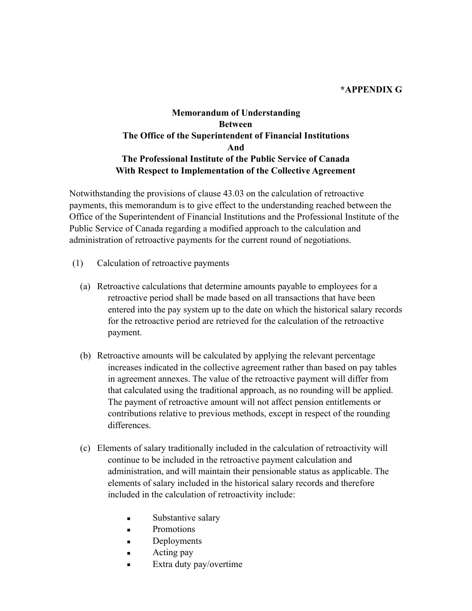#### **\*APPENDIX G**

# **Memorandum of Understanding Between The Office of the Superintendent of Financial Institutions And The Professional Institute of the Public Service of Canada With Respect to Implementation of the Collective Agreement**

Notwithstanding the provisions of clause 43.03 on the calculation of retroactive payments, this memorandum is to give effect to the understanding reached between the Office of the Superintendent of Financial Institutions and the Professional Institute of the Public Service of Canada regarding a modified approach to the calculation and administration of retroactive payments for the current round of negotiations.

- (1) Calculation of retroactive payments
	- (a) Retroactive calculations that determine amounts payable to employees for a retroactive period shall be made based on all transactions that have been entered into the pay system up to the date on which the historical salary records for the retroactive period are retrieved for the calculation of the retroactive payment.
	- (b) Retroactive amounts will be calculated by applying the relevant percentage increases indicated in the collective agreement rather than based on pay tables in agreement annexes. The value of the retroactive payment will differ from that calculated using the traditional approach, as no rounding will be applied. The payment of retroactive amount will not affect pension entitlements or contributions relative to previous methods, except in respect of the rounding differences.
	- (c) Elements of salary traditionally included in the calculation of retroactivity will continue to be included in the retroactive payment calculation and administration, and will maintain their pensionable status as applicable. The elements of salary included in the historical salary records and therefore included in the calculation of retroactivity include:
		- **Exercise Substantive salary**
		- **Promotions**
		- **•** Deployments
		- $\blacksquare$  Acting pay
		- **Extra duty pay/overtime**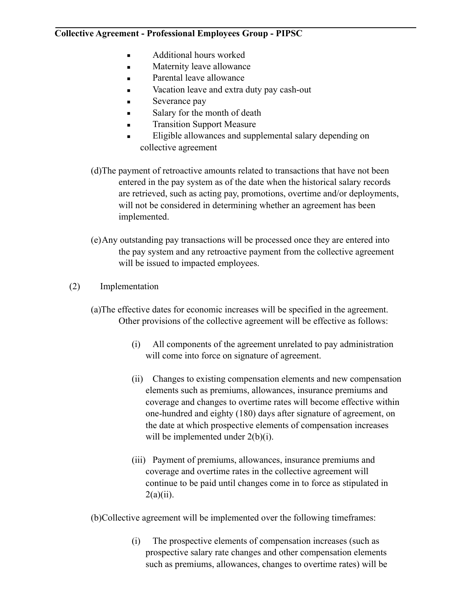- **■** Additional hours worked
- **■** Maternity leave allowance
- **•** Parental leave allowance
- Vacation leave and extra duty pay cash-out
- Severance pay
- Salary for the month of death
- **Transition Support Measure**
- **Eligible allowances and supplemental salary depending on** collective agreement
- (d)The payment of retroactive amounts related to transactions that have not been entered in the pay system as of the date when the historical salary records are retrieved, such as acting pay, promotions, overtime and/or deployments, will not be considered in determining whether an agreement has been implemented.
- (e)Any outstanding pay transactions will be processed once they are entered into the pay system and any retroactive payment from the collective agreement will be issued to impacted employees.
- (2) Implementation
	- (a)The effective dates for economic increases will be specified in the agreement. Other provisions of the collective agreement will be effective as follows:
		- (i) All components of the agreement unrelated to pay administration will come into force on signature of agreement.
		- (ii) Changes to existing compensation elements and new compensation elements such as premiums, allowances, insurance premiums and coverage and changes to overtime rates will become effective within one-hundred and eighty (180) days after signature of agreement, on the date at which prospective elements of compensation increases will be implemented under  $2(b)(i)$ .
		- (iii) Payment of premiums, allowances, insurance premiums and coverage and overtime rates in the collective agreement will continue to be paid until changes come in to force as stipulated in  $2(a)(ii)$ .

(b)Collective agreement will be implemented over the following timeframes:

(i) The prospective elements of compensation increases (such as prospective salary rate changes and other compensation elements such as premiums, allowances, changes to overtime rates) will be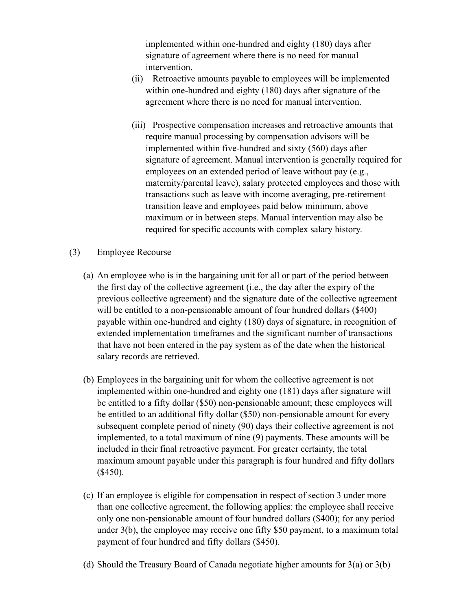implemented within one-hundred and eighty (180) days after signature of agreement where there is no need for manual intervention.

- (ii) Retroactive amounts payable to employees will be implemented within one-hundred and eighty (180) days after signature of the agreement where there is no need for manual intervention.
- (iii) Prospective compensation increases and retroactive amounts that require manual processing by compensation advisors will be implemented within five-hundred and sixty (560) days after signature of agreement. Manual intervention is generally required for employees on an extended period of leave without pay (e.g., maternity/parental leave), salary protected employees and those with transactions such as leave with income averaging, pre-retirement transition leave and employees paid below minimum, above maximum or in between steps. Manual intervention may also be required for specific accounts with complex salary history.
- (3) Employee Recourse
	- (a) An employee who is in the bargaining unit for all or part of the period between the first day of the collective agreement (i.e., the day after the expiry of the previous collective agreement) and the signature date of the collective agreement will be entitled to a non-pensionable amount of four hundred dollars (\$400) payable within one-hundred and eighty (180) days of signature, in recognition of extended implementation timeframes and the significant number of transactions that have not been entered in the pay system as of the date when the historical salary records are retrieved.
	- (b) Employees in the bargaining unit for whom the collective agreement is not implemented within one-hundred and eighty one (181) days after signature will be entitled to a fifty dollar (\$50) non-pensionable amount; these employees will be entitled to an additional fifty dollar (\$50) non-pensionable amount for every subsequent complete period of ninety (90) days their collective agreement is not implemented, to a total maximum of nine (9) payments. These amounts will be included in their final retroactive payment. For greater certainty, the total maximum amount payable under this paragraph is four hundred and fifty dollars (\$450).
	- (c) If an employee is eligible for compensation in respect of section 3 under more than one collective agreement, the following applies: the employee shall receive only one non-pensionable amount of four hundred dollars (\$400); for any period under 3(b), the employee may receive one fifty \$50 payment, to a maximum total payment of four hundred and fifty dollars (\$450).
	- (d) Should the Treasury Board of Canada negotiate higher amounts for 3(a) or 3(b)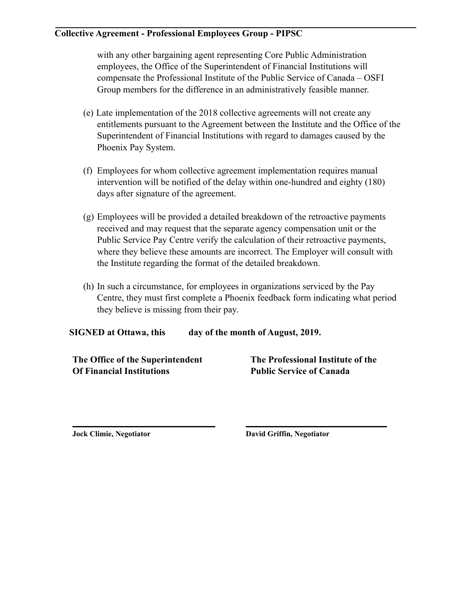with any other bargaining agent representing Core Public Administration employees, the Office of the Superintendent of Financial Institutions will compensate the Professional Institute of the Public Service of Canada – OSFI Group members for the difference in an administratively feasible manner.

- (e) Late implementation of the 2018 collective agreements will not create any entitlements pursuant to the Agreement between the Institute and the Office of the Superintendent of Financial Institutions with regard to damages caused by the Phoenix Pay System.
- (f) Employees for whom collective agreement implementation requires manual intervention will be notified of the delay within one-hundred and eighty (180) days after signature of the agreement.
- (g) Employees will be provided a detailed breakdown of the retroactive payments received and may request that the separate agency compensation unit or the Public Service Pay Centre verify the calculation of their retroactive payments, where they believe these amounts are incorrect. The Employer will consult with the Institute regarding the format of the detailed breakdown.
- (h) In such a circumstance, for employees in organizations serviced by the Pay Centre, they must first complete a Phoenix feedback form indicating what period they believe is missing from their pay.

**SIGNED at Ottawa, this day of the month of August, 2019.** 

**The Office of the Superintendent Of Financial Institutions**

**The Professional Institute of the Public Service of Canada**

**Jock Climie, Negotiator David Griffin, Negotiator**